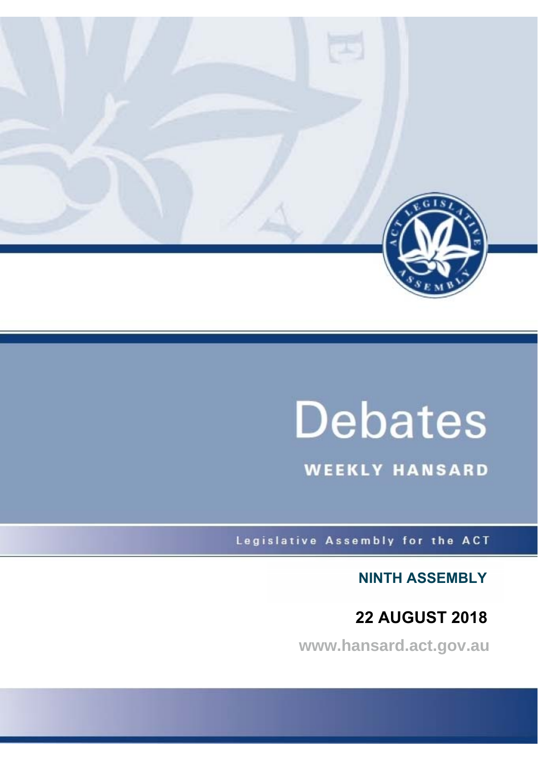

# **Debates**

**WEEKLY HANSARD** 

Legislative Assembly for the ACT

**NINTH ASSEMBLY**

## **22 AUGUST 2018**

**www.hansard.act.gov.au**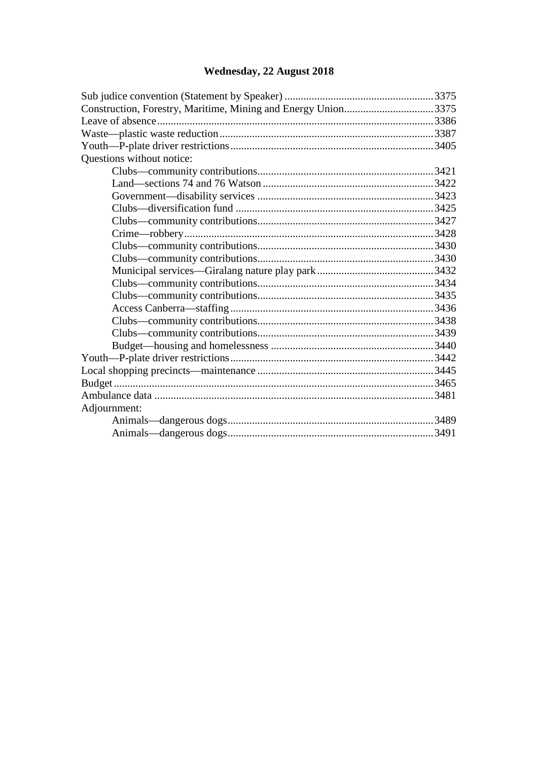## **[Wednesday, 22 August 2018](#page-2-0)**

| Construction, Forestry, Maritime, Mining and Energy Union3375 |  |
|---------------------------------------------------------------|--|
|                                                               |  |
|                                                               |  |
|                                                               |  |
| Questions without notice:                                     |  |
|                                                               |  |
|                                                               |  |
|                                                               |  |
|                                                               |  |
|                                                               |  |
|                                                               |  |
|                                                               |  |
|                                                               |  |
|                                                               |  |
|                                                               |  |
|                                                               |  |
|                                                               |  |
|                                                               |  |
|                                                               |  |
|                                                               |  |
|                                                               |  |
|                                                               |  |
|                                                               |  |
|                                                               |  |
| Adjournment:                                                  |  |
|                                                               |  |
|                                                               |  |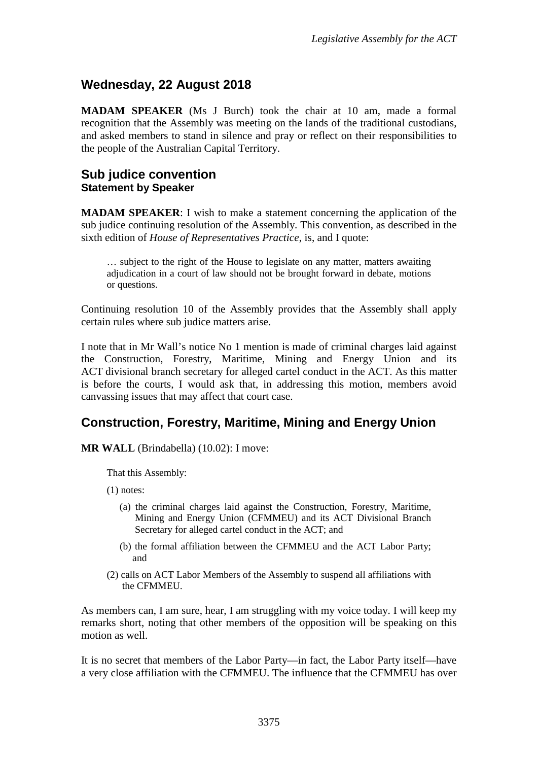## <span id="page-2-0"></span>**Wednesday, 22 August 2018**

**MADAM SPEAKER** (Ms J Burch) took the chair at 10 am, made a formal recognition that the Assembly was meeting on the lands of the traditional custodians, and asked members to stand in silence and pray or reflect on their responsibilities to the people of the Australian Capital Territory.

#### <span id="page-2-2"></span><span id="page-2-1"></span>**Sub judice convention Statement by Speaker**

**MADAM SPEAKER**: I wish to make a statement concerning the application of the sub judice continuing resolution of the Assembly. This convention, as described in the sixth edition of *House of Representatives Practice*, is, and I quote:

… subject to the right of the House to legislate on any matter, matters awaiting adjudication in a court of law should not be brought forward in debate, motions or questions.

Continuing resolution 10 of the Assembly provides that the Assembly shall apply certain rules where sub judice matters arise.

I note that in Mr Wall's notice No 1 mention is made of criminal charges laid against the Construction, Forestry, Maritime, Mining and Energy Union and its ACT divisional branch secretary for alleged cartel conduct in the ACT. As this matter is before the courts, I would ask that, in addressing this motion, members avoid canvassing issues that may affect that court case.

## <span id="page-2-3"></span>**Construction, Forestry, Maritime, Mining and Energy Union**

**MR WALL** (Brindabella) (10.02): I move:

That this Assembly:

(1) notes:

- (a) the criminal charges laid against the Construction, Forestry, Maritime, Mining and Energy Union (CFMMEU) and its ACT Divisional Branch Secretary for alleged cartel conduct in the ACT; and
- (b) the formal affiliation between the CFMMEU and the ACT Labor Party; and
- (2) calls on ACT Labor Members of the Assembly to suspend all affiliations with the CFMMEU.

As members can, I am sure, hear, I am struggling with my voice today. I will keep my remarks short, noting that other members of the opposition will be speaking on this motion as well.

It is no secret that members of the Labor Party—in fact, the Labor Party itself—have a very close affiliation with the CFMMEU. The influence that the CFMMEU has over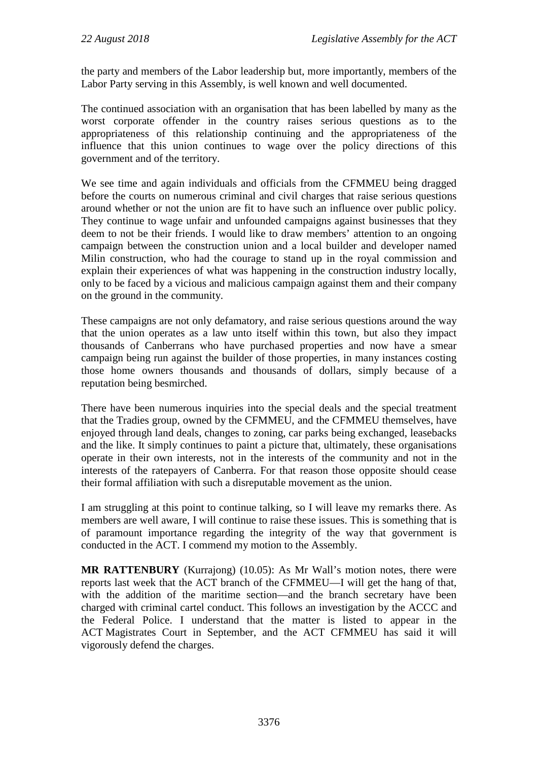the party and members of the Labor leadership but, more importantly, members of the Labor Party serving in this Assembly, is well known and well documented.

The continued association with an organisation that has been labelled by many as the worst corporate offender in the country raises serious questions as to the appropriateness of this relationship continuing and the appropriateness of the influence that this union continues to wage over the policy directions of this government and of the territory.

We see time and again individuals and officials from the CFMMEU being dragged before the courts on numerous criminal and civil charges that raise serious questions around whether or not the union are fit to have such an influence over public policy. They continue to wage unfair and unfounded campaigns against businesses that they deem to not be their friends. I would like to draw members' attention to an ongoing campaign between the construction union and a local builder and developer named Milin construction, who had the courage to stand up in the royal commission and explain their experiences of what was happening in the construction industry locally, only to be faced by a vicious and malicious campaign against them and their company on the ground in the community.

These campaigns are not only defamatory, and raise serious questions around the way that the union operates as a law unto itself within this town, but also they impact thousands of Canberrans who have purchased properties and now have a smear campaign being run against the builder of those properties, in many instances costing those home owners thousands and thousands of dollars, simply because of a reputation being besmirched.

There have been numerous inquiries into the special deals and the special treatment that the Tradies group, owned by the CFMMEU, and the CFMMEU themselves, have enjoyed through land deals, changes to zoning, car parks being exchanged, leasebacks and the like. It simply continues to paint a picture that, ultimately, these organisations operate in their own interests, not in the interests of the community and not in the interests of the ratepayers of Canberra. For that reason those opposite should cease their formal affiliation with such a disreputable movement as the union.

I am struggling at this point to continue talking, so I will leave my remarks there. As members are well aware, I will continue to raise these issues. This is something that is of paramount importance regarding the integrity of the way that government is conducted in the ACT. I commend my motion to the Assembly.

**MR RATTENBURY** (Kurrajong) (10.05): As Mr Wall's motion notes, there were reports last week that the ACT branch of the CFMMEU—I will get the hang of that, with the addition of the maritime section—and the branch secretary have been charged with criminal cartel conduct. This follows an investigation by the ACCC and the Federal Police. I understand that the matter is listed to appear in the ACT Magistrates Court in September, and the ACT CFMMEU has said it will vigorously defend the charges.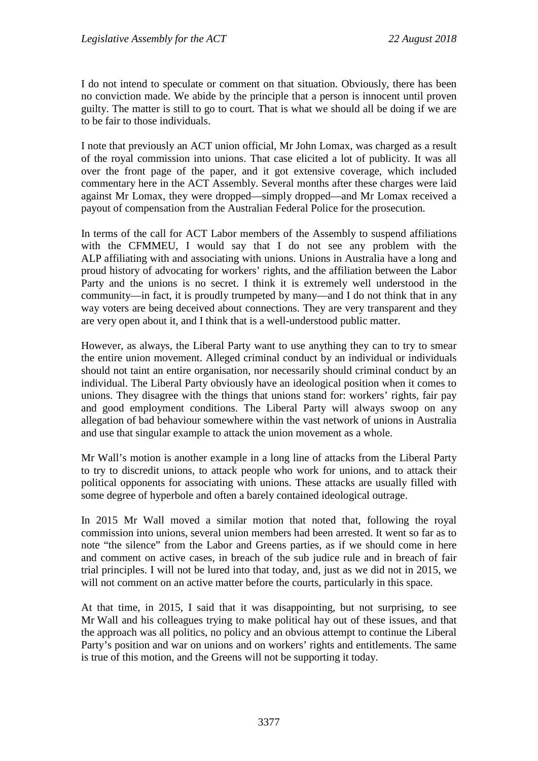I do not intend to speculate or comment on that situation. Obviously, there has been no conviction made. We abide by the principle that a person is innocent until proven guilty. The matter is still to go to court. That is what we should all be doing if we are to be fair to those individuals.

I note that previously an ACT union official, Mr John Lomax, was charged as a result of the royal commission into unions. That case elicited a lot of publicity. It was all over the front page of the paper, and it got extensive coverage, which included commentary here in the ACT Assembly. Several months after these charges were laid against Mr Lomax, they were dropped—simply dropped—and Mr Lomax received a payout of compensation from the Australian Federal Police for the prosecution.

In terms of the call for ACT Labor members of the Assembly to suspend affiliations with the CFMMEU, I would say that I do not see any problem with the ALP affiliating with and associating with unions. Unions in Australia have a long and proud history of advocating for workers' rights, and the affiliation between the Labor Party and the unions is no secret. I think it is extremely well understood in the community—in fact, it is proudly trumpeted by many—and I do not think that in any way voters are being deceived about connections. They are very transparent and they are very open about it, and I think that is a well-understood public matter.

However, as always, the Liberal Party want to use anything they can to try to smear the entire union movement. Alleged criminal conduct by an individual or individuals should not taint an entire organisation, nor necessarily should criminal conduct by an individual. The Liberal Party obviously have an ideological position when it comes to unions. They disagree with the things that unions stand for: workers' rights, fair pay and good employment conditions. The Liberal Party will always swoop on any allegation of bad behaviour somewhere within the vast network of unions in Australia and use that singular example to attack the union movement as a whole.

Mr Wall's motion is another example in a long line of attacks from the Liberal Party to try to discredit unions, to attack people who work for unions, and to attack their political opponents for associating with unions. These attacks are usually filled with some degree of hyperbole and often a barely contained ideological outrage.

In 2015 Mr Wall moved a similar motion that noted that, following the royal commission into unions, several union members had been arrested. It went so far as to note "the silence" from the Labor and Greens parties, as if we should come in here and comment on active cases, in breach of the sub judice rule and in breach of fair trial principles. I will not be lured into that today, and, just as we did not in 2015, we will not comment on an active matter before the courts, particularly in this space.

At that time, in 2015, I said that it was disappointing, but not surprising, to see Mr Wall and his colleagues trying to make political hay out of these issues, and that the approach was all politics, no policy and an obvious attempt to continue the Liberal Party's position and war on unions and on workers' rights and entitlements. The same is true of this motion, and the Greens will not be supporting it today.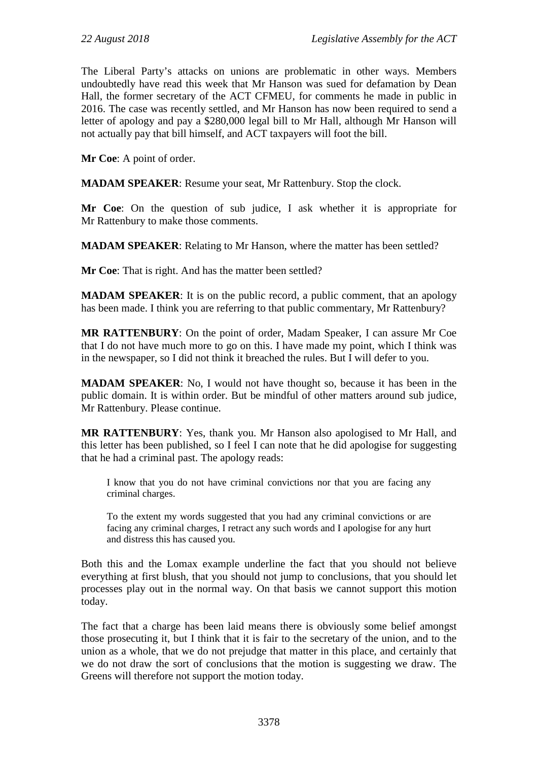The Liberal Party's attacks on unions are problematic in other ways. Members undoubtedly have read this week that Mr Hanson was sued for defamation by Dean Hall, the former secretary of the ACT CFMEU, for comments he made in public in 2016. The case was recently settled, and Mr Hanson has now been required to send a letter of apology and pay a \$280,000 legal bill to Mr Hall, although Mr Hanson will not actually pay that bill himself, and ACT taxpayers will foot the bill.

**Mr Coe**: A point of order.

**MADAM SPEAKER**: Resume your seat, Mr Rattenbury. Stop the clock.

**Mr Coe**: On the question of sub judice, I ask whether it is appropriate for Mr Rattenbury to make those comments.

**MADAM SPEAKER**: Relating to Mr Hanson, where the matter has been settled?

**Mr Coe**: That is right. And has the matter been settled?

**MADAM SPEAKER:** It is on the public record, a public comment, that an apology has been made. I think you are referring to that public commentary, Mr Rattenbury?

**MR RATTENBURY**: On the point of order, Madam Speaker, I can assure Mr Coe that I do not have much more to go on this. I have made my point, which I think was in the newspaper, so I did not think it breached the rules. But I will defer to you.

**MADAM SPEAKER**: No, I would not have thought so, because it has been in the public domain. It is within order. But be mindful of other matters around sub judice, Mr Rattenbury. Please continue.

**MR RATTENBURY**: Yes, thank you. Mr Hanson also apologised to Mr Hall, and this letter has been published, so I feel I can note that he did apologise for suggesting that he had a criminal past. The apology reads:

I know that you do not have criminal convictions nor that you are facing any criminal charges.

To the extent my words suggested that you had any criminal convictions or are facing any criminal charges, I retract any such words and I apologise for any hurt and distress this has caused you.

Both this and the Lomax example underline the fact that you should not believe everything at first blush, that you should not jump to conclusions, that you should let processes play out in the normal way. On that basis we cannot support this motion today.

The fact that a charge has been laid means there is obviously some belief amongst those prosecuting it, but I think that it is fair to the secretary of the union, and to the union as a whole, that we do not prejudge that matter in this place, and certainly that we do not draw the sort of conclusions that the motion is suggesting we draw. The Greens will therefore not support the motion today.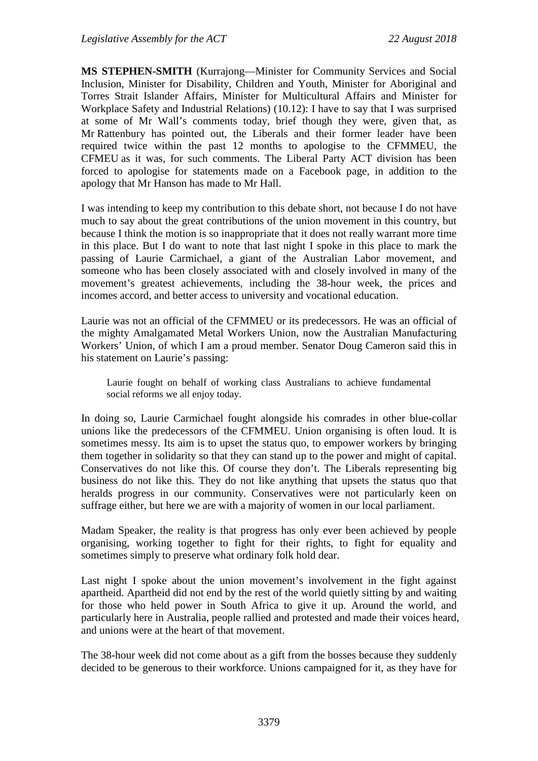**MS STEPHEN-SMITH** (Kurrajong—Minister for Community Services and Social Inclusion, Minister for Disability, Children and Youth, Minister for Aboriginal and Torres Strait Islander Affairs, Minister for Multicultural Affairs and Minister for Workplace Safety and Industrial Relations) (10.12): I have to say that I was surprised at some of Mr Wall's comments today, brief though they were, given that, as Mr Rattenbury has pointed out, the Liberals and their former leader have been required twice within the past 12 months to apologise to the CFMMEU, the CFMEU as it was, for such comments. The Liberal Party ACT division has been forced to apologise for statements made on a Facebook page, in addition to the apology that Mr Hanson has made to Mr Hall.

I was intending to keep my contribution to this debate short, not because I do not have much to say about the great contributions of the union movement in this country, but because I think the motion is so inappropriate that it does not really warrant more time in this place. But I do want to note that last night I spoke in this place to mark the passing of Laurie Carmichael, a giant of the Australian Labor movement, and someone who has been closely associated with and closely involved in many of the movement's greatest achievements, including the 38-hour week, the prices and incomes accord, and better access to university and vocational education.

Laurie was not an official of the CFMMEU or its predecessors. He was an official of the mighty Amalgamated Metal Workers Union, now the Australian Manufacturing Workers' Union, of which I am a proud member. Senator Doug Cameron said this in his statement on Laurie's passing:

Laurie fought on behalf of working class Australians to achieve fundamental social reforms we all enjoy today.

In doing so, Laurie Carmichael fought alongside his comrades in other blue-collar unions like the predecessors of the CFMMEU. Union organising is often loud. It is sometimes messy. Its aim is to upset the status quo, to empower workers by bringing them together in solidarity so that they can stand up to the power and might of capital. Conservatives do not like this. Of course they don't. The Liberals representing big business do not like this. They do not like anything that upsets the status quo that heralds progress in our community. Conservatives were not particularly keen on suffrage either, but here we are with a majority of women in our local parliament.

Madam Speaker, the reality is that progress has only ever been achieved by people organising, working together to fight for their rights, to fight for equality and sometimes simply to preserve what ordinary folk hold dear.

Last night I spoke about the union movement's involvement in the fight against apartheid. Apartheid did not end by the rest of the world quietly sitting by and waiting for those who held power in South Africa to give it up. Around the world, and particularly here in Australia, people rallied and protested and made their voices heard, and unions were at the heart of that movement.

The 38-hour week did not come about as a gift from the bosses because they suddenly decided to be generous to their workforce. Unions campaigned for it, as they have for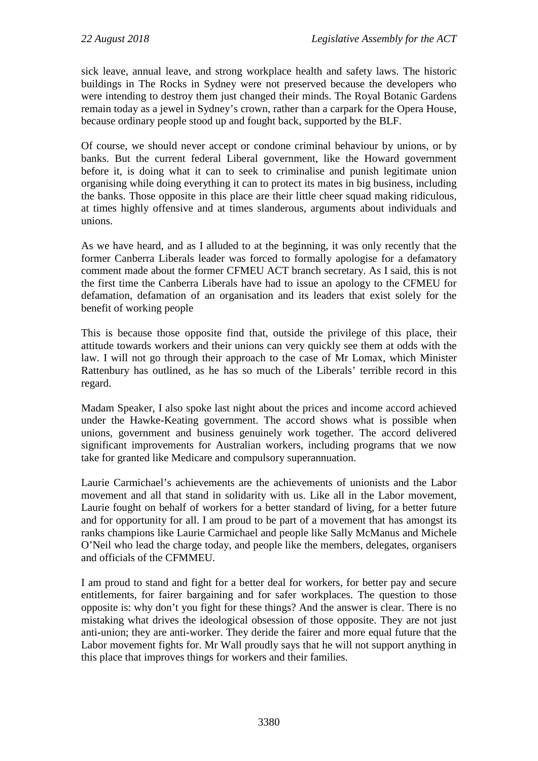sick leave, annual leave, and strong workplace health and safety laws. The historic buildings in The Rocks in Sydney were not preserved because the developers who were intending to destroy them just changed their minds. The Royal Botanic Gardens remain today as a jewel in Sydney's crown, rather than a carpark for the Opera House, because ordinary people stood up and fought back, supported by the BLF.

Of course, we should never accept or condone criminal behaviour by unions, or by banks. But the current federal Liberal government, like the Howard government before it, is doing what it can to seek to criminalise and punish legitimate union organising while doing everything it can to protect its mates in big business, including the banks. Those opposite in this place are their little cheer squad making ridiculous, at times highly offensive and at times slanderous, arguments about individuals and unions.

As we have heard, and as I alluded to at the beginning, it was only recently that the former Canberra Liberals leader was forced to formally apologise for a defamatory comment made about the former CFMEU ACT branch secretary. As I said, this is not the first time the Canberra Liberals have had to issue an apology to the CFMEU for defamation, defamation of an organisation and its leaders that exist solely for the benefit of working people

This is because those opposite find that, outside the privilege of this place, their attitude towards workers and their unions can very quickly see them at odds with the law. I will not go through their approach to the case of Mr Lomax, which Minister Rattenbury has outlined, as he has so much of the Liberals' terrible record in this regard.

Madam Speaker, I also spoke last night about the prices and income accord achieved under the Hawke-Keating government. The accord shows what is possible when unions, government and business genuinely work together. The accord delivered significant improvements for Australian workers, including programs that we now take for granted like Medicare and compulsory superannuation.

Laurie Carmichael's achievements are the achievements of unionists and the Labor movement and all that stand in solidarity with us. Like all in the Labor movement, Laurie fought on behalf of workers for a better standard of living, for a better future and for opportunity for all. I am proud to be part of a movement that has amongst its ranks champions like Laurie Carmichael and people like Sally McManus and Michele O'Neil who lead the charge today, and people like the members, delegates, organisers and officials of the CFMMEU.

I am proud to stand and fight for a better deal for workers, for better pay and secure entitlements, for fairer bargaining and for safer workplaces. The question to those opposite is: why don't you fight for these things? And the answer is clear. There is no mistaking what drives the ideological obsession of those opposite. They are not just anti-union; they are anti-worker. They deride the fairer and more equal future that the Labor movement fights for. Mr Wall proudly says that he will not support anything in this place that improves things for workers and their families.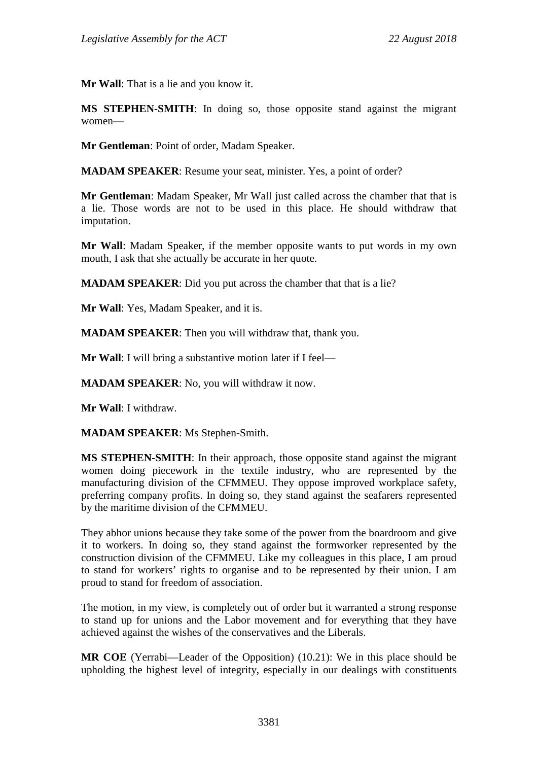**Mr Wall**: That is a lie and you know it.

**MS STEPHEN-SMITH**: In doing so, those opposite stand against the migrant women—

**Mr Gentleman**: Point of order, Madam Speaker.

**MADAM SPEAKER**: Resume your seat, minister. Yes, a point of order?

**Mr Gentleman**: Madam Speaker, Mr Wall just called across the chamber that that is a lie. Those words are not to be used in this place. He should withdraw that imputation.

**Mr Wall**: Madam Speaker, if the member opposite wants to put words in my own mouth, I ask that she actually be accurate in her quote.

**MADAM SPEAKER:** Did you put across the chamber that that is a lie?

**Mr Wall**: Yes, Madam Speaker, and it is.

**MADAM SPEAKER**: Then you will withdraw that, thank you.

**Mr Wall**: I will bring a substantive motion later if I feel—

**MADAM SPEAKER**: No, you will withdraw it now.

**Mr Wall**: I withdraw.

**MADAM SPEAKER**: Ms Stephen-Smith.

**MS STEPHEN-SMITH**: In their approach, those opposite stand against the migrant women doing piecework in the textile industry, who are represented by the manufacturing division of the CFMMEU. They oppose improved workplace safety, preferring company profits. In doing so, they stand against the seafarers represented by the maritime division of the CFMMEU.

They abhor unions because they take some of the power from the boardroom and give it to workers. In doing so, they stand against the formworker represented by the construction division of the CFMMEU. Like my colleagues in this place, I am proud to stand for workers' rights to organise and to be represented by their union. I am proud to stand for freedom of association.

The motion, in my view, is completely out of order but it warranted a strong response to stand up for unions and the Labor movement and for everything that they have achieved against the wishes of the conservatives and the Liberals.

**MR COE** (Yerrabi—Leader of the Opposition) (10.21): We in this place should be upholding the highest level of integrity, especially in our dealings with constituents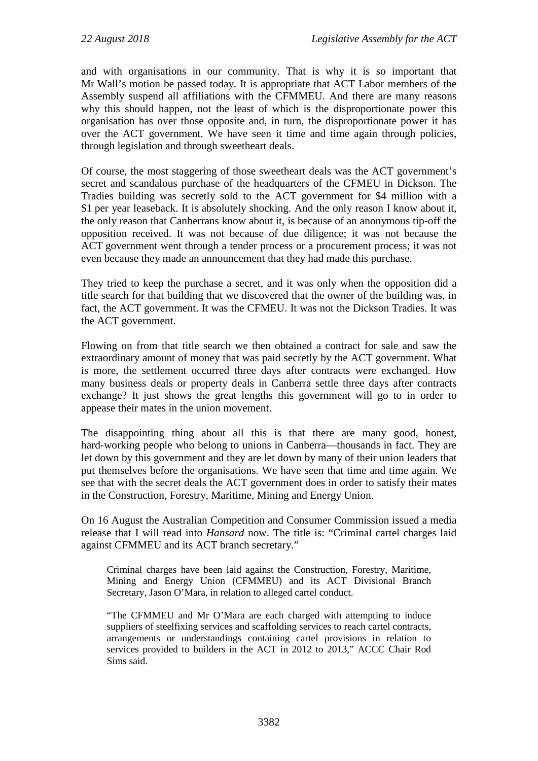and with organisations in our community. That is why it is so important that Mr Wall's motion be passed today. It is appropriate that ACT Labor members of the Assembly suspend all affiliations with the CFMMEU. And there are many reasons why this should happen, not the least of which is the disproportionate power this organisation has over those opposite and, in turn, the disproportionate power it has over the ACT government. We have seen it time and time again through policies, through legislation and through sweetheart deals.

Of course, the most staggering of those sweetheart deals was the ACT government's secret and scandalous purchase of the headquarters of the CFMEU in Dickson. The Tradies building was secretly sold to the ACT government for \$4 million with a \$1 per year leaseback. It is absolutely shocking. And the only reason I know about it, the only reason that Canberrans know about it, is because of an anonymous tip-off the opposition received. It was not because of due diligence; it was not because the ACT government went through a tender process or a procurement process; it was not even because they made an announcement that they had made this purchase.

They tried to keep the purchase a secret, and it was only when the opposition did a title search for that building that we discovered that the owner of the building was, in fact, the ACT government. It was the CFMEU. It was not the Dickson Tradies. It was the ACT government.

Flowing on from that title search we then obtained a contract for sale and saw the extraordinary amount of money that was paid secretly by the ACT government. What is more, the settlement occurred three days after contracts were exchanged. How many business deals or property deals in Canberra settle three days after contracts exchange? It just shows the great lengths this government will go to in order to appease their mates in the union movement.

The disappointing thing about all this is that there are many good, honest, hard-working people who belong to unions in Canberra—thousands in fact. They are let down by this government and they are let down by many of their union leaders that put themselves before the organisations. We have seen that time and time again. We see that with the secret deals the ACT government does in order to satisfy their mates in the Construction, Forestry, Maritime, Mining and Energy Union.

On 16 August the Australian Competition and Consumer Commission issued a media release that I will read into *Hansard* now. The title is: "Criminal cartel charges laid against CFMMEU and its ACT branch secretary."

Criminal charges have been laid against the Construction, Forestry, Maritime, Mining and Energy Union (CFMMEU) and its ACT Divisional Branch Secretary, Jason O'Mara, in relation to alleged cartel conduct.

"The CFMMEU and Mr O'Mara are each charged with attempting to induce suppliers of steelfixing services and scaffolding services to reach cartel contracts, arrangements or understandings containing cartel provisions in relation to services provided to builders in the ACT in 2012 to 2013," ACCC Chair Rod Sims said.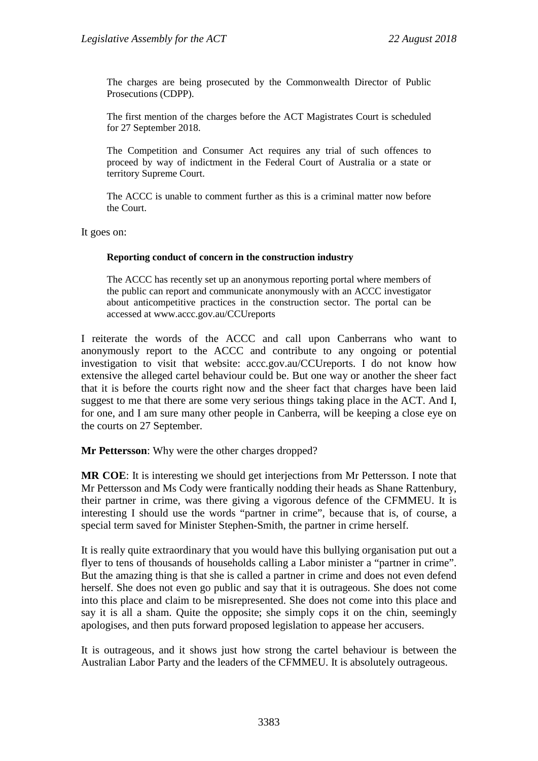The charges are being prosecuted by the Commonwealth Director of Public Prosecutions (CDPP).

The first mention of the charges before the ACT Magistrates Court is scheduled for 27 September 2018.

The Competition and Consumer Act requires any trial of such offences to proceed by way of indictment in the Federal Court of Australia or a state or territory Supreme Court.

The ACCC is unable to comment further as this is a criminal matter now before the Court.

It goes on:

#### **Reporting conduct of concern in the construction industry**

The ACCC has recently set up an anonymous reporting portal where members of the public can report and communicate anonymously with an ACCC investigator about anticompetitive practices in the construction sector. The portal can be accessed at [www.accc.gov.au/CCUreports](https://www.accc.gov.au/ccureports)

I reiterate the words of the ACCC and call upon Canberrans who want to anonymously report to the ACCC and contribute to any ongoing or potential investigation to visit that website: accc.gov.au/CCUreports. I do not know how extensive the alleged cartel behaviour could be. But one way or another the sheer fact that it is before the courts right now and the sheer fact that charges have been laid suggest to me that there are some very serious things taking place in the ACT. And I, for one, and I am sure many other people in Canberra, will be keeping a close eye on the courts on 27 September.

**Mr Pettersson**: Why were the other charges dropped?

**MR COE**: It is interesting we should get interjections from Mr Pettersson. I note that Mr Pettersson and Ms Cody were frantically nodding their heads as Shane Rattenbury, their partner in crime, was there giving a vigorous defence of the CFMMEU. It is interesting I should use the words "partner in crime", because that is, of course, a special term saved for Minister Stephen-Smith, the partner in crime herself.

It is really quite extraordinary that you would have this bullying organisation put out a flyer to tens of thousands of households calling a Labor minister a "partner in crime". But the amazing thing is that she is called a partner in crime and does not even defend herself. She does not even go public and say that it is outrageous. She does not come into this place and claim to be misrepresented. She does not come into this place and say it is all a sham. Quite the opposite; she simply cops it on the chin, seemingly apologises, and then puts forward proposed legislation to appease her accusers.

It is outrageous, and it shows just how strong the cartel behaviour is between the Australian Labor Party and the leaders of the CFMMEU. It is absolutely outrageous.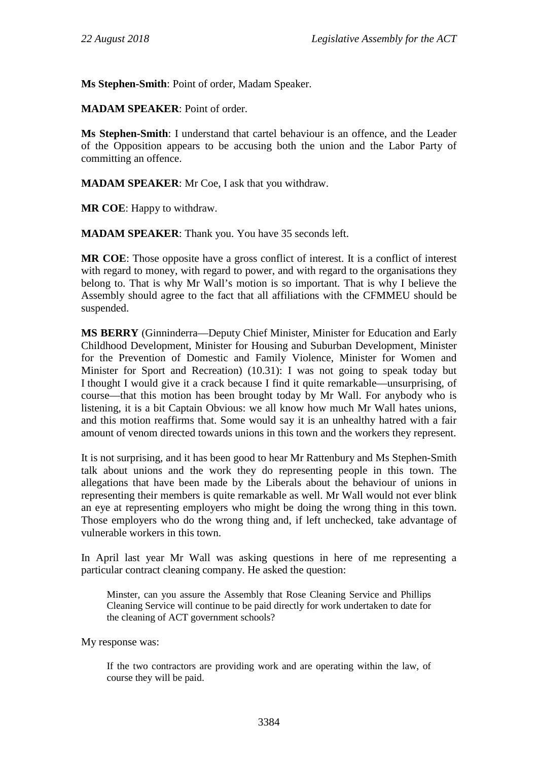**Ms Stephen-Smith**: Point of order, Madam Speaker.

**MADAM SPEAKER**: Point of order.

**Ms Stephen-Smith**: I understand that cartel behaviour is an offence, and the Leader of the Opposition appears to be accusing both the union and the Labor Party of committing an offence.

**MADAM SPEAKER**: Mr Coe, I ask that you withdraw.

**MR COE**: Happy to withdraw.

**MADAM SPEAKER**: Thank you. You have 35 seconds left.

**MR COE**: Those opposite have a gross conflict of interest. It is a conflict of interest with regard to money, with regard to power, and with regard to the organisations they belong to. That is why Mr Wall's motion is so important. That is why I believe the Assembly should agree to the fact that all affiliations with the CFMMEU should be suspended.

**MS BERRY** (Ginninderra—Deputy Chief Minister, Minister for Education and Early Childhood Development, Minister for Housing and Suburban Development, Minister for the Prevention of Domestic and Family Violence, Minister for Women and Minister for Sport and Recreation) (10.31): I was not going to speak today but I thought I would give it a crack because I find it quite remarkable—unsurprising, of course—that this motion has been brought today by Mr Wall. For anybody who is listening, it is a bit Captain Obvious: we all know how much Mr Wall hates unions, and this motion reaffirms that. Some would say it is an unhealthy hatred with a fair amount of venom directed towards unions in this town and the workers they represent.

It is not surprising, and it has been good to hear Mr Rattenbury and Ms Stephen-Smith talk about unions and the work they do representing people in this town. The allegations that have been made by the Liberals about the behaviour of unions in representing their members is quite remarkable as well. Mr Wall would not ever blink an eye at representing employers who might be doing the wrong thing in this town. Those employers who do the wrong thing and, if left unchecked, take advantage of vulnerable workers in this town.

In April last year Mr Wall was asking questions in here of me representing a particular contract cleaning company. He asked the question:

Minster, can you assure the Assembly that Rose Cleaning Service and Phillips Cleaning Service will continue to be paid directly for work undertaken to date for the cleaning of ACT government schools?

My response was:

If the two contractors are providing work and are operating within the law, of course they will be paid.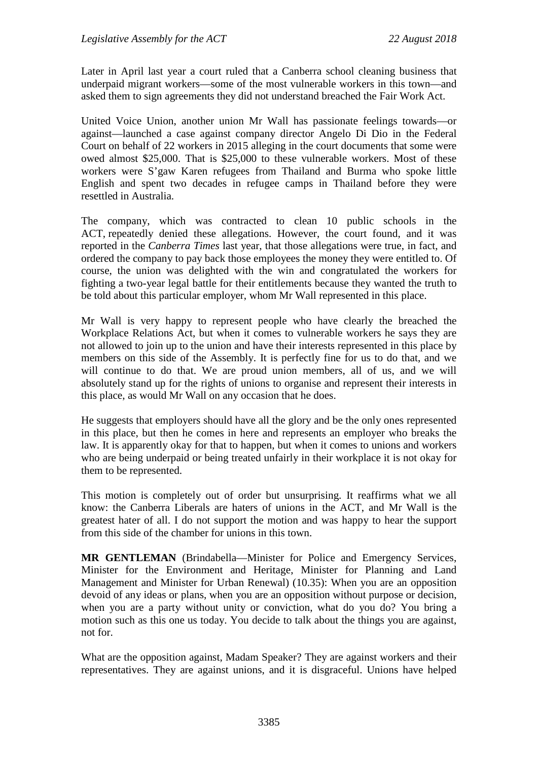Later in April last year a court ruled that a Canberra school cleaning business that underpaid migrant workers—some of the most vulnerable workers in this town—and asked them to sign agreements they did not understand breached the Fair Work Act.

United Voice Union, another union Mr Wall has passionate feelings towards—or against—launched a case against company director Angelo Di Dio in the Federal Court on behalf of 22 workers in 2015 alleging in the court documents that some were owed almost \$25,000. That is \$25,000 to these vulnerable workers. Most of these workers were S'gaw Karen refugees from Thailand and Burma who spoke little English and spent two decades in refugee camps in Thailand before they were resettled in Australia.

The company, which was contracted to clean 10 public schools in the ACT, repeatedly denied these allegations. However, the court found, and it was reported in the *Canberra Times* last year, that those allegations were true, in fact, and ordered the company to pay back those employees the money they were entitled to. Of course, the union was delighted with the win and congratulated the workers for fighting a two-year legal battle for their entitlements because they wanted the truth to be told about this particular employer, whom Mr Wall represented in this place.

Mr Wall is very happy to represent people who have clearly the breached the Workplace Relations Act, but when it comes to vulnerable workers he says they are not allowed to join up to the union and have their interests represented in this place by members on this side of the Assembly. It is perfectly fine for us to do that, and we will continue to do that. We are proud union members, all of us, and we will absolutely stand up for the rights of unions to organise and represent their interests in this place, as would Mr Wall on any occasion that he does.

He suggests that employers should have all the glory and be the only ones represented in this place, but then he comes in here and represents an employer who breaks the law. It is apparently okay for that to happen, but when it comes to unions and workers who are being underpaid or being treated unfairly in their workplace it is not okay for them to be represented.

This motion is completely out of order but unsurprising. It reaffirms what we all know: the Canberra Liberals are haters of unions in the ACT, and Mr Wall is the greatest hater of all. I do not support the motion and was happy to hear the support from this side of the chamber for unions in this town.

**MR GENTLEMAN** (Brindabella—Minister for Police and Emergency Services, Minister for the Environment and Heritage, Minister for Planning and Land Management and Minister for Urban Renewal) (10.35): When you are an opposition devoid of any ideas or plans, when you are an opposition without purpose or decision, when you are a party without unity or conviction, what do you do? You bring a motion such as this one us today. You decide to talk about the things you are against, not for.

What are the opposition against, Madam Speaker? They are against workers and their representatives. They are against unions, and it is disgraceful. Unions have helped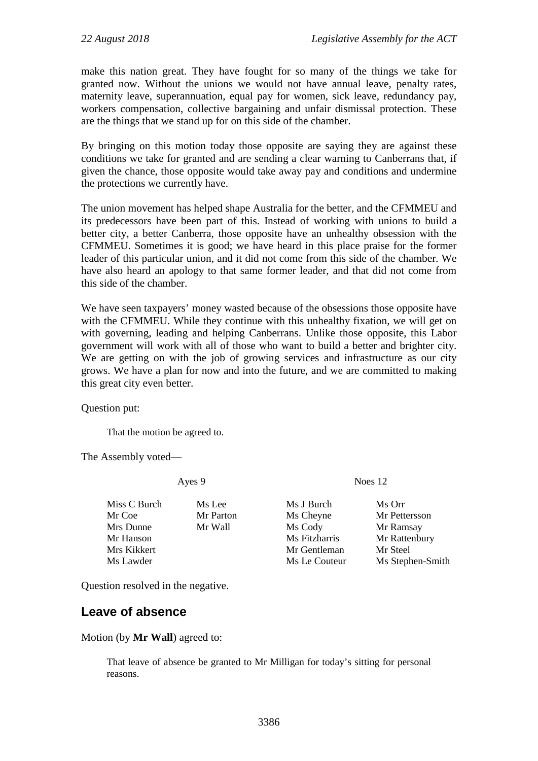make this nation great. They have fought for so many of the things we take for granted now. Without the unions we would not have annual leave, penalty rates, maternity leave, superannuation, equal pay for women, sick leave, redundancy pay, workers compensation, collective bargaining and unfair dismissal protection. These are the things that we stand up for on this side of the chamber.

By bringing on this motion today those opposite are saying they are against these conditions we take for granted and are sending a clear warning to Canberrans that, if given the chance, those opposite would take away pay and conditions and undermine the protections we currently have.

The union movement has helped shape Australia for the better, and the CFMMEU and its predecessors have been part of this. Instead of working with unions to build a better city, a better Canberra, those opposite have an unhealthy obsession with the CFMMEU. Sometimes it is good; we have heard in this place praise for the former leader of this particular union, and it did not come from this side of the chamber. We have also heard an apology to that same former leader, and that did not come from this side of the chamber.

We have seen taxpayers' money wasted because of the obsessions those opposite have with the CFMMEU. While they continue with this unhealthy fixation, we will get on with governing, leading and helping Canberrans. Unlike those opposite, this Labor government will work with all of those who want to build a better and brighter city. We are getting on with the job of growing services and infrastructure as our city grows. We have a plan for now and into the future, and we are committed to making this great city even better.

Question put:

That the motion be agreed to.

The Assembly voted—

Miss C Burch Ms Lee Ms J Burch Ms Orr Mrs Dunne Mr Wall Ms Cody Mr Ramsay<br>
Mr Hanson Mr Ms Fitzharris Mr Rattenbu Mrs Kikkert **Mrs** Mr Gentleman Mr Steel

Ayes 9 Noes 12

Mr Coe Mr Parton Ms Cheyne Mr Pettersson Mr Hanson Ms Fitzharris Mr Rattenbury Ms Lawder Ms Le Couteur Ms Stephen-Smith

Question resolved in the negative.

## <span id="page-13-0"></span>**Leave of absence**

Motion (by **Mr Wall**) agreed to:

That leave of absence be granted to Mr Milligan for today's sitting for personal reasons.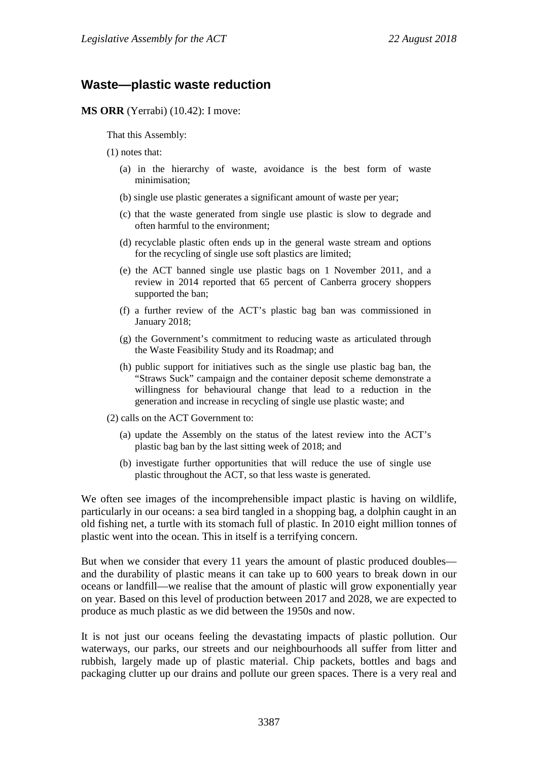### <span id="page-14-0"></span>**Waste—plastic waste reduction**

**MS ORR** (Yerrabi) (10.42): I move:

That this Assembly:

- (1) notes that:
	- (a) in the hierarchy of waste, avoidance is the best form of waste minimisation;
	- (b) single use plastic generates a significant amount of waste per year;
	- (c) that the waste generated from single use plastic is slow to degrade and often harmful to the environment;
	- (d) recyclable plastic often ends up in the general waste stream and options for the recycling of single use soft plastics are limited;
	- (e) the ACT banned single use plastic bags on 1 November 2011, and a review in 2014 reported that 65 percent of Canberra grocery shoppers supported the ban;
	- (f) a further review of the ACT's plastic bag ban was commissioned in January 2018;
	- (g) the Government's commitment to reducing waste as articulated through the Waste Feasibility Study and its Roadmap; and
	- (h) public support for initiatives such as the single use plastic bag ban, the "Straws Suck" campaign and the container deposit scheme demonstrate a willingness for behavioural change that lead to a reduction in the generation and increase in recycling of single use plastic waste; and
- (2) calls on the ACT Government to:
	- (a) update the Assembly on the status of the latest review into the ACT's plastic bag ban by the last sitting week of 2018; and
	- (b) investigate further opportunities that will reduce the use of single use plastic throughout the ACT, so that less waste is generated.

We often see images of the incomprehensible impact plastic is having on wildlife, particularly in our oceans: a sea bird tangled in a shopping bag, a dolphin caught in an old fishing net, a turtle with its stomach full of plastic. In 2010 eight million tonnes of plastic went into the ocean. This in itself is a terrifying concern.

But when we consider that every 11 years the amount of plastic produced doubles and the durability of plastic means it can take up to 600 years to break down in our oceans or landfill—we realise that the amount of plastic will grow exponentially year on year. Based on this level of production between 2017 and 2028, we are expected to produce as much plastic as we did between the 1950s and now.

It is not just our oceans feeling the devastating impacts of plastic pollution. Our waterways, our parks, our streets and our neighbourhoods all suffer from litter and rubbish, largely made up of plastic material. Chip packets, bottles and bags and packaging clutter up our drains and pollute our green spaces. There is a very real and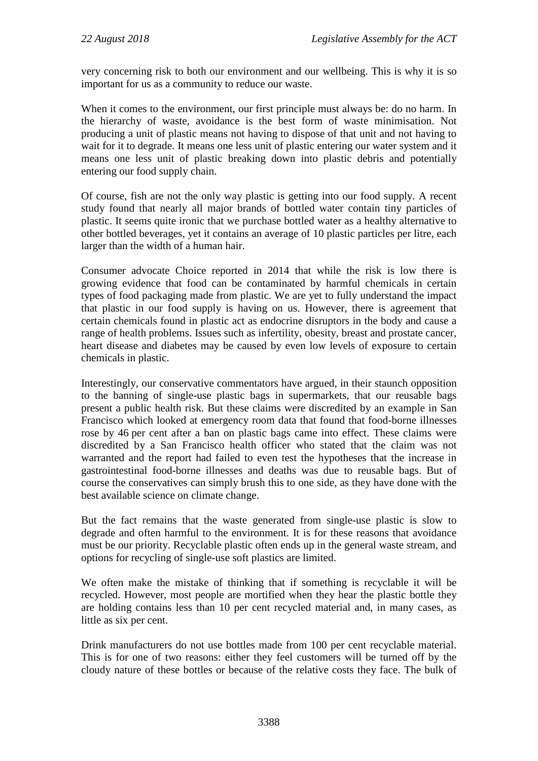very concerning risk to both our environment and our wellbeing. This is why it is so important for us as a community to reduce our waste.

When it comes to the environment, our first principle must always be: do no harm. In the hierarchy of waste, avoidance is the best form of waste minimisation. Not producing a unit of plastic means not having to dispose of that unit and not having to wait for it to degrade. It means one less unit of plastic entering our water system and it means one less unit of plastic breaking down into plastic debris and potentially entering our food supply chain.

Of course, fish are not the only way plastic is getting into our food supply. A recent study found that nearly all major brands of bottled water contain tiny particles of plastic. It seems quite ironic that we purchase bottled water as a healthy alternative to other bottled beverages, yet it contains an average of 10 plastic particles per litre, each larger than the width of a human hair.

Consumer advocate Choice reported in 2014 that while the risk is low there is growing evidence that food can be contaminated by harmful chemicals in certain types of food packaging made from plastic. We are yet to fully understand the impact that plastic in our food supply is having on us. However, there is agreement that certain chemicals found in plastic act as endocrine disruptors in the body and cause a range of health problems. Issues such as infertility, obesity, breast and prostate cancer, heart disease and diabetes may be caused by even low levels of exposure to certain chemicals in plastic.

Interestingly, our conservative commentators have argued, in their staunch opposition to the banning of single-use plastic bags in supermarkets, that our reusable bags present a public health risk. But these claims were discredited by an example in San Francisco which looked at emergency room data that found that food-borne illnesses rose by 46 per cent after a ban on plastic bags came into effect. These claims were discredited by a San Francisco health officer who stated that the claim was not warranted and the report had failed to even test the hypotheses that the increase in gastrointestinal food-borne illnesses and deaths was due to reusable bags. But of course the conservatives can simply brush this to one side, as they have done with the best available science on climate change.

But the fact remains that the waste generated from single-use plastic is slow to degrade and often harmful to the environment. It is for these reasons that avoidance must be our priority. Recyclable plastic often ends up in the general waste stream, and options for recycling of single-use soft plastics are limited.

We often make the mistake of thinking that if something is recyclable it will be recycled. However, most people are mortified when they hear the plastic bottle they are holding contains less than 10 per cent recycled material and, in many cases, as little as six per cent.

Drink manufacturers do not use bottles made from 100 per cent recyclable material. This is for one of two reasons: either they feel customers will be turned off by the cloudy nature of these bottles or because of the relative costs they face. The bulk of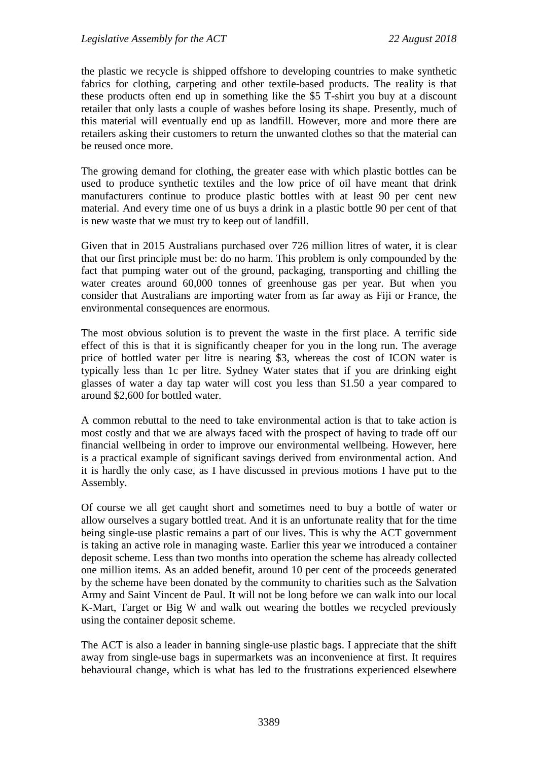the plastic we recycle is shipped offshore to developing countries to make synthetic fabrics for clothing, carpeting and other textile-based products. The reality is that these products often end up in something like the \$5 T-shirt you buy at a discount retailer that only lasts a couple of washes before losing its shape. Presently, much of this material will eventually end up as landfill. However, more and more there are retailers asking their customers to return the unwanted clothes so that the material can be reused once more.

The growing demand for clothing, the greater ease with which plastic bottles can be used to produce synthetic textiles and the low price of oil have meant that drink manufacturers continue to produce plastic bottles with at least 90 per cent new material. And every time one of us buys a drink in a plastic bottle 90 per cent of that is new waste that we must try to keep out of landfill.

Given that in 2015 Australians purchased over 726 million litres of water, it is clear that our first principle must be: do no harm. This problem is only compounded by the fact that pumping water out of the ground, packaging, transporting and chilling the water creates around 60,000 tonnes of greenhouse gas per year. But when you consider that Australians are importing water from as far away as Fiji or France, the environmental consequences are enormous.

The most obvious solution is to prevent the waste in the first place. A terrific side effect of this is that it is significantly cheaper for you in the long run. The average price of bottled water per litre is nearing \$3, whereas the cost of ICON water is typically less than 1c per litre. Sydney Water states that if you are drinking eight glasses of water a day tap water will cost you less than \$1.50 a year compared to around \$2,600 for bottled water.

A common rebuttal to the need to take environmental action is that to take action is most costly and that we are always faced with the prospect of having to trade off our financial wellbeing in order to improve our environmental wellbeing. However, here is a practical example of significant savings derived from environmental action. And it is hardly the only case, as I have discussed in previous motions I have put to the Assembly.

Of course we all get caught short and sometimes need to buy a bottle of water or allow ourselves a sugary bottled treat. And it is an unfortunate reality that for the time being single-use plastic remains a part of our lives. This is why the ACT government is taking an active role in managing waste. Earlier this year we introduced a container deposit scheme. Less than two months into operation the scheme has already collected one million items. As an added benefit, around 10 per cent of the proceeds generated by the scheme have been donated by the community to charities such as the Salvation Army and Saint Vincent de Paul. It will not be long before we can walk into our local K-Mart, Target or Big W and walk out wearing the bottles we recycled previously using the container deposit scheme.

The ACT is also a leader in banning single-use plastic bags. I appreciate that the shift away from single-use bags in supermarkets was an inconvenience at first. It requires behavioural change, which is what has led to the frustrations experienced elsewhere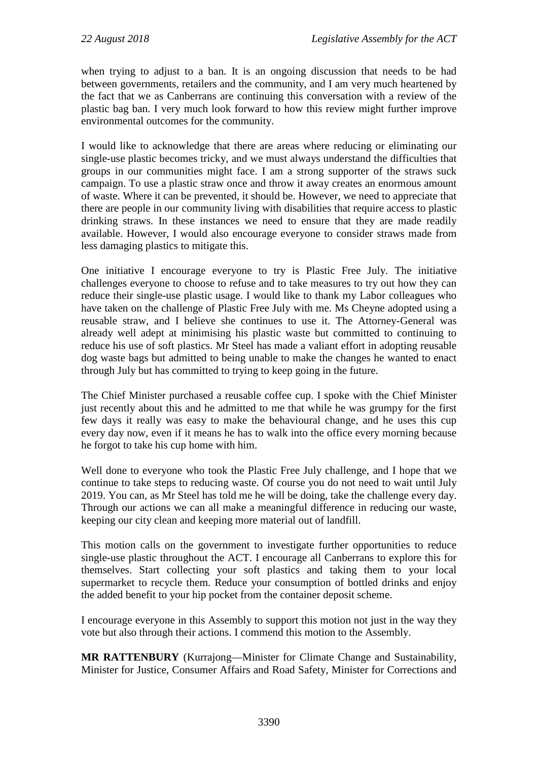when trying to adjust to a ban. It is an ongoing discussion that needs to be had between governments, retailers and the community, and I am very much heartened by the fact that we as Canberrans are continuing this conversation with a review of the plastic bag ban. I very much look forward to how this review might further improve environmental outcomes for the community.

I would like to acknowledge that there are areas where reducing or eliminating our single-use plastic becomes tricky, and we must always understand the difficulties that groups in our communities might face. I am a strong supporter of the straws suck campaign. To use a plastic straw once and throw it away creates an enormous amount of waste. Where it can be prevented, it should be. However, we need to appreciate that there are people in our community living with disabilities that require access to plastic drinking straws. In these instances we need to ensure that they are made readily available. However, I would also encourage everyone to consider straws made from less damaging plastics to mitigate this.

One initiative I encourage everyone to try is Plastic Free July. The initiative challenges everyone to choose to refuse and to take measures to try out how they can reduce their single-use plastic usage. I would like to thank my Labor colleagues who have taken on the challenge of Plastic Free July with me. Ms Cheyne adopted using a reusable straw, and I believe she continues to use it. The Attorney-General was already well adept at minimising his plastic waste but committed to continuing to reduce his use of soft plastics. Mr Steel has made a valiant effort in adopting reusable dog waste bags but admitted to being unable to make the changes he wanted to enact through July but has committed to trying to keep going in the future.

The Chief Minister purchased a reusable coffee cup. I spoke with the Chief Minister just recently about this and he admitted to me that while he was grumpy for the first few days it really was easy to make the behavioural change, and he uses this cup every day now, even if it means he has to walk into the office every morning because he forgot to take his cup home with him.

Well done to everyone who took the Plastic Free July challenge, and I hope that we continue to take steps to reducing waste. Of course you do not need to wait until July 2019. You can, as Mr Steel has told me he will be doing, take the challenge every day. Through our actions we can all make a meaningful difference in reducing our waste, keeping our city clean and keeping more material out of landfill.

This motion calls on the government to investigate further opportunities to reduce single-use plastic throughout the ACT. I encourage all Canberrans to explore this for themselves. Start collecting your soft plastics and taking them to your local supermarket to recycle them. Reduce your consumption of bottled drinks and enjoy the added benefit to your hip pocket from the container deposit scheme.

I encourage everyone in this Assembly to support this motion not just in the way they vote but also through their actions. I commend this motion to the Assembly.

**MR RATTENBURY** (Kurrajong—Minister for Climate Change and Sustainability, Minister for Justice, Consumer Affairs and Road Safety, Minister for Corrections and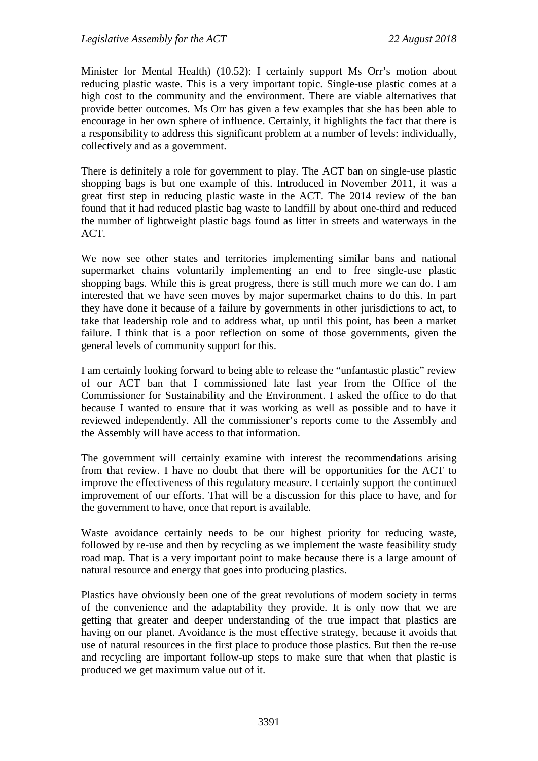Minister for Mental Health) (10.52): I certainly support Ms Orr's motion about reducing plastic waste. This is a very important topic. Single-use plastic comes at a high cost to the community and the environment. There are viable alternatives that provide better outcomes. Ms Orr has given a few examples that she has been able to encourage in her own sphere of influence. Certainly, it highlights the fact that there is a responsibility to address this significant problem at a number of levels: individually, collectively and as a government.

There is definitely a role for government to play. The ACT ban on single-use plastic shopping bags is but one example of this. Introduced in November 2011, it was a great first step in reducing plastic waste in the ACT. The 2014 review of the ban found that it had reduced plastic bag waste to landfill by about one-third and reduced the number of lightweight plastic bags found as litter in streets and waterways in the ACT.

We now see other states and territories implementing similar bans and national supermarket chains voluntarily implementing an end to free single-use plastic shopping bags. While this is great progress, there is still much more we can do. I am interested that we have seen moves by major supermarket chains to do this. In part they have done it because of a failure by governments in other jurisdictions to act, to take that leadership role and to address what, up until this point, has been a market failure. I think that is a poor reflection on some of those governments, given the general levels of community support for this.

I am certainly looking forward to being able to release the "unfantastic plastic" review of our ACT ban that I commissioned late last year from the Office of the Commissioner for Sustainability and the Environment. I asked the office to do that because I wanted to ensure that it was working as well as possible and to have it reviewed independently. All the commissioner's reports come to the Assembly and the Assembly will have access to that information.

The government will certainly examine with interest the recommendations arising from that review. I have no doubt that there will be opportunities for the ACT to improve the effectiveness of this regulatory measure. I certainly support the continued improvement of our efforts. That will be a discussion for this place to have, and for the government to have, once that report is available.

Waste avoidance certainly needs to be our highest priority for reducing waste, followed by re-use and then by recycling as we implement the waste feasibility study road map. That is a very important point to make because there is a large amount of natural resource and energy that goes into producing plastics.

Plastics have obviously been one of the great revolutions of modern society in terms of the convenience and the adaptability they provide. It is only now that we are getting that greater and deeper understanding of the true impact that plastics are having on our planet. Avoidance is the most effective strategy, because it avoids that use of natural resources in the first place to produce those plastics. But then the re-use and recycling are important follow-up steps to make sure that when that plastic is produced we get maximum value out of it.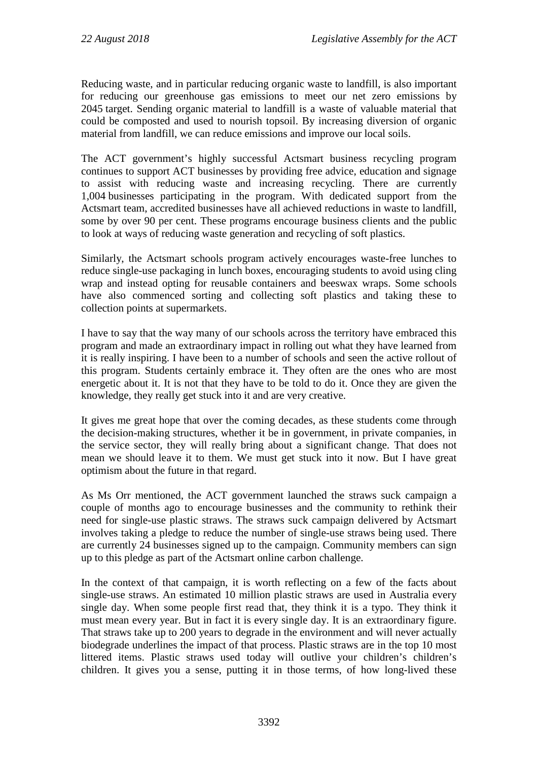Reducing waste, and in particular reducing organic waste to landfill, is also important for reducing our greenhouse gas emissions to meet our net zero emissions by 2045 target. Sending organic material to landfill is a waste of valuable material that could be composted and used to nourish topsoil. By increasing diversion of organic material from landfill, we can reduce emissions and improve our local soils.

The ACT government's highly successful Actsmart business recycling program continues to support ACT businesses by providing free advice, education and signage to assist with reducing waste and increasing recycling. There are currently 1,004 businesses participating in the program. With dedicated support from the Actsmart team, accredited businesses have all achieved reductions in waste to landfill, some by over 90 per cent. These programs encourage business clients and the public to look at ways of reducing waste generation and recycling of soft plastics.

Similarly, the Actsmart schools program actively encourages waste-free lunches to reduce single-use packaging in lunch boxes, encouraging students to avoid using cling wrap and instead opting for reusable containers and beeswax wraps. Some schools have also commenced sorting and collecting soft plastics and taking these to collection points at supermarkets.

I have to say that the way many of our schools across the territory have embraced this program and made an extraordinary impact in rolling out what they have learned from it is really inspiring. I have been to a number of schools and seen the active rollout of this program. Students certainly embrace it. They often are the ones who are most energetic about it. It is not that they have to be told to do it. Once they are given the knowledge, they really get stuck into it and are very creative.

It gives me great hope that over the coming decades, as these students come through the decision-making structures, whether it be in government, in private companies, in the service sector, they will really bring about a significant change. That does not mean we should leave it to them. We must get stuck into it now. But I have great optimism about the future in that regard.

As Ms Orr mentioned, the ACT government launched the straws suck campaign a couple of months ago to encourage businesses and the community to rethink their need for single-use plastic straws. The straws suck campaign delivered by Actsmart involves taking a pledge to reduce the number of single-use straws being used. There are currently 24 businesses signed up to the campaign. Community members can sign up to this pledge as part of the Actsmart online carbon challenge.

In the context of that campaign, it is worth reflecting on a few of the facts about single-use straws. An estimated 10 million plastic straws are used in Australia every single day. When some people first read that, they think it is a typo. They think it must mean every year. But in fact it is every single day. It is an extraordinary figure. That straws take up to 200 years to degrade in the environment and will never actually biodegrade underlines the impact of that process. Plastic straws are in the top 10 most littered items. Plastic straws used today will outlive your children's children's children. It gives you a sense, putting it in those terms, of how long-lived these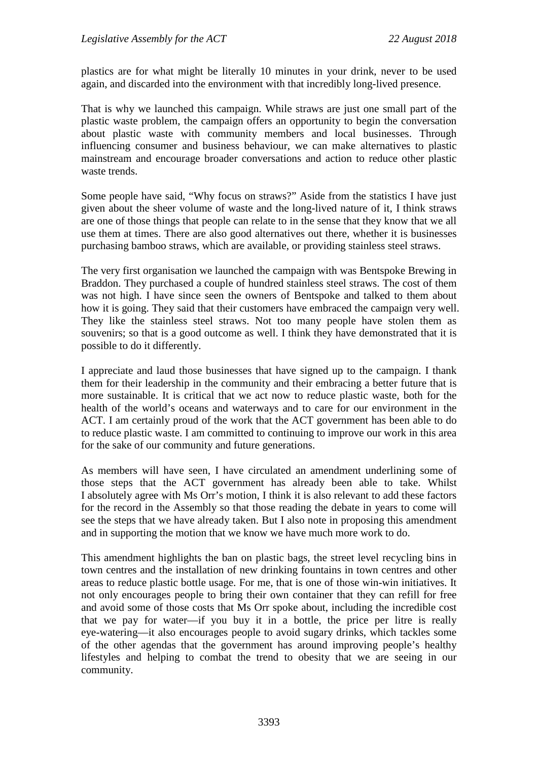plastics are for what might be literally 10 minutes in your drink, never to be used again, and discarded into the environment with that incredibly long-lived presence.

That is why we launched this campaign. While straws are just one small part of the plastic waste problem, the campaign offers an opportunity to begin the conversation about plastic waste with community members and local businesses. Through influencing consumer and business behaviour, we can make alternatives to plastic mainstream and encourage broader conversations and action to reduce other plastic waste trends.

Some people have said, "Why focus on straws?" Aside from the statistics I have just given about the sheer volume of waste and the long-lived nature of it, I think straws are one of those things that people can relate to in the sense that they know that we all use them at times. There are also good alternatives out there, whether it is businesses purchasing bamboo straws, which are available, or providing stainless steel straws.

The very first organisation we launched the campaign with was Bentspoke Brewing in Braddon. They purchased a couple of hundred stainless steel straws. The cost of them was not high. I have since seen the owners of Bentspoke and talked to them about how it is going. They said that their customers have embraced the campaign very well. They like the stainless steel straws. Not too many people have stolen them as souvenirs; so that is a good outcome as well. I think they have demonstrated that it is possible to do it differently.

I appreciate and laud those businesses that have signed up to the campaign. I thank them for their leadership in the community and their embracing a better future that is more sustainable. It is critical that we act now to reduce plastic waste, both for the health of the world's oceans and waterways and to care for our environment in the ACT. I am certainly proud of the work that the ACT government has been able to do to reduce plastic waste. I am committed to continuing to improve our work in this area for the sake of our community and future generations.

As members will have seen, I have circulated an amendment underlining some of those steps that the ACT government has already been able to take. Whilst I absolutely agree with Ms Orr's motion, I think it is also relevant to add these factors for the record in the Assembly so that those reading the debate in years to come will see the steps that we have already taken. But I also note in proposing this amendment and in supporting the motion that we know we have much more work to do.

This amendment highlights the ban on plastic bags, the street level recycling bins in town centres and the installation of new drinking fountains in town centres and other areas to reduce plastic bottle usage. For me, that is one of those win-win initiatives. It not only encourages people to bring their own container that they can refill for free and avoid some of those costs that Ms Orr spoke about, including the incredible cost that we pay for water—if you buy it in a bottle, the price per litre is really eye-watering—it also encourages people to avoid sugary drinks, which tackles some of the other agendas that the government has around improving people's healthy lifestyles and helping to combat the trend to obesity that we are seeing in our community.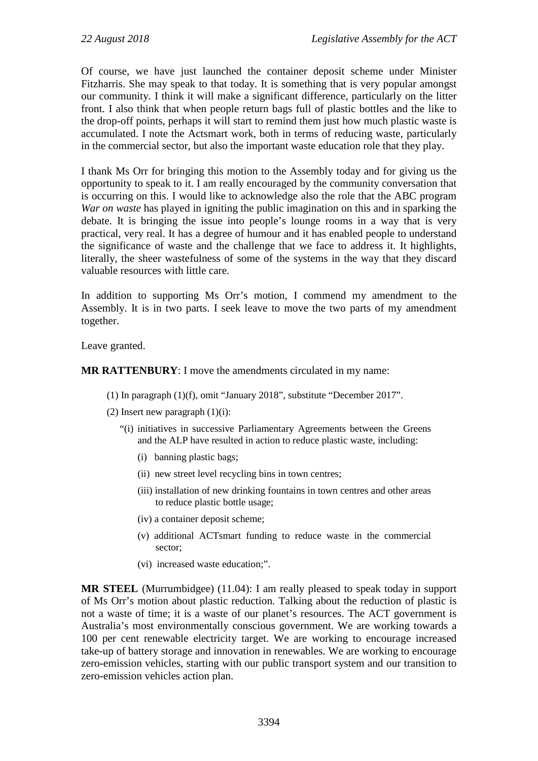Of course, we have just launched the container deposit scheme under Minister Fitzharris. She may speak to that today. It is something that is very popular amongst our community. I think it will make a significant difference, particularly on the litter front. I also think that when people return bags full of plastic bottles and the like to the drop-off points, perhaps it will start to remind them just how much plastic waste is accumulated. I note the Actsmart work, both in terms of reducing waste, particularly in the commercial sector, but also the important waste education role that they play.

I thank Ms Orr for bringing this motion to the Assembly today and for giving us the opportunity to speak to it. I am really encouraged by the community conversation that is occurring on this. I would like to acknowledge also the role that the ABC program *War on waste* has played in igniting the public imagination on this and in sparking the debate. It is bringing the issue into people's lounge rooms in a way that is very practical, very real. It has a degree of humour and it has enabled people to understand the significance of waste and the challenge that we face to address it. It highlights, literally, the sheer wastefulness of some of the systems in the way that they discard valuable resources with little care.

In addition to supporting Ms Orr's motion, I commend my amendment to the Assembly. It is in two parts. I seek leave to move the two parts of my amendment together.

Leave granted.

#### **MR RATTENBURY**: I move the amendments circulated in my name:

- (1) In paragraph (1)(f), omit "January 2018", substitute "December 2017".
- (2) Insert new paragraph  $(1)(i)$ :
	- "(i) initiatives in successive Parliamentary Agreements between the Greens and the ALP have resulted in action to reduce plastic waste, including:
		- (i) banning plastic bags;
		- (ii) new street level recycling bins in town centres;
		- (iii) installation of new drinking fountains in town centres and other areas to reduce plastic bottle usage;
		- (iv) a container deposit scheme;
		- (v) additional ACTsmart funding to reduce waste in the commercial sector;
		- (vi) increased waste education;".

**MR STEEL** (Murrumbidgee) (11.04): I am really pleased to speak today in support of Ms Orr's motion about plastic reduction. Talking about the reduction of plastic is not a waste of time; it is a waste of our planet's resources. The ACT government is Australia's most environmentally conscious government. We are working towards a 100 per cent renewable electricity target. We are working to encourage increased take-up of battery storage and innovation in renewables. We are working to encourage zero-emission vehicles, starting with our public transport system and our transition to zero-emission vehicles action plan.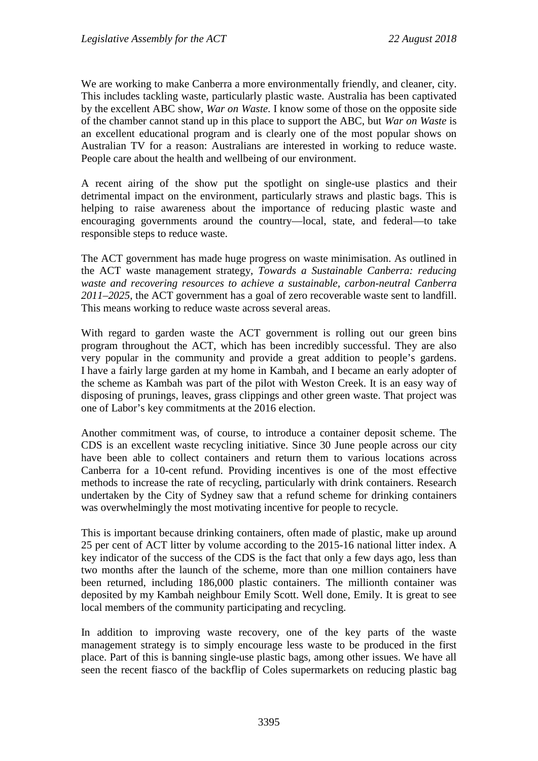We are working to make Canberra a more environmentally friendly, and cleaner, city. This includes tackling waste, particularly plastic waste. Australia has been captivated by the excellent ABC show, *War on Waste*. I know some of those on the opposite side of the chamber cannot stand up in this place to support the ABC, but *War on Waste* is an excellent educational program and is clearly one of the most popular shows on Australian TV for a reason: Australians are interested in working to reduce waste. People care about the health and wellbeing of our environment.

A recent airing of the show put the spotlight on single-use plastics and their detrimental impact on the environment, particularly straws and plastic bags. This is helping to raise awareness about the importance of reducing plastic waste and encouraging governments around the country—local, state, and federal—to take responsible steps to reduce waste.

The ACT government has made huge progress on waste minimisation. As outlined in the ACT waste management strategy, *Towards a Sustainable Canberra: reducing waste and recovering resources to achieve a sustainable, carbon-neutral Canberra 2011–2025*, the ACT government has a goal of zero recoverable waste sent to landfill. This means working to reduce waste across several areas.

With regard to garden waste the ACT government is rolling out our green bins program throughout the ACT, which has been incredibly successful. They are also very popular in the community and provide a great addition to people's gardens. I have a fairly large garden at my home in Kambah, and I became an early adopter of the scheme as Kambah was part of the pilot with Weston Creek. It is an easy way of disposing of prunings, leaves, grass clippings and other green waste. That project was one of Labor's key commitments at the 2016 election.

Another commitment was, of course, to introduce a container deposit scheme. The CDS is an excellent waste recycling initiative. Since 30 June people across our city have been able to collect containers and return them to various locations across Canberra for a 10-cent refund. Providing incentives is one of the most effective methods to increase the rate of recycling, particularly with drink containers. Research undertaken by the City of Sydney saw that a refund scheme for drinking containers was overwhelmingly the most motivating incentive for people to recycle.

This is important because drinking containers, often made of plastic, make up around 25 per cent of ACT litter by volume according to the 2015-16 national litter index. A key indicator of the success of the CDS is the fact that only a few days ago, less than two months after the launch of the scheme, more than one million containers have been returned, including 186,000 plastic containers. The millionth container was deposited by my Kambah neighbour Emily Scott. Well done, Emily. It is great to see local members of the community participating and recycling.

In addition to improving waste recovery, one of the key parts of the waste management strategy is to simply encourage less waste to be produced in the first place. Part of this is banning single-use plastic bags, among other issues. We have all seen the recent fiasco of the backflip of Coles supermarkets on reducing plastic bag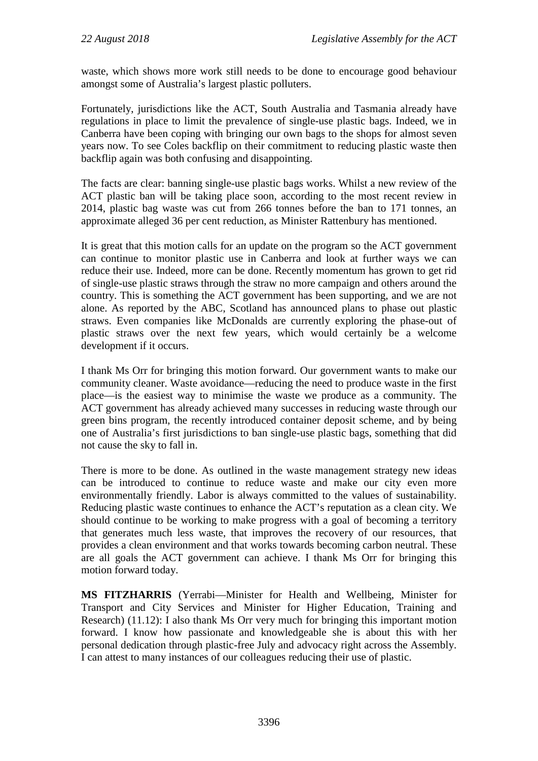waste, which shows more work still needs to be done to encourage good behaviour amongst some of Australia's largest plastic polluters.

Fortunately, jurisdictions like the ACT, South Australia and Tasmania already have regulations in place to limit the prevalence of single-use plastic bags. Indeed, we in Canberra have been coping with bringing our own bags to the shops for almost seven years now. To see Coles backflip on their commitment to reducing plastic waste then backflip again was both confusing and disappointing.

The facts are clear: banning single-use plastic bags works. Whilst a new review of the ACT plastic ban will be taking place soon, according to the most recent review in 2014, plastic bag waste was cut from 266 tonnes before the ban to 171 tonnes, an approximate alleged 36 per cent reduction, as Minister Rattenbury has mentioned.

It is great that this motion calls for an update on the program so the ACT government can continue to monitor plastic use in Canberra and look at further ways we can reduce their use. Indeed, more can be done. Recently momentum has grown to get rid of single-use plastic straws through the straw no more campaign and others around the country. This is something the ACT government has been supporting, and we are not alone. As reported by the ABC, Scotland has announced plans to phase out plastic straws. Even companies like McDonalds are currently exploring the phase-out of plastic straws over the next few years, which would certainly be a welcome development if it occurs.

I thank Ms Orr for bringing this motion forward. Our government wants to make our community cleaner. Waste avoidance—reducing the need to produce waste in the first place—is the easiest way to minimise the waste we produce as a community. The ACT government has already achieved many successes in reducing waste through our green bins program, the recently introduced container deposit scheme, and by being one of Australia's first jurisdictions to ban single-use plastic bags, something that did not cause the sky to fall in.

There is more to be done. As outlined in the waste management strategy new ideas can be introduced to continue to reduce waste and make our city even more environmentally friendly. Labor is always committed to the values of sustainability. Reducing plastic waste continues to enhance the ACT's reputation as a clean city. We should continue to be working to make progress with a goal of becoming a territory that generates much less waste, that improves the recovery of our resources, that provides a clean environment and that works towards becoming carbon neutral. These are all goals the ACT government can achieve. I thank Ms Orr for bringing this motion forward today.

**MS FITZHARRIS** (Yerrabi—Minister for Health and Wellbeing, Minister for Transport and City Services and Minister for Higher Education, Training and Research) (11.12): I also thank Ms Orr very much for bringing this important motion forward. I know how passionate and knowledgeable she is about this with her personal dedication through plastic-free July and advocacy right across the Assembly. I can attest to many instances of our colleagues reducing their use of plastic.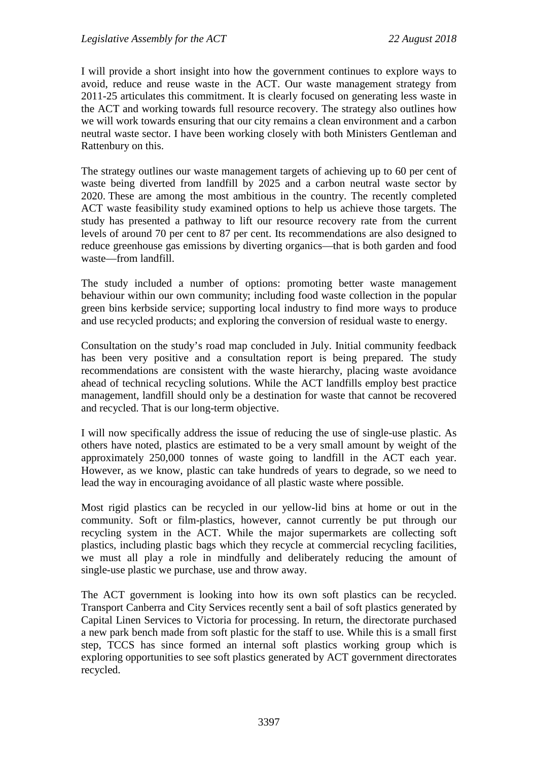I will provide a short insight into how the government continues to explore ways to avoid, reduce and reuse waste in the ACT. Our waste management strategy from 2011-25 articulates this commitment. It is clearly focused on generating less waste in the ACT and working towards full resource recovery. The strategy also outlines how we will work towards ensuring that our city remains a clean environment and a carbon neutral waste sector. I have been working closely with both Ministers Gentleman and Rattenbury on this.

The strategy outlines our waste management targets of achieving up to 60 per cent of waste being diverted from landfill by 2025 and a carbon neutral waste sector by 2020. These are among the most ambitious in the country. The recently completed ACT waste feasibility study examined options to help us achieve those targets. The study has presented a pathway to lift our resource recovery rate from the current levels of around 70 per cent to 87 per cent. Its recommendations are also designed to reduce greenhouse gas emissions by diverting organics—that is both garden and food waste—from landfill.

The study included a number of options: promoting better waste management behaviour within our own community; including food waste collection in the popular green bins kerbside service; supporting local industry to find more ways to produce and use recycled products; and exploring the conversion of residual waste to energy.

Consultation on the study's road map concluded in July. Initial community feedback has been very positive and a consultation report is being prepared. The study recommendations are consistent with the waste hierarchy, placing waste avoidance ahead of technical recycling solutions. While the ACT landfills employ best practice management, landfill should only be a destination for waste that cannot be recovered and recycled. That is our long-term objective.

I will now specifically address the issue of reducing the use of single-use plastic. As others have noted, plastics are estimated to be a very small amount by weight of the approximately 250,000 tonnes of waste going to landfill in the ACT each year. However, as we know, plastic can take hundreds of years to degrade, so we need to lead the way in encouraging avoidance of all plastic waste where possible.

Most rigid plastics can be recycled in our yellow-lid bins at home or out in the community. Soft or film-plastics, however, cannot currently be put through our recycling system in the ACT. While the major supermarkets are collecting soft plastics, including plastic bags which they recycle at commercial recycling facilities, we must all play a role in mindfully and deliberately reducing the amount of single-use plastic we purchase, use and throw away.

The ACT government is looking into how its own soft plastics can be recycled. Transport Canberra and City Services recently sent a bail of soft plastics generated by Capital Linen Services to Victoria for processing. In return, the directorate purchased a new park bench made from soft plastic for the staff to use. While this is a small first step, TCCS has since formed an internal soft plastics working group which is exploring opportunities to see soft plastics generated by ACT government directorates recycled.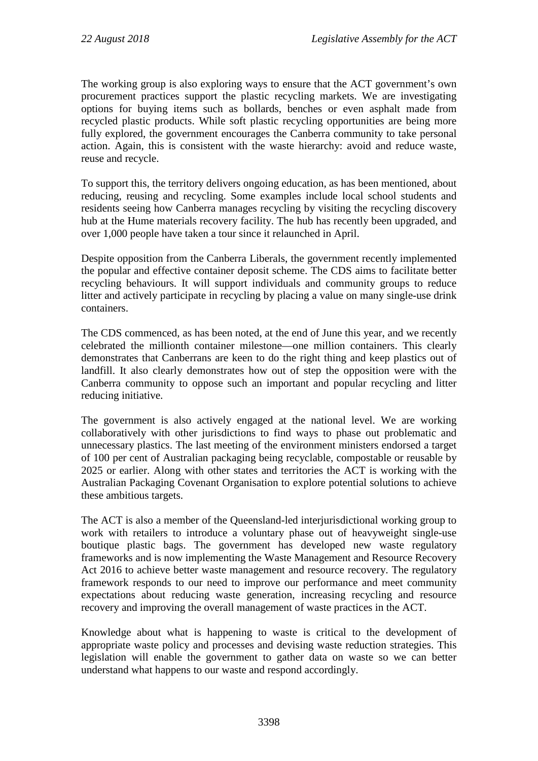The working group is also exploring ways to ensure that the ACT government's own procurement practices support the plastic recycling markets. We are investigating options for buying items such as bollards, benches or even asphalt made from recycled plastic products. While soft plastic recycling opportunities are being more fully explored, the government encourages the Canberra community to take personal action. Again, this is consistent with the waste hierarchy: avoid and reduce waste, reuse and recycle.

To support this, the territory delivers ongoing education, as has been mentioned, about reducing, reusing and recycling. Some examples include local school students and residents seeing how Canberra manages recycling by visiting the recycling discovery hub at the Hume materials recovery facility. The hub has recently been upgraded, and over 1,000 people have taken a tour since it relaunched in April.

Despite opposition from the Canberra Liberals, the government recently implemented the popular and effective container deposit scheme. The CDS aims to facilitate better recycling behaviours. It will support individuals and community groups to reduce litter and actively participate in recycling by placing a value on many single-use drink containers.

The CDS commenced, as has been noted, at the end of June this year, and we recently celebrated the millionth container milestone—one million containers. This clearly demonstrates that Canberrans are keen to do the right thing and keep plastics out of landfill. It also clearly demonstrates how out of step the opposition were with the Canberra community to oppose such an important and popular recycling and litter reducing initiative.

The government is also actively engaged at the national level. We are working collaboratively with other jurisdictions to find ways to phase out problematic and unnecessary plastics. The last meeting of the environment ministers endorsed a target of 100 per cent of Australian packaging being recyclable, compostable or reusable by 2025 or earlier. Along with other states and territories the ACT is working with the Australian Packaging Covenant Organisation to explore potential solutions to achieve these ambitious targets.

The ACT is also a member of the Queensland-led interjurisdictional working group to work with retailers to introduce a voluntary phase out of heavyweight single-use boutique plastic bags. The government has developed new waste regulatory frameworks and is now implementing the Waste Management and Resource Recovery Act 2016 to achieve better waste management and resource recovery. The regulatory framework responds to our need to improve our performance and meet community expectations about reducing waste generation, increasing recycling and resource recovery and improving the overall management of waste practices in the ACT.

Knowledge about what is happening to waste is critical to the development of appropriate waste policy and processes and devising waste reduction strategies. This legislation will enable the government to gather data on waste so we can better understand what happens to our waste and respond accordingly.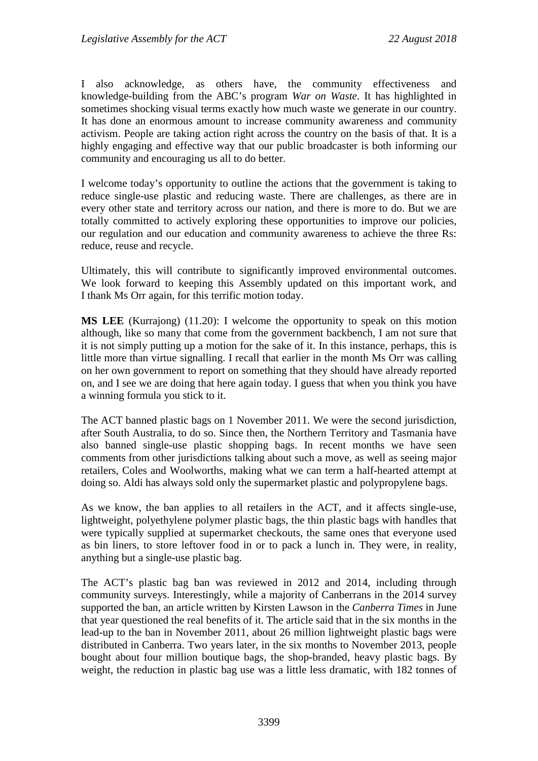I also acknowledge, as others have, the community effectiveness and knowledge-building from the ABC's program *War on Waste*. It has highlighted in sometimes shocking visual terms exactly how much waste we generate in our country. It has done an enormous amount to increase community awareness and community activism. People are taking action right across the country on the basis of that. It is a highly engaging and effective way that our public broadcaster is both informing our community and encouraging us all to do better.

I welcome today's opportunity to outline the actions that the government is taking to reduce single-use plastic and reducing waste. There are challenges, as there are in every other state and territory across our nation, and there is more to do. But we are totally committed to actively exploring these opportunities to improve our policies, our regulation and our education and community awareness to achieve the three Rs: reduce, reuse and recycle.

Ultimately, this will contribute to significantly improved environmental outcomes. We look forward to keeping this Assembly updated on this important work, and I thank Ms Orr again, for this terrific motion today.

**MS LEE** (Kurrajong) (11.20): I welcome the opportunity to speak on this motion although, like so many that come from the government backbench, I am not sure that it is not simply putting up a motion for the sake of it. In this instance, perhaps, this is little more than virtue signalling. I recall that earlier in the month Ms Orr was calling on her own government to report on something that they should have already reported on, and I see we are doing that here again today. I guess that when you think you have a winning formula you stick to it.

The ACT banned plastic bags on 1 November 2011. We were the second jurisdiction, after South Australia, to do so. Since then, the Northern Territory and Tasmania have also banned single-use plastic shopping bags. In recent months we have seen comments from other jurisdictions talking about such a move, as well as seeing major retailers, Coles and Woolworths, making what we can term a half-hearted attempt at doing so. Aldi has always sold only the supermarket plastic and polypropylene bags.

As we know, the ban applies to all retailers in the ACT, and it affects single-use, lightweight, polyethylene polymer plastic bags, the thin plastic bags with handles that were typically supplied at supermarket checkouts, the same ones that everyone used as bin liners, to store leftover food in or to pack a lunch in. They were, in reality, anything but a single-use plastic bag.

The ACT's plastic bag ban was reviewed in 2012 and 2014, including through community surveys. Interestingly, while a majority of Canberrans in the 2014 survey supported the ban, an article written by Kirsten Lawson in the *Canberra Times* in June that year questioned the real benefits of it. The article said that in the six months in the lead-up to the ban in November 2011, about 26 million lightweight plastic bags were distributed in Canberra. Two years later, in the six months to November 2013, people bought about four million boutique bags, the shop-branded, heavy plastic bags. By weight, the reduction in plastic bag use was a little less dramatic, with 182 tonnes of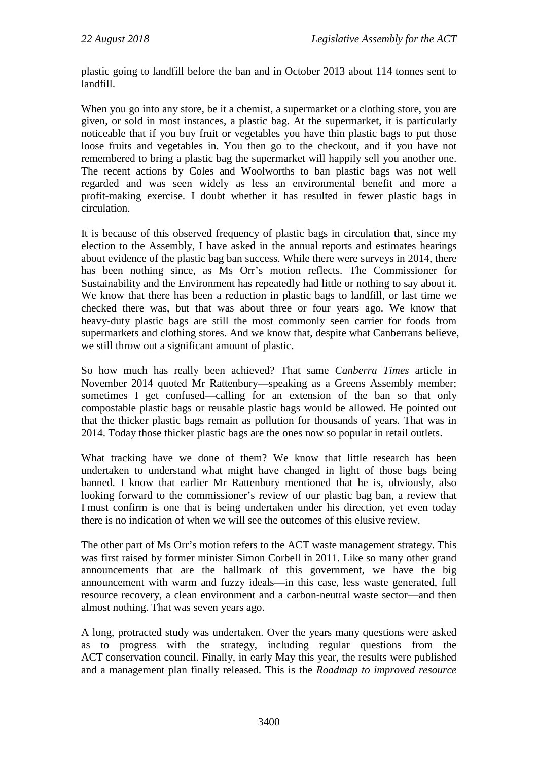plastic going to landfill before the ban and in October 2013 about 114 tonnes sent to landfill.

When you go into any store, be it a chemist, a supermarket or a clothing store, you are given, or sold in most instances, a plastic bag. At the supermarket, it is particularly noticeable that if you buy fruit or vegetables you have thin plastic bags to put those loose fruits and vegetables in. You then go to the checkout, and if you have not remembered to bring a plastic bag the supermarket will happily sell you another one. The recent actions by Coles and Woolworths to ban plastic bags was not well regarded and was seen widely as less an environmental benefit and more a profit-making exercise. I doubt whether it has resulted in fewer plastic bags in circulation.

It is because of this observed frequency of plastic bags in circulation that, since my election to the Assembly, I have asked in the annual reports and estimates hearings about evidence of the plastic bag ban success. While there were surveys in 2014, there has been nothing since, as Ms Orr's motion reflects. The Commissioner for Sustainability and the Environment has repeatedly had little or nothing to say about it. We know that there has been a reduction in plastic bags to landfill, or last time we checked there was, but that was about three or four years ago. We know that heavy-duty plastic bags are still the most commonly seen carrier for foods from supermarkets and clothing stores. And we know that, despite what Canberrans believe, we still throw out a significant amount of plastic.

So how much has really been achieved? That same *Canberra Times* article in November 2014 quoted Mr Rattenbury—speaking as a Greens Assembly member; sometimes I get confused—calling for an extension of the ban so that only compostable plastic bags or reusable plastic bags would be allowed. He pointed out that the thicker plastic bags remain as pollution for thousands of years. That was in 2014. Today those thicker plastic bags are the ones now so popular in retail outlets.

What tracking have we done of them? We know that little research has been undertaken to understand what might have changed in light of those bags being banned. I know that earlier Mr Rattenbury mentioned that he is, obviously, also looking forward to the commissioner's review of our plastic bag ban, a review that I must confirm is one that is being undertaken under his direction, yet even today there is no indication of when we will see the outcomes of this elusive review.

The other part of Ms Orr's motion refers to the ACT waste management strategy. This was first raised by former minister Simon Corbell in 2011. Like so many other grand announcements that are the hallmark of this government, we have the big announcement with warm and fuzzy ideals—in this case, less waste generated, full resource recovery, a clean environment and a carbon-neutral waste sector—and then almost nothing. That was seven years ago.

A long, protracted study was undertaken. Over the years many questions were asked as to progress with the strategy, including regular questions from the ACT conservation council. Finally, in early May this year, the results were published and a management plan finally released. This is the *Roadmap to improved resource*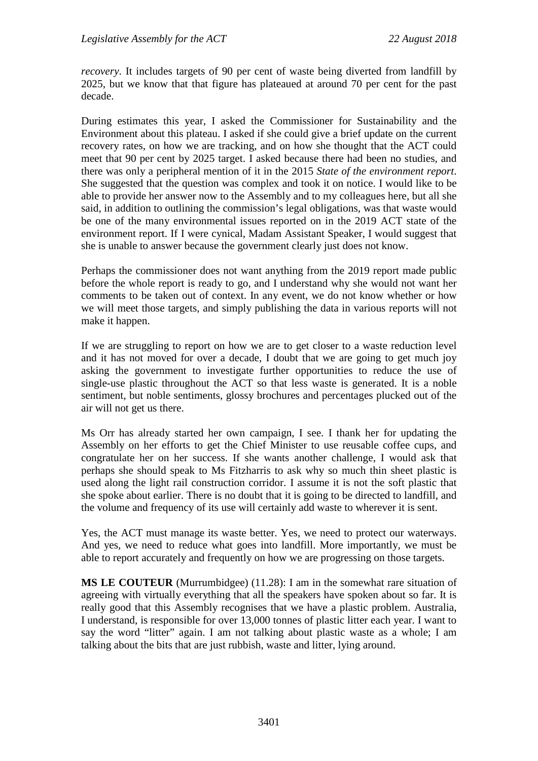*recovery*. It includes targets of 90 per cent of waste being diverted from landfill by 2025, but we know that that figure has plateaued at around 70 per cent for the past decade.

During estimates this year, I asked the Commissioner for Sustainability and the Environment about this plateau. I asked if she could give a brief update on the current recovery rates, on how we are tracking, and on how she thought that the ACT could meet that 90 per cent by 2025 target. I asked because there had been no studies, and there was only a peripheral mention of it in the 2015 *State of the environment report*. She suggested that the question was complex and took it on notice. I would like to be able to provide her answer now to the Assembly and to my colleagues here, but all she said, in addition to outlining the commission's legal obligations, was that waste would be one of the many environmental issues reported on in the 2019 ACT state of the environment report. If I were cynical, Madam Assistant Speaker, I would suggest that she is unable to answer because the government clearly just does not know.

Perhaps the commissioner does not want anything from the 2019 report made public before the whole report is ready to go, and I understand why she would not want her comments to be taken out of context. In any event, we do not know whether or how we will meet those targets, and simply publishing the data in various reports will not make it happen.

If we are struggling to report on how we are to get closer to a waste reduction level and it has not moved for over a decade, I doubt that we are going to get much joy asking the government to investigate further opportunities to reduce the use of single-use plastic throughout the ACT so that less waste is generated. It is a noble sentiment, but noble sentiments, glossy brochures and percentages plucked out of the air will not get us there.

Ms Orr has already started her own campaign, I see. I thank her for updating the Assembly on her efforts to get the Chief Minister to use reusable coffee cups, and congratulate her on her success. If she wants another challenge, I would ask that perhaps she should speak to Ms Fitzharris to ask why so much thin sheet plastic is used along the light rail construction corridor. I assume it is not the soft plastic that she spoke about earlier. There is no doubt that it is going to be directed to landfill, and the volume and frequency of its use will certainly add waste to wherever it is sent.

Yes, the ACT must manage its waste better. Yes, we need to protect our waterways. And yes, we need to reduce what goes into landfill. More importantly, we must be able to report accurately and frequently on how we are progressing on those targets.

**MS LE COUTEUR** (Murrumbidgee) (11.28): I am in the somewhat rare situation of agreeing with virtually everything that all the speakers have spoken about so far. It is really good that this Assembly recognises that we have a plastic problem. Australia, I understand, is responsible for over 13,000 tonnes of plastic litter each year. I want to say the word "litter" again. I am not talking about plastic waste as a whole; I am talking about the bits that are just rubbish, waste and litter, lying around.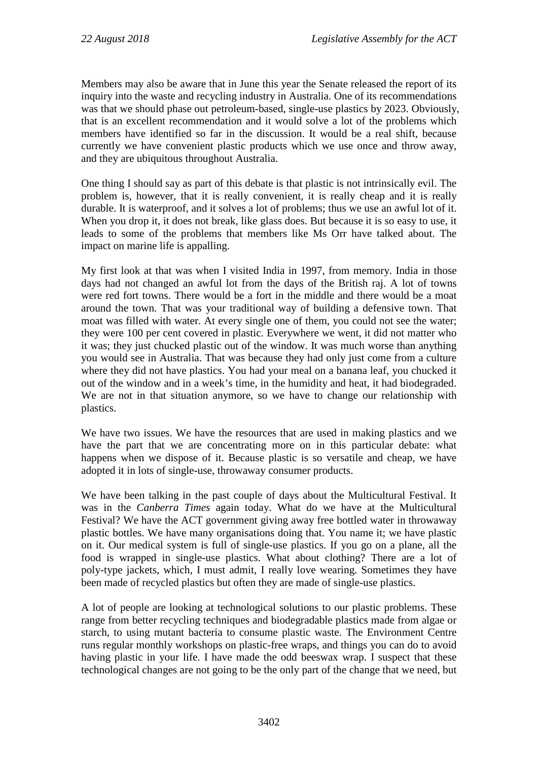Members may also be aware that in June this year the Senate released the report of its inquiry into the waste and recycling industry in Australia. One of its recommendations was that we should phase out petroleum-based, single-use plastics by 2023. Obviously, that is an excellent recommendation and it would solve a lot of the problems which members have identified so far in the discussion. It would be a real shift, because currently we have convenient plastic products which we use once and throw away, and they are ubiquitous throughout Australia.

One thing I should say as part of this debate is that plastic is not intrinsically evil. The problem is, however, that it is really convenient, it is really cheap and it is really durable. It is waterproof, and it solves a lot of problems; thus we use an awful lot of it. When you drop it, it does not break, like glass does. But because it is so easy to use, it leads to some of the problems that members like Ms Orr have talked about. The impact on marine life is appalling.

My first look at that was when I visited India in 1997, from memory. India in those days had not changed an awful lot from the days of the British raj. A lot of towns were red fort towns. There would be a fort in the middle and there would be a moat around the town. That was your traditional way of building a defensive town. That moat was filled with water. At every single one of them, you could not see the water; they were 100 per cent covered in plastic. Everywhere we went, it did not matter who it was; they just chucked plastic out of the window. It was much worse than anything you would see in Australia. That was because they had only just come from a culture where they did not have plastics. You had your meal on a banana leaf, you chucked it out of the window and in a week's time, in the humidity and heat, it had biodegraded. We are not in that situation anymore, so we have to change our relationship with plastics.

We have two issues. We have the resources that are used in making plastics and we have the part that we are concentrating more on in this particular debate: what happens when we dispose of it. Because plastic is so versatile and cheap, we have adopted it in lots of single-use, throwaway consumer products.

We have been talking in the past couple of days about the Multicultural Festival. It was in the *Canberra Times* again today. What do we have at the Multicultural Festival? We have the ACT government giving away free bottled water in throwaway plastic bottles. We have many organisations doing that. You name it; we have plastic on it. Our medical system is full of single-use plastics. If you go on a plane, all the food is wrapped in single-use plastics. What about clothing? There are a lot of poly-type jackets, which, I must admit, I really love wearing. Sometimes they have been made of recycled plastics but often they are made of single-use plastics.

A lot of people are looking at technological solutions to our plastic problems. These range from better recycling techniques and biodegradable plastics made from algae or starch, to using mutant bacteria to consume plastic waste. The Environment Centre runs regular monthly workshops on plastic-free wraps, and things you can do to avoid having plastic in your life. I have made the odd beeswax wrap. I suspect that these technological changes are not going to be the only part of the change that we need, but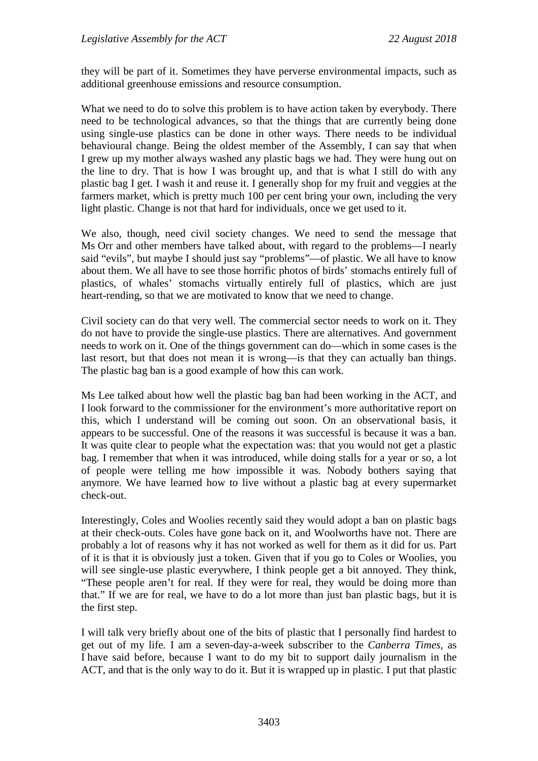they will be part of it. Sometimes they have perverse environmental impacts, such as additional greenhouse emissions and resource consumption.

What we need to do to solve this problem is to have action taken by everybody. There need to be technological advances, so that the things that are currently being done using single-use plastics can be done in other ways. There needs to be individual behavioural change. Being the oldest member of the Assembly, I can say that when I grew up my mother always washed any plastic bags we had. They were hung out on the line to dry. That is how I was brought up, and that is what I still do with any plastic bag I get. I wash it and reuse it. I generally shop for my fruit and veggies at the farmers market, which is pretty much 100 per cent bring your own, including the very light plastic. Change is not that hard for individuals, once we get used to it.

We also, though, need civil society changes. We need to send the message that Ms Orr and other members have talked about, with regard to the problems—I nearly said "evils", but maybe I should just say "problems"—of plastic. We all have to know about them. We all have to see those horrific photos of birds' stomachs entirely full of plastics, of whales' stomachs virtually entirely full of plastics, which are just heart-rending, so that we are motivated to know that we need to change.

Civil society can do that very well. The commercial sector needs to work on it. They do not have to provide the single-use plastics. There are alternatives. And government needs to work on it. One of the things government can do—which in some cases is the last resort, but that does not mean it is wrong—is that they can actually ban things. The plastic bag ban is a good example of how this can work.

Ms Lee talked about how well the plastic bag ban had been working in the ACT, and I look forward to the commissioner for the environment's more authoritative report on this, which I understand will be coming out soon. On an observational basis, it appears to be successful. One of the reasons it was successful is because it was a ban. It was quite clear to people what the expectation was: that you would not get a plastic bag. I remember that when it was introduced, while doing stalls for a year or so, a lot of people were telling me how impossible it was. Nobody bothers saying that anymore. We have learned how to live without a plastic bag at every supermarket check-out.

Interestingly, Coles and Woolies recently said they would adopt a ban on plastic bags at their check-outs. Coles have gone back on it, and Woolworths have not. There are probably a lot of reasons why it has not worked as well for them as it did for us. Part of it is that it is obviously just a token. Given that if you go to Coles or Woolies, you will see single-use plastic everywhere, I think people get a bit annoyed. They think, "These people aren't for real. If they were for real, they would be doing more than that." If we are for real, we have to do a lot more than just ban plastic bags, but it is the first step.

I will talk very briefly about one of the bits of plastic that I personally find hardest to get out of my life. I am a seven-day-a-week subscriber to the *Canberra Times,* as I have said before, because I want to do my bit to support daily journalism in the ACT, and that is the only way to do it. But it is wrapped up in plastic. I put that plastic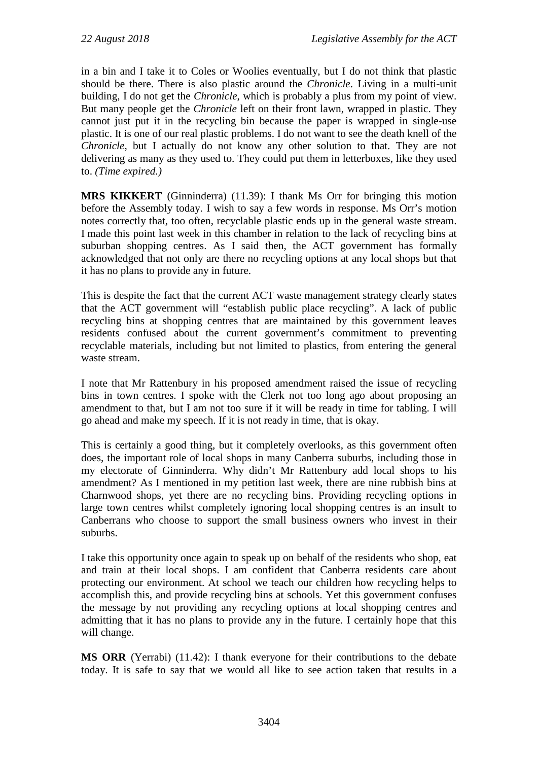in a bin and I take it to Coles or Woolies eventually, but I do not think that plastic should be there. There is also plastic around the *Chronicle*. Living in a multi-unit building, I do not get the *Chronicle*, which is probably a plus from my point of view. But many people get the *Chronicle* left on their front lawn, wrapped in plastic. They cannot just put it in the recycling bin because the paper is wrapped in single-use plastic. It is one of our real plastic problems. I do not want to see the death knell of the *Chronicle*, but I actually do not know any other solution to that. They are not delivering as many as they used to. They could put them in letterboxes, like they used to. *(Time expired.)*

**MRS KIKKERT** (Ginninderra) (11.39): I thank Ms Orr for bringing this motion before the Assembly today. I wish to say a few words in response. Ms Orr's motion notes correctly that, too often, recyclable plastic ends up in the general waste stream. I made this point last week in this chamber in relation to the lack of recycling bins at suburban shopping centres. As I said then, the ACT government has formally acknowledged that not only are there no recycling options at any local shops but that it has no plans to provide any in future.

This is despite the fact that the current ACT waste management strategy clearly states that the ACT government will "establish public place recycling". A lack of public recycling bins at shopping centres that are maintained by this government leaves residents confused about the current government's commitment to preventing recyclable materials, including but not limited to plastics, from entering the general waste stream.

I note that Mr Rattenbury in his proposed amendment raised the issue of recycling bins in town centres. I spoke with the Clerk not too long ago about proposing an amendment to that, but I am not too sure if it will be ready in time for tabling. I will go ahead and make my speech. If it is not ready in time, that is okay.

This is certainly a good thing, but it completely overlooks, as this government often does, the important role of local shops in many Canberra suburbs, including those in my electorate of Ginninderra. Why didn't Mr Rattenbury add local shops to his amendment? As I mentioned in my petition last week, there are nine rubbish bins at Charnwood shops, yet there are no recycling bins. Providing recycling options in large town centres whilst completely ignoring local shopping centres is an insult to Canberrans who choose to support the small business owners who invest in their suburbs.

I take this opportunity once again to speak up on behalf of the residents who shop, eat and train at their local shops. I am confident that Canberra residents care about protecting our environment. At school we teach our children how recycling helps to accomplish this, and provide recycling bins at schools. Yet this government confuses the message by not providing any recycling options at local shopping centres and admitting that it has no plans to provide any in the future. I certainly hope that this will change.

**MS ORR** (Yerrabi) (11.42): I thank everyone for their contributions to the debate today. It is safe to say that we would all like to see action taken that results in a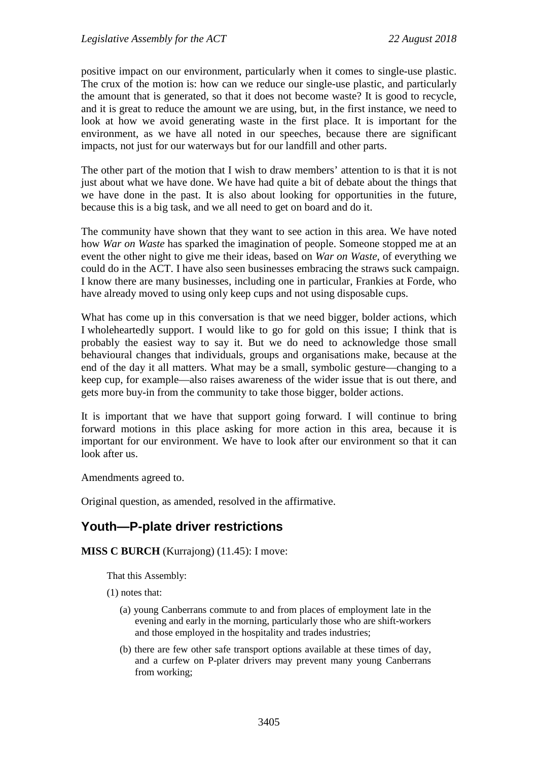positive impact on our environment, particularly when it comes to single-use plastic. The crux of the motion is: how can we reduce our single-use plastic, and particularly the amount that is generated, so that it does not become waste? It is good to recycle, and it is great to reduce the amount we are using, but, in the first instance, we need to look at how we avoid generating waste in the first place. It is important for the environment, as we have all noted in our speeches, because there are significant impacts, not just for our waterways but for our landfill and other parts.

The other part of the motion that I wish to draw members' attention to is that it is not just about what we have done. We have had quite a bit of debate about the things that we have done in the past. It is also about looking for opportunities in the future, because this is a big task, and we all need to get on board and do it.

The community have shown that they want to see action in this area. We have noted how *War on Waste* has sparked the imagination of people. Someone stopped me at an event the other night to give me their ideas, based on *War on Waste*, of everything we could do in the ACT. I have also seen businesses embracing the straws suck campaign. I know there are many businesses, including one in particular, Frankies at Forde, who have already moved to using only keep cups and not using disposable cups.

What has come up in this conversation is that we need bigger, bolder actions, which I wholeheartedly support. I would like to go for gold on this issue; I think that is probably the easiest way to say it. But we do need to acknowledge those small behavioural changes that individuals, groups and organisations make, because at the end of the day it all matters. What may be a small, symbolic gesture—changing to a keep cup, for example—also raises awareness of the wider issue that is out there, and gets more buy-in from the community to take those bigger, bolder actions.

It is important that we have that support going forward. I will continue to bring forward motions in this place asking for more action in this area, because it is important for our environment. We have to look after our environment so that it can look after us.

Amendments agreed to.

Original question, as amended, resolved in the affirmative.

## <span id="page-32-0"></span>**Youth—P-plate driver restrictions**

**MISS C BURCH** (Kurrajong) (11.45): I move:

That this Assembly:

(1) notes that:

- (a) young Canberrans commute to and from places of employment late in the evening and early in the morning, particularly those who are shift-workers and those employed in the hospitality and trades industries;
- (b) there are few other safe transport options available at these times of day, and a curfew on P-plater drivers may prevent many young Canberrans from working;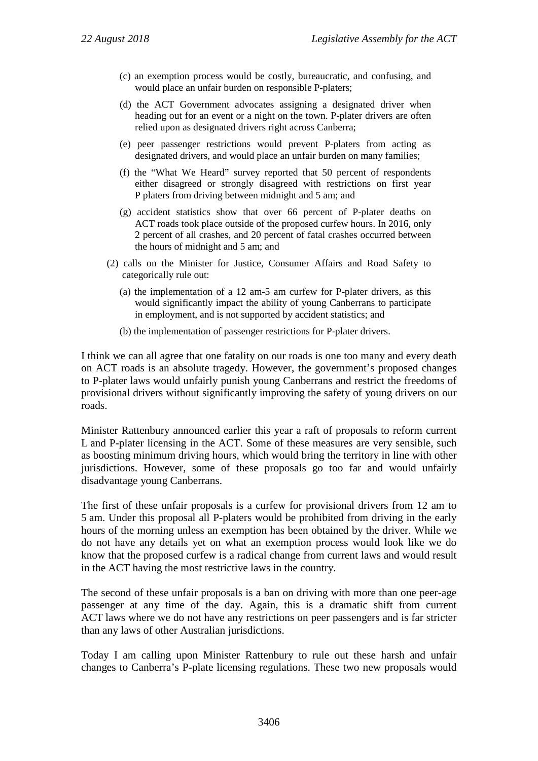- (c) an exemption process would be costly, bureaucratic, and confusing, and would place an unfair burden on responsible P-platers;
- (d) the ACT Government advocates assigning a designated driver when heading out for an event or a night on the town. P-plater drivers are often relied upon as designated drivers right across Canberra;
- (e) peer passenger restrictions would prevent P-platers from acting as designated drivers, and would place an unfair burden on many families;
- (f) the "What We Heard" survey reported that 50 percent of respondents either disagreed or strongly disagreed with restrictions on first year P platers from driving between midnight and 5 am; and
- (g) accident statistics show that over 66 percent of P-plater deaths on ACT roads took place outside of the proposed curfew hours. In 2016, only 2 percent of all crashes, and 20 percent of fatal crashes occurred between the hours of midnight and 5 am; and
- (2) calls on the Minister for Justice, Consumer Affairs and Road Safety to categorically rule out:
	- (a) the implementation of a 12 am-5 am curfew for P-plater drivers, as this would significantly impact the ability of young Canberrans to participate in employment, and is not supported by accident statistics; and
	- (b) the implementation of passenger restrictions for P-plater drivers.

I think we can all agree that one fatality on our roads is one too many and every death on ACT roads is an absolute tragedy. However, the government's proposed changes to P-plater laws would unfairly punish young Canberrans and restrict the freedoms of provisional drivers without significantly improving the safety of young drivers on our roads.

Minister Rattenbury announced earlier this year a raft of proposals to reform current L and P-plater licensing in the ACT. Some of these measures are very sensible, such as boosting minimum driving hours, which would bring the territory in line with other jurisdictions. However, some of these proposals go too far and would unfairly disadvantage young Canberrans.

The first of these unfair proposals is a curfew for provisional drivers from 12 am to 5 am. Under this proposal all P-platers would be prohibited from driving in the early hours of the morning unless an exemption has been obtained by the driver. While we do not have any details yet on what an exemption process would look like we do know that the proposed curfew is a radical change from current laws and would result in the ACT having the most restrictive laws in the country.

The second of these unfair proposals is a ban on driving with more than one peer-age passenger at any time of the day. Again, this is a dramatic shift from current ACT laws where we do not have any restrictions on peer passengers and is far stricter than any laws of other Australian jurisdictions.

Today I am calling upon Minister Rattenbury to rule out these harsh and unfair changes to Canberra's P-plate licensing regulations. These two new proposals would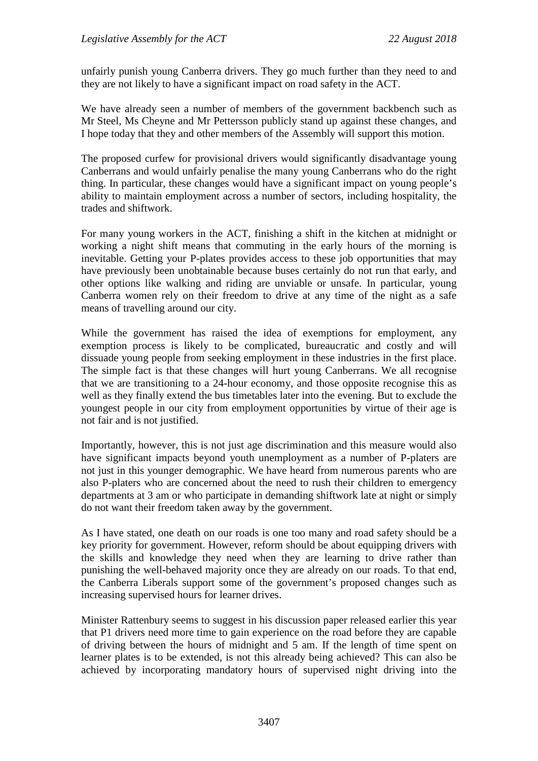unfairly punish young Canberra drivers. They go much further than they need to and they are not likely to have a significant impact on road safety in the ACT.

We have already seen a number of members of the government backbench such as Mr Steel, Ms Cheyne and Mr Pettersson publicly stand up against these changes, and I hope today that they and other members of the Assembly will support this motion.

The proposed curfew for provisional drivers would significantly disadvantage young Canberrans and would unfairly penalise the many young Canberrans who do the right thing. In particular, these changes would have a significant impact on young people's ability to maintain employment across a number of sectors, including hospitality, the trades and shiftwork.

For many young workers in the ACT, finishing a shift in the kitchen at midnight or working a night shift means that commuting in the early hours of the morning is inevitable. Getting your P-plates provides access to these job opportunities that may have previously been unobtainable because buses certainly do not run that early, and other options like walking and riding are unviable or unsafe. In particular, young Canberra women rely on their freedom to drive at any time of the night as a safe means of travelling around our city.

While the government has raised the idea of exemptions for employment, any exemption process is likely to be complicated, bureaucratic and costly and will dissuade young people from seeking employment in these industries in the first place. The simple fact is that these changes will hurt young Canberrans. We all recognise that we are transitioning to a 24-hour economy, and those opposite recognise this as well as they finally extend the bus timetables later into the evening. But to exclude the youngest people in our city from employment opportunities by virtue of their age is not fair and is not justified.

Importantly, however, this is not just age discrimination and this measure would also have significant impacts beyond youth unemployment as a number of P-platers are not just in this younger demographic. We have heard from numerous parents who are also P-platers who are concerned about the need to rush their children to emergency departments at 3 am or who participate in demanding shiftwork late at night or simply do not want their freedom taken away by the government.

As I have stated, one death on our roads is one too many and road safety should be a key priority for government. However, reform should be about equipping drivers with the skills and knowledge they need when they are learning to drive rather than punishing the well-behaved majority once they are already on our roads. To that end, the Canberra Liberals support some of the government's proposed changes such as increasing supervised hours for learner drives.

Minister Rattenbury seems to suggest in his discussion paper released earlier this year that P1 drivers need more time to gain experience on the road before they are capable of driving between the hours of midnight and 5 am. If the length of time spent on learner plates is to be extended, is not this already being achieved? This can also be achieved by incorporating mandatory hours of supervised night driving into the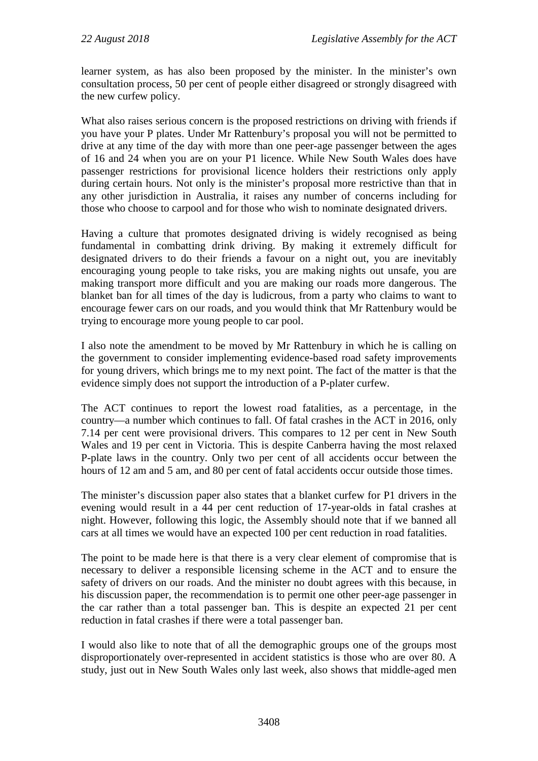learner system, as has also been proposed by the minister. In the minister's own consultation process, 50 per cent of people either disagreed or strongly disagreed with the new curfew policy.

What also raises serious concern is the proposed restrictions on driving with friends if you have your P plates. Under Mr Rattenbury's proposal you will not be permitted to drive at any time of the day with more than one peer-age passenger between the ages of 16 and 24 when you are on your P1 licence. While New South Wales does have passenger restrictions for provisional licence holders their restrictions only apply during certain hours. Not only is the minister's proposal more restrictive than that in any other jurisdiction in Australia, it raises any number of concerns including for those who choose to carpool and for those who wish to nominate designated drivers.

Having a culture that promotes designated driving is widely recognised as being fundamental in combatting drink driving. By making it extremely difficult for designated drivers to do their friends a favour on a night out, you are inevitably encouraging young people to take risks, you are making nights out unsafe, you are making transport more difficult and you are making our roads more dangerous. The blanket ban for all times of the day is ludicrous, from a party who claims to want to encourage fewer cars on our roads, and you would think that Mr Rattenbury would be trying to encourage more young people to car pool.

I also note the amendment to be moved by Mr Rattenbury in which he is calling on the government to consider implementing evidence-based road safety improvements for young drivers, which brings me to my next point. The fact of the matter is that the evidence simply does not support the introduction of a P-plater curfew.

The ACT continues to report the lowest road fatalities, as a percentage, in the country—a number which continues to fall. Of fatal crashes in the ACT in 2016, only 7.14 per cent were provisional drivers. This compares to 12 per cent in New South Wales and 19 per cent in Victoria. This is despite Canberra having the most relaxed P-plate laws in the country. Only two per cent of all accidents occur between the hours of 12 am and 5 am, and 80 per cent of fatal accidents occur outside those times.

The minister's discussion paper also states that a blanket curfew for P1 drivers in the evening would result in a 44 per cent reduction of 17-year-olds in fatal crashes at night. However, following this logic, the Assembly should note that if we banned all cars at all times we would have an expected 100 per cent reduction in road fatalities.

The point to be made here is that there is a very clear element of compromise that is necessary to deliver a responsible licensing scheme in the ACT and to ensure the safety of drivers on our roads. And the minister no doubt agrees with this because, in his discussion paper, the recommendation is to permit one other peer-age passenger in the car rather than a total passenger ban. This is despite an expected 21 per cent reduction in fatal crashes if there were a total passenger ban.

I would also like to note that of all the demographic groups one of the groups most disproportionately over-represented in accident statistics is those who are over 80. A study, just out in New South Wales only last week, also shows that middle-aged men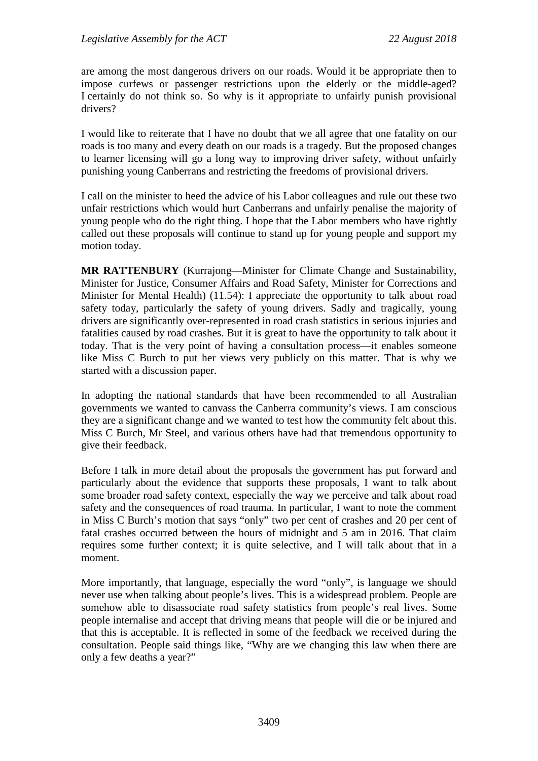are among the most dangerous drivers on our roads. Would it be appropriate then to impose curfews or passenger restrictions upon the elderly or the middle-aged? I certainly do not think so. So why is it appropriate to unfairly punish provisional drivers?

I would like to reiterate that I have no doubt that we all agree that one fatality on our roads is too many and every death on our roads is a tragedy. But the proposed changes to learner licensing will go a long way to improving driver safety, without unfairly punishing young Canberrans and restricting the freedoms of provisional drivers.

I call on the minister to heed the advice of his Labor colleagues and rule out these two unfair restrictions which would hurt Canberrans and unfairly penalise the majority of young people who do the right thing. I hope that the Labor members who have rightly called out these proposals will continue to stand up for young people and support my motion today.

**MR RATTENBURY** (Kurrajong—Minister for Climate Change and Sustainability, Minister for Justice, Consumer Affairs and Road Safety, Minister for Corrections and Minister for Mental Health) (11.54): I appreciate the opportunity to talk about road safety today, particularly the safety of young drivers. Sadly and tragically, young drivers are significantly over-represented in road crash statistics in serious injuries and fatalities caused by road crashes. But it is great to have the opportunity to talk about it today. That is the very point of having a consultation process—it enables someone like Miss C Burch to put her views very publicly on this matter. That is why we started with a discussion paper.

In adopting the national standards that have been recommended to all Australian governments we wanted to canvass the Canberra community's views. I am conscious they are a significant change and we wanted to test how the community felt about this. Miss C Burch, Mr Steel, and various others have had that tremendous opportunity to give their feedback.

Before I talk in more detail about the proposals the government has put forward and particularly about the evidence that supports these proposals, I want to talk about some broader road safety context, especially the way we perceive and talk about road safety and the consequences of road trauma. In particular, I want to note the comment in Miss C Burch's motion that says "only" two per cent of crashes and 20 per cent of fatal crashes occurred between the hours of midnight and 5 am in 2016. That claim requires some further context; it is quite selective, and I will talk about that in a moment.

More importantly, that language, especially the word "only", is language we should never use when talking about people's lives. This is a widespread problem. People are somehow able to disassociate road safety statistics from people's real lives. Some people internalise and accept that driving means that people will die or be injured and that this is acceptable. It is reflected in some of the feedback we received during the consultation. People said things like, "Why are we changing this law when there are only a few deaths a year?"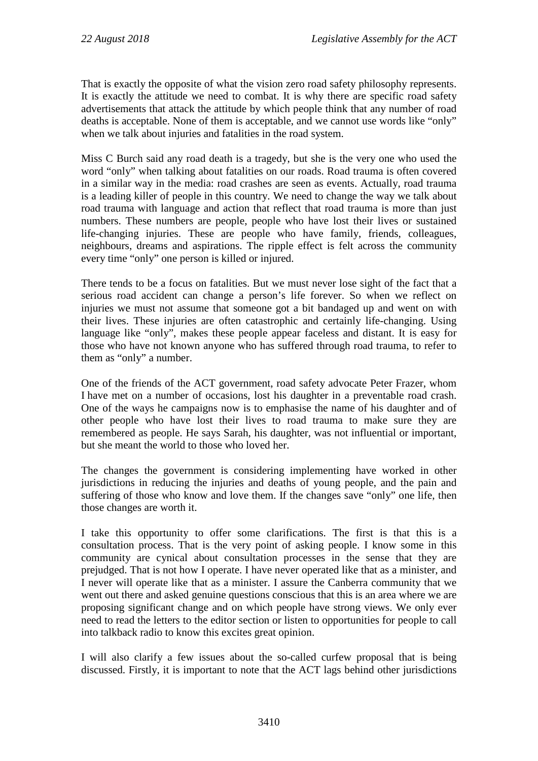That is exactly the opposite of what the vision zero road safety philosophy represents. It is exactly the attitude we need to combat. It is why there are specific road safety advertisements that attack the attitude by which people think that any number of road deaths is acceptable. None of them is acceptable, and we cannot use words like "only" when we talk about injuries and fatalities in the road system.

Miss C Burch said any road death is a tragedy, but she is the very one who used the word "only" when talking about fatalities on our roads. Road trauma is often covered in a similar way in the media: road crashes are seen as events. Actually, road trauma is a leading killer of people in this country. We need to change the way we talk about road trauma with language and action that reflect that road trauma is more than just numbers. These numbers are people, people who have lost their lives or sustained life-changing injuries. These are people who have family, friends, colleagues, neighbours, dreams and aspirations. The ripple effect is felt across the community every time "only" one person is killed or injured.

There tends to be a focus on fatalities. But we must never lose sight of the fact that a serious road accident can change a person's life forever. So when we reflect on injuries we must not assume that someone got a bit bandaged up and went on with their lives. These injuries are often catastrophic and certainly life-changing. Using language like "only", makes these people appear faceless and distant. It is easy for those who have not known anyone who has suffered through road trauma, to refer to them as "only" a number.

One of the friends of the ACT government, road safety advocate Peter Frazer, whom I have met on a number of occasions, lost his daughter in a preventable road crash. One of the ways he campaigns now is to emphasise the name of his daughter and of other people who have lost their lives to road trauma to make sure they are remembered as people. He says Sarah, his daughter, was not influential or important, but she meant the world to those who loved her.

The changes the government is considering implementing have worked in other jurisdictions in reducing the injuries and deaths of young people, and the pain and suffering of those who know and love them. If the changes save "only" one life, then those changes are worth it.

I take this opportunity to offer some clarifications. The first is that this is a consultation process. That is the very point of asking people. I know some in this community are cynical about consultation processes in the sense that they are prejudged. That is not how I operate. I have never operated like that as a minister, and I never will operate like that as a minister. I assure the Canberra community that we went out there and asked genuine questions conscious that this is an area where we are proposing significant change and on which people have strong views. We only ever need to read the letters to the editor section or listen to opportunities for people to call into talkback radio to know this excites great opinion.

I will also clarify a few issues about the so-called curfew proposal that is being discussed. Firstly, it is important to note that the ACT lags behind other jurisdictions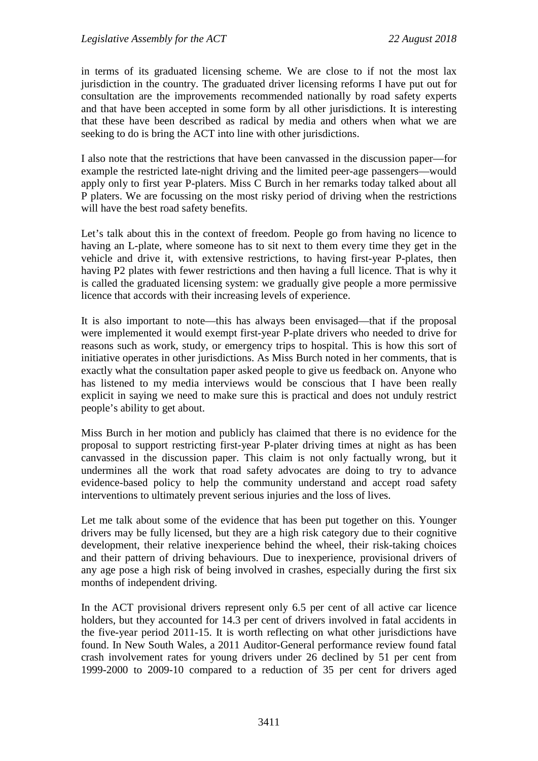in terms of its graduated licensing scheme. We are close to if not the most lax jurisdiction in the country. The graduated driver licensing reforms I have put out for consultation are the improvements recommended nationally by road safety experts and that have been accepted in some form by all other jurisdictions. It is interesting that these have been described as radical by media and others when what we are seeking to do is bring the ACT into line with other jurisdictions.

I also note that the restrictions that have been canvassed in the discussion paper—for example the restricted late-night driving and the limited peer-age passengers—would apply only to first year P-platers. Miss C Burch in her remarks today talked about all P platers. We are focussing on the most risky period of driving when the restrictions will have the best road safety benefits.

Let's talk about this in the context of freedom. People go from having no licence to having an L-plate, where someone has to sit next to them every time they get in the vehicle and drive it, with extensive restrictions, to having first-year P-plates, then having P2 plates with fewer restrictions and then having a full licence. That is why it is called the graduated licensing system: we gradually give people a more permissive licence that accords with their increasing levels of experience.

It is also important to note—this has always been envisaged—that if the proposal were implemented it would exempt first-year P-plate drivers who needed to drive for reasons such as work, study, or emergency trips to hospital. This is how this sort of initiative operates in other jurisdictions. As Miss Burch noted in her comments, that is exactly what the consultation paper asked people to give us feedback on. Anyone who has listened to my media interviews would be conscious that I have been really explicit in saying we need to make sure this is practical and does not unduly restrict people's ability to get about.

Miss Burch in her motion and publicly has claimed that there is no evidence for the proposal to support restricting first-year P-plater driving times at night as has been canvassed in the discussion paper. This claim is not only factually wrong, but it undermines all the work that road safety advocates are doing to try to advance evidence-based policy to help the community understand and accept road safety interventions to ultimately prevent serious injuries and the loss of lives.

Let me talk about some of the evidence that has been put together on this. Younger drivers may be fully licensed, but they are a high risk category due to their cognitive development, their relative inexperience behind the wheel, their risk-taking choices and their pattern of driving behaviours. Due to inexperience, provisional drivers of any age pose a high risk of being involved in crashes, especially during the first six months of independent driving.

In the ACT provisional drivers represent only 6.5 per cent of all active car licence holders, but they accounted for 14.3 per cent of drivers involved in fatal accidents in the five-year period 2011-15. It is worth reflecting on what other jurisdictions have found. In New South Wales, a 2011 Auditor-General performance review found fatal crash involvement rates for young drivers under 26 declined by 51 per cent from 1999-2000 to 2009-10 compared to a reduction of 35 per cent for drivers aged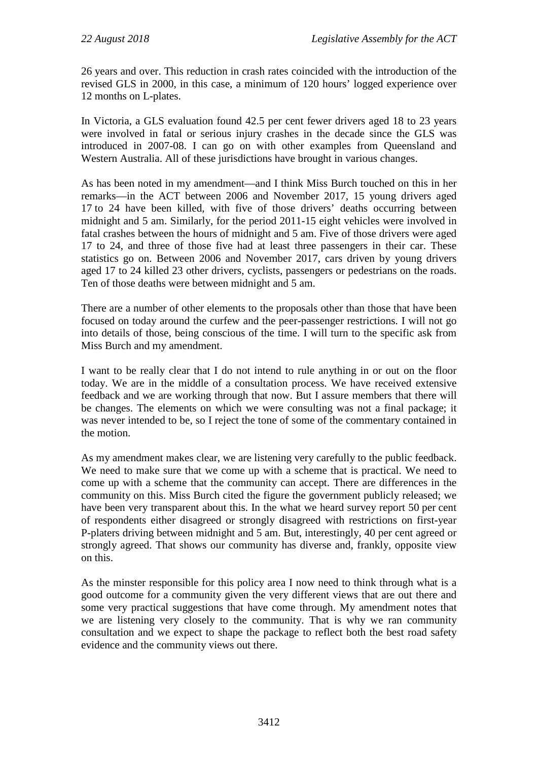26 years and over. This reduction in crash rates coincided with the introduction of the revised GLS in 2000, in this case, a minimum of 120 hours' logged experience over 12 months on L-plates.

In Victoria, a GLS evaluation found 42.5 per cent fewer drivers aged 18 to 23 years were involved in fatal or serious injury crashes in the decade since the GLS was introduced in 2007-08. I can go on with other examples from Queensland and Western Australia. All of these jurisdictions have brought in various changes.

As has been noted in my amendment—and I think Miss Burch touched on this in her remarks—in the ACT between 2006 and November 2017, 15 young drivers aged 17 to 24 have been killed, with five of those drivers' deaths occurring between midnight and 5 am. Similarly, for the period 2011-15 eight vehicles were involved in fatal crashes between the hours of midnight and 5 am. Five of those drivers were aged 17 to 24, and three of those five had at least three passengers in their car. These statistics go on. Between 2006 and November 2017, cars driven by young drivers aged 17 to 24 killed 23 other drivers, cyclists, passengers or pedestrians on the roads. Ten of those deaths were between midnight and 5 am.

There are a number of other elements to the proposals other than those that have been focused on today around the curfew and the peer-passenger restrictions. I will not go into details of those, being conscious of the time. I will turn to the specific ask from Miss Burch and my amendment.

I want to be really clear that I do not intend to rule anything in or out on the floor today. We are in the middle of a consultation process. We have received extensive feedback and we are working through that now. But I assure members that there will be changes. The elements on which we were consulting was not a final package; it was never intended to be, so I reject the tone of some of the commentary contained in the motion.

As my amendment makes clear, we are listening very carefully to the public feedback. We need to make sure that we come up with a scheme that is practical. We need to come up with a scheme that the community can accept. There are differences in the community on this. Miss Burch cited the figure the government publicly released; we have been very transparent about this. In the what we heard survey report 50 per cent of respondents either disagreed or strongly disagreed with restrictions on first-year P-platers driving between midnight and 5 am. But, interestingly, 40 per cent agreed or strongly agreed. That shows our community has diverse and, frankly, opposite view on this.

As the minster responsible for this policy area I now need to think through what is a good outcome for a community given the very different views that are out there and some very practical suggestions that have come through. My amendment notes that we are listening very closely to the community. That is why we ran community consultation and we expect to shape the package to reflect both the best road safety evidence and the community views out there.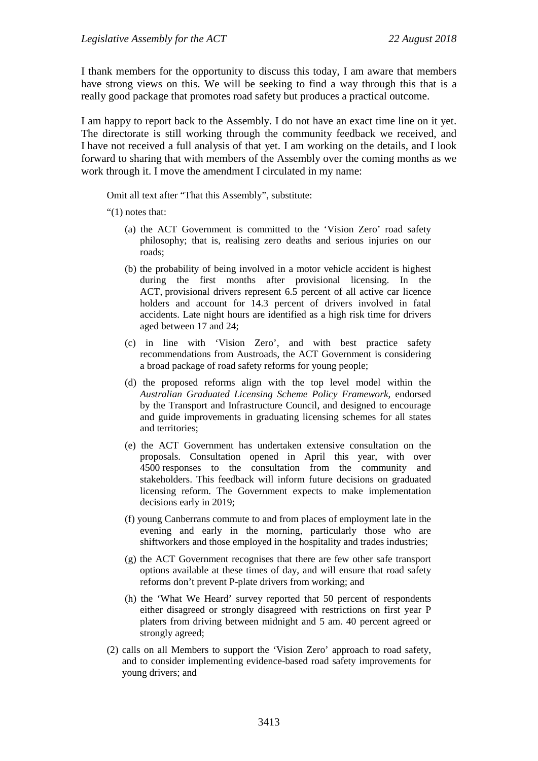I thank members for the opportunity to discuss this today, I am aware that members have strong views on this. We will be seeking to find a way through this that is a really good package that promotes road safety but produces a practical outcome.

I am happy to report back to the Assembly. I do not have an exact time line on it yet. The directorate is still working through the community feedback we received, and I have not received a full analysis of that yet. I am working on the details, and I look forward to sharing that with members of the Assembly over the coming months as we work through it. I move the amendment I circulated in my name:

Omit all text after "That this Assembly", substitute:

"(1) notes that:

- (a) the ACT Government is committed to the 'Vision Zero' road safety philosophy; that is, realising zero deaths and serious injuries on our roads;
- (b) the probability of being involved in a motor vehicle accident is highest during the first months after provisional licensing. In the ACT, provisional drivers represent 6.5 percent of all active car licence holders and account for 14.3 percent of drivers involved in fatal accidents. Late night hours are identified as a high risk time for drivers aged between 17 and 24;
- (c) in line with 'Vision Zero', and with best practice safety recommendations from Austroads, the ACT Government is considering a broad package of road safety reforms for young people;
- (d) the proposed reforms align with the top level model within the *Australian Graduated Licensing Scheme Policy Framework*, endorsed by the Transport and Infrastructure Council, and designed to encourage and guide improvements in graduating licensing schemes for all states and territories;
- (e) the ACT Government has undertaken extensive consultation on the proposals. Consultation opened in April this year, with over 4500 responses to the consultation from the community and stakeholders. This feedback will inform future decisions on graduated licensing reform. The Government expects to make implementation decisions early in 2019;
- (f) young Canberrans commute to and from places of employment late in the evening and early in the morning, particularly those who are shiftworkers and those employed in the hospitality and trades industries;
- (g) the ACT Government recognises that there are few other safe transport options available at these times of day, and will ensure that road safety reforms don't prevent P-plate drivers from working; and
- (h) the 'What We Heard' survey reported that 50 percent of respondents either disagreed or strongly disagreed with restrictions on first year P platers from driving between midnight and 5 am. 40 percent agreed or strongly agreed;
- (2) calls on all Members to support the 'Vision Zero' approach to road safety, and to consider implementing evidence-based road safety improvements for young drivers; and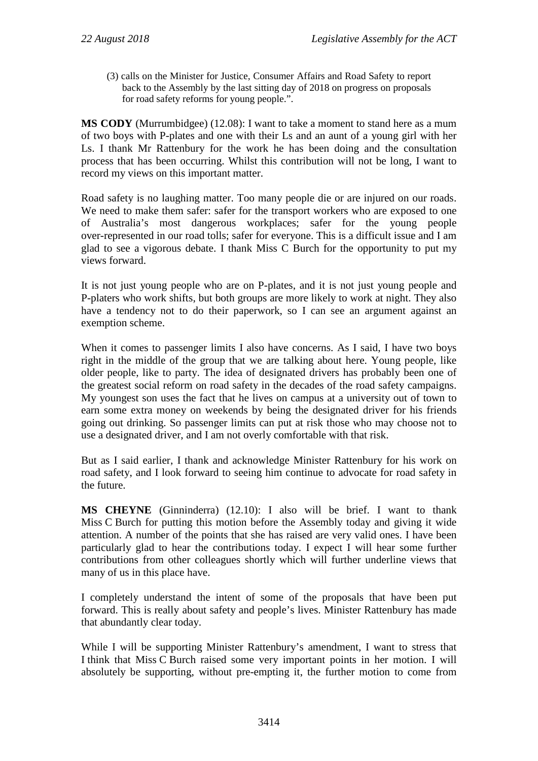(3) calls on the Minister for Justice, Consumer Affairs and Road Safety to report back to the Assembly by the last sitting day of 2018 on progress on proposals for road safety reforms for young people.".

**MS CODY** (Murrumbidgee) (12.08): I want to take a moment to stand here as a mum of two boys with P-plates and one with their Ls and an aunt of a young girl with her Ls. I thank Mr Rattenbury for the work he has been doing and the consultation process that has been occurring. Whilst this contribution will not be long, I want to record my views on this important matter.

Road safety is no laughing matter. Too many people die or are injured on our roads. We need to make them safer: safer for the transport workers who are exposed to one of Australia's most dangerous workplaces; safer for the young people over-represented in our road tolls; safer for everyone. This is a difficult issue and I am glad to see a vigorous debate. I thank Miss C Burch for the opportunity to put my views forward.

It is not just young people who are on P-plates, and it is not just young people and P-platers who work shifts, but both groups are more likely to work at night. They also have a tendency not to do their paperwork, so I can see an argument against an exemption scheme.

When it comes to passenger limits I also have concerns. As I said, I have two boys right in the middle of the group that we are talking about here. Young people, like older people, like to party. The idea of designated drivers has probably been one of the greatest social reform on road safety in the decades of the road safety campaigns. My youngest son uses the fact that he lives on campus at a university out of town to earn some extra money on weekends by being the designated driver for his friends going out drinking. So passenger limits can put at risk those who may choose not to use a designated driver, and I am not overly comfortable with that risk.

But as I said earlier, I thank and acknowledge Minister Rattenbury for his work on road safety, and I look forward to seeing him continue to advocate for road safety in the future.

**MS CHEYNE** (Ginninderra) (12.10): I also will be brief. I want to thank Miss C Burch for putting this motion before the Assembly today and giving it wide attention. A number of the points that she has raised are very valid ones. I have been particularly glad to hear the contributions today. I expect I will hear some further contributions from other colleagues shortly which will further underline views that many of us in this place have.

I completely understand the intent of some of the proposals that have been put forward. This is really about safety and people's lives. Minister Rattenbury has made that abundantly clear today.

While I will be supporting Minister Rattenbury's amendment, I want to stress that I think that Miss C Burch raised some very important points in her motion. I will absolutely be supporting, without pre-empting it, the further motion to come from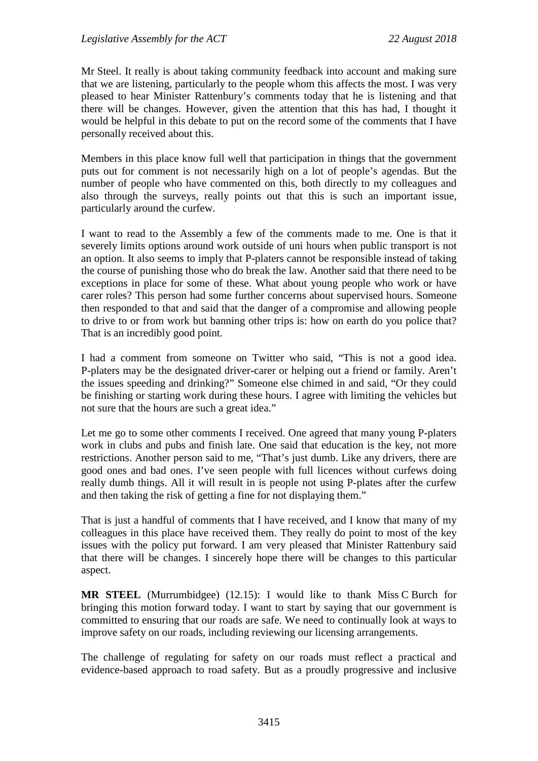Mr Steel. It really is about taking community feedback into account and making sure that we are listening, particularly to the people whom this affects the most. I was very pleased to hear Minister Rattenbury's comments today that he is listening and that there will be changes. However, given the attention that this has had, I thought it would be helpful in this debate to put on the record some of the comments that I have personally received about this.

Members in this place know full well that participation in things that the government puts out for comment is not necessarily high on a lot of people's agendas. But the number of people who have commented on this, both directly to my colleagues and also through the surveys, really points out that this is such an important issue, particularly around the curfew.

I want to read to the Assembly a few of the comments made to me. One is that it severely limits options around work outside of uni hours when public transport is not an option. It also seems to imply that P-platers cannot be responsible instead of taking the course of punishing those who do break the law. Another said that there need to be exceptions in place for some of these. What about young people who work or have carer roles? This person had some further concerns about supervised hours. Someone then responded to that and said that the danger of a compromise and allowing people to drive to or from work but banning other trips is: how on earth do you police that? That is an incredibly good point.

I had a comment from someone on Twitter who said, "This is not a good idea. P-platers may be the designated driver-carer or helping out a friend or family. Aren't the issues speeding and drinking?" Someone else chimed in and said, "Or they could be finishing or starting work during these hours. I agree with limiting the vehicles but not sure that the hours are such a great idea."

Let me go to some other comments I received. One agreed that many young P-platers work in clubs and pubs and finish late. One said that education is the key, not more restrictions. Another person said to me, "That's just dumb. Like any drivers, there are good ones and bad ones. I've seen people with full licences without curfews doing really dumb things. All it will result in is people not using P-plates after the curfew and then taking the risk of getting a fine for not displaying them."

That is just a handful of comments that I have received, and I know that many of my colleagues in this place have received them. They really do point to most of the key issues with the policy put forward. I am very pleased that Minister Rattenbury said that there will be changes. I sincerely hope there will be changes to this particular aspect.

**MR STEEL** (Murrumbidgee) (12.15): I would like to thank Miss C Burch for bringing this motion forward today. I want to start by saying that our government is committed to ensuring that our roads are safe. We need to continually look at ways to improve safety on our roads, including reviewing our licensing arrangements.

The challenge of regulating for safety on our roads must reflect a practical and evidence-based approach to road safety. But as a proudly progressive and inclusive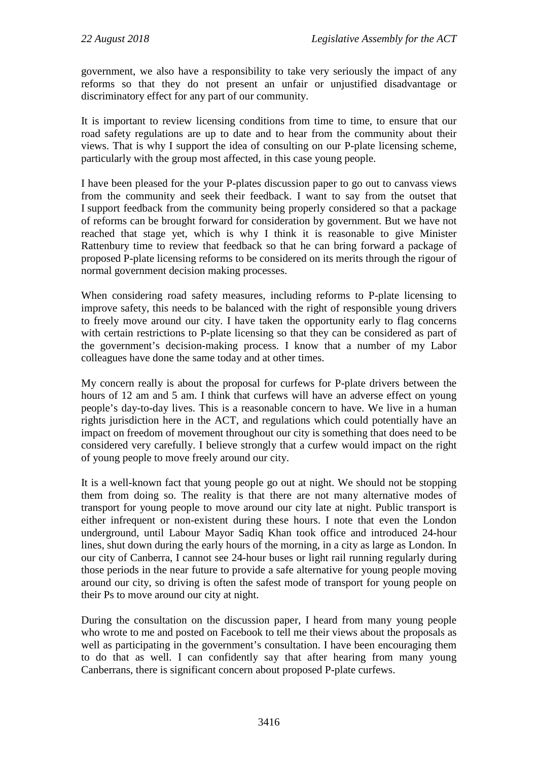government, we also have a responsibility to take very seriously the impact of any reforms so that they do not present an unfair or unjustified disadvantage or discriminatory effect for any part of our community.

It is important to review licensing conditions from time to time, to ensure that our road safety regulations are up to date and to hear from the community about their views. That is why I support the idea of consulting on our P-plate licensing scheme, particularly with the group most affected, in this case young people.

I have been pleased for the your P-plates discussion paper to go out to canvass views from the community and seek their feedback. I want to say from the outset that I support feedback from the community being properly considered so that a package of reforms can be brought forward for consideration by government. But we have not reached that stage yet, which is why I think it is reasonable to give Minister Rattenbury time to review that feedback so that he can bring forward a package of proposed P-plate licensing reforms to be considered on its merits through the rigour of normal government decision making processes.

When considering road safety measures, including reforms to P-plate licensing to improve safety, this needs to be balanced with the right of responsible young drivers to freely move around our city. I have taken the opportunity early to flag concerns with certain restrictions to P-plate licensing so that they can be considered as part of the government's decision-making process. I know that a number of my Labor colleagues have done the same today and at other times.

My concern really is about the proposal for curfews for P-plate drivers between the hours of 12 am and 5 am. I think that curfews will have an adverse effect on young people's day-to-day lives. This is a reasonable concern to have. We live in a human rights jurisdiction here in the ACT, and regulations which could potentially have an impact on freedom of movement throughout our city is something that does need to be considered very carefully. I believe strongly that a curfew would impact on the right of young people to move freely around our city.

It is a well-known fact that young people go out at night. We should not be stopping them from doing so. The reality is that there are not many alternative modes of transport for young people to move around our city late at night. Public transport is either infrequent or non-existent during these hours. I note that even the London underground, until Labour Mayor Sadiq Khan took office and introduced 24-hour lines, shut down during the early hours of the morning, in a city as large as London. In our city of Canberra, I cannot see 24-hour buses or light rail running regularly during those periods in the near future to provide a safe alternative for young people moving around our city, so driving is often the safest mode of transport for young people on their Ps to move around our city at night.

During the consultation on the discussion paper, I heard from many young people who wrote to me and posted on Facebook to tell me their views about the proposals as well as participating in the government's consultation. I have been encouraging them to do that as well. I can confidently say that after hearing from many young Canberrans, there is significant concern about proposed P-plate curfews.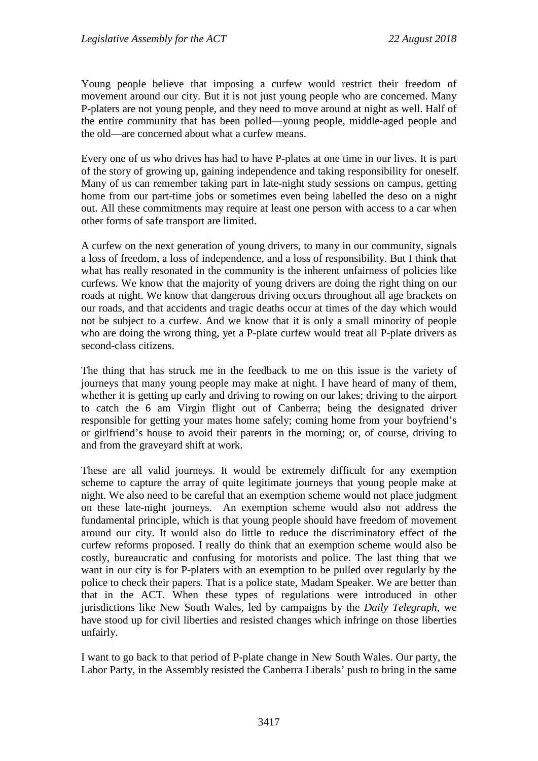Young people believe that imposing a curfew would restrict their freedom of movement around our city. But it is not just young people who are concerned. Many P-platers are not young people, and they need to move around at night as well. Half of the entire community that has been polled—young people, middle-aged people and the old—are concerned about what a curfew means.

Every one of us who drives has had to have P-plates at one time in our lives. It is part of the story of growing up, gaining independence and taking responsibility for oneself. Many of us can remember taking part in late-night study sessions on campus, getting home from our part-time jobs or sometimes even being labelled the deso on a night out. All these commitments may require at least one person with access to a car when other forms of safe transport are limited.

A curfew on the next generation of young drivers, to many in our community, signals a loss of freedom, a loss of independence, and a loss of responsibility. But I think that what has really resonated in the community is the inherent unfairness of policies like curfews. We know that the majority of young drivers are doing the right thing on our roads at night. We know that dangerous driving occurs throughout all age brackets on our roads, and that accidents and tragic deaths occur at times of the day which would not be subject to a curfew. And we know that it is only a small minority of people who are doing the wrong thing, yet a P-plate curfew would treat all P-plate drivers as second-class citizens.

The thing that has struck me in the feedback to me on this issue is the variety of journeys that many young people may make at night. I have heard of many of them, whether it is getting up early and driving to rowing on our lakes; driving to the airport to catch the 6 am Virgin flight out of Canberra; being the designated driver responsible for getting your mates home safely; coming home from your boyfriend's or girlfriend's house to avoid their parents in the morning; or, of course, driving to and from the graveyard shift at work.

These are all valid journeys. It would be extremely difficult for any exemption scheme to capture the array of quite legitimate journeys that young people make at night. We also need to be careful that an exemption scheme would not place judgment on these late-night journeys. An exemption scheme would also not address the fundamental principle, which is that young people should have freedom of movement around our city. It would also do little to reduce the discriminatory effect of the curfew reforms proposed. I really do think that an exemption scheme would also be costly, bureaucratic and confusing for motorists and police. The last thing that we want in our city is for P-platers with an exemption to be pulled over regularly by the police to check their papers. That is a police state, Madam Speaker. We are better than that in the ACT. When these types of regulations were introduced in other jurisdictions like New South Wales, led by campaigns by the *Daily Telegraph*, we have stood up for civil liberties and resisted changes which infringe on those liberties unfairly.

I want to go back to that period of P-plate change in New South Wales. Our party, the Labor Party, in the Assembly resisted the Canberra Liberals' push to bring in the same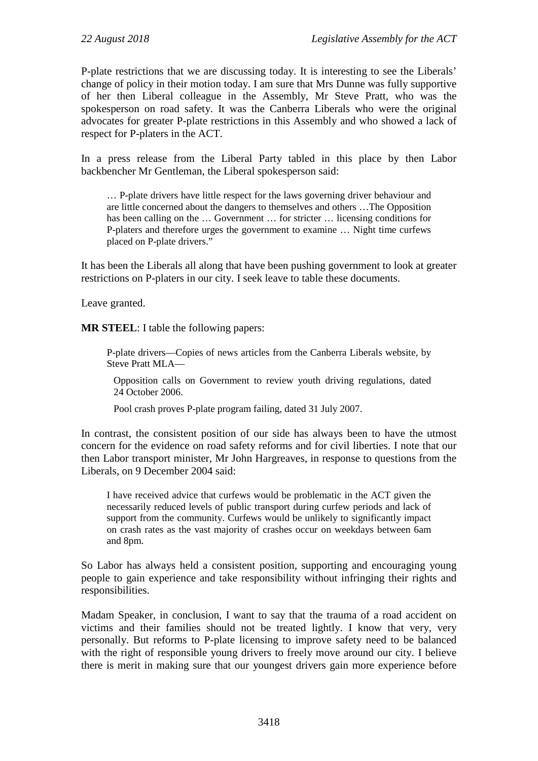P-plate restrictions that we are discussing today. It is interesting to see the Liberals' change of policy in their motion today. I am sure that Mrs Dunne was fully supportive of her then Liberal colleague in the Assembly, Mr Steve Pratt, who was the spokesperson on road safety. It was the Canberra Liberals who were the original advocates for greater P-plate restrictions in this Assembly and who showed a lack of respect for P-platers in the ACT.

In a press release from the Liberal Party tabled in this place by then Labor backbencher Mr Gentleman, the Liberal spokesperson said:

… P-plate drivers have little respect for the laws governing driver behaviour and are little concerned about the dangers to themselves and others …The Opposition has been calling on the ... Government ... for stricter ... licensing conditions for P-platers and therefore urges the government to examine … Night time curfews placed on P-plate drivers."

It has been the Liberals all along that have been pushing government to look at greater restrictions on P-platers in our city. I seek leave to table these documents.

Leave granted.

**MR STEEL**: I table the following papers:

P-plate drivers—Copies of news articles from the Canberra Liberals website, by Steve Pratt MLA—

Opposition calls on Government to review youth driving regulations, dated 24 October 2006.

Pool crash proves P-plate program failing, dated 31 July 2007.

In contrast, the consistent position of our side has always been to have the utmost concern for the evidence on road safety reforms and for civil liberties. I note that our then Labor transport minister, Mr John Hargreaves, in response to questions from the Liberals, on 9 December 2004 said:

I have received advice that curfews would be problematic in the ACT given the necessarily reduced levels of public transport during curfew periods and lack of support from the community. Curfews would be unlikely to significantly impact on crash rates as the vast majority of crashes occur on weekdays between 6am and 8pm.

So Labor has always held a consistent position, supporting and encouraging young people to gain experience and take responsibility without infringing their rights and responsibilities.

Madam Speaker, in conclusion, I want to say that the trauma of a road accident on victims and their families should not be treated lightly. I know that very, very personally. But reforms to P-plate licensing to improve safety need to be balanced with the right of responsible young drivers to freely move around our city. I believe there is merit in making sure that our youngest drivers gain more experience before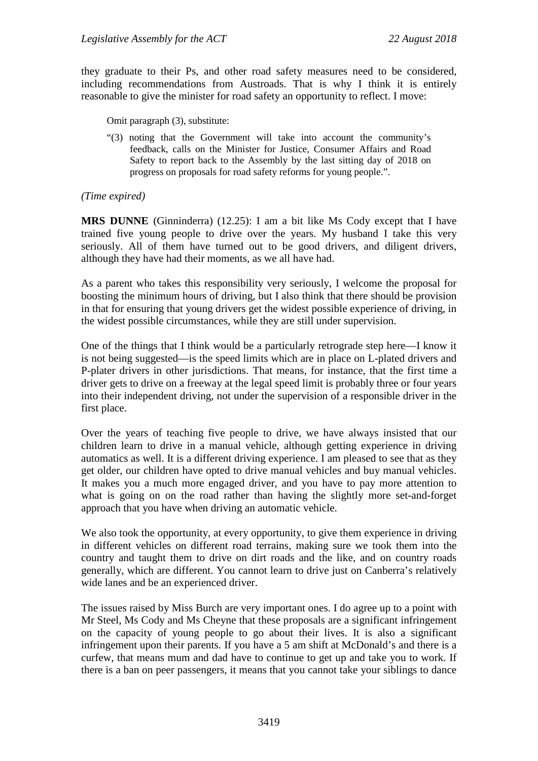they graduate to their Ps, and other road safety measures need to be considered, including recommendations from Austroads. That is why I think it is entirely reasonable to give the minister for road safety an opportunity to reflect. I move:

Omit paragraph (3), substitute:

"(3) noting that the Government will take into account the community's feedback, calls on the Minister for Justice, Consumer Affairs and Road Safety to report back to the Assembly by the last sitting day of 2018 on progress on proposals for road safety reforms for young people.".

#### *(Time expired)*

**MRS DUNNE** (Ginninderra) (12.25): I am a bit like Ms Cody except that I have trained five young people to drive over the years. My husband I take this very seriously. All of them have turned out to be good drivers, and diligent drivers, although they have had their moments, as we all have had.

As a parent who takes this responsibility very seriously, I welcome the proposal for boosting the minimum hours of driving, but I also think that there should be provision in that for ensuring that young drivers get the widest possible experience of driving, in the widest possible circumstances, while they are still under supervision.

One of the things that I think would be a particularly retrograde step here—I know it is not being suggested—is the speed limits which are in place on L-plated drivers and P-plater drivers in other jurisdictions. That means, for instance, that the first time a driver gets to drive on a freeway at the legal speed limit is probably three or four years into their independent driving, not under the supervision of a responsible driver in the first place.

Over the years of teaching five people to drive, we have always insisted that our children learn to drive in a manual vehicle, although getting experience in driving automatics as well. It is a different driving experience. I am pleased to see that as they get older, our children have opted to drive manual vehicles and buy manual vehicles. It makes you a much more engaged driver, and you have to pay more attention to what is going on on the road rather than having the slightly more set-and-forget approach that you have when driving an automatic vehicle.

We also took the opportunity, at every opportunity, to give them experience in driving in different vehicles on different road terrains, making sure we took them into the country and taught them to drive on dirt roads and the like, and on country roads generally, which are different. You cannot learn to drive just on Canberra's relatively wide lanes and be an experienced driver.

The issues raised by Miss Burch are very important ones. I do agree up to a point with Mr Steel, Ms Cody and Ms Cheyne that these proposals are a significant infringement on the capacity of young people to go about their lives. It is also a significant infringement upon their parents. If you have a 5 am shift at McDonald's and there is a curfew, that means mum and dad have to continue to get up and take you to work. If there is a ban on peer passengers, it means that you cannot take your siblings to dance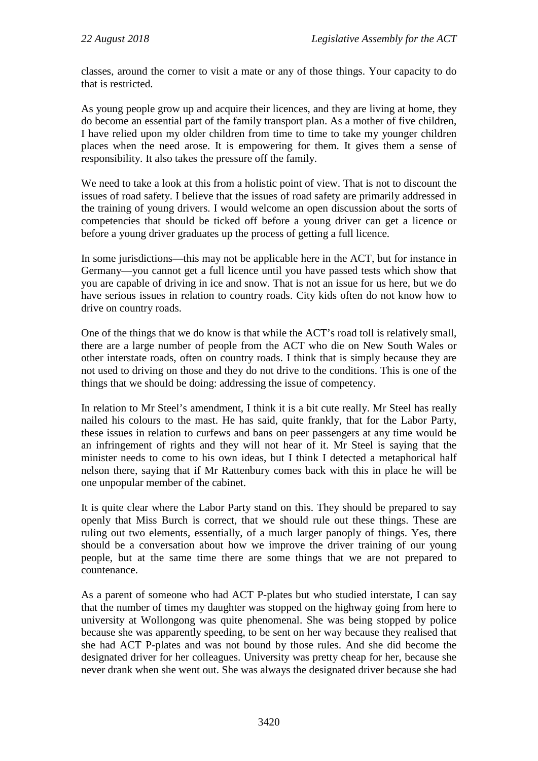classes, around the corner to visit a mate or any of those things. Your capacity to do that is restricted.

As young people grow up and acquire their licences, and they are living at home, they do become an essential part of the family transport plan. As a mother of five children, I have relied upon my older children from time to time to take my younger children places when the need arose. It is empowering for them. It gives them a sense of responsibility. It also takes the pressure off the family.

We need to take a look at this from a holistic point of view. That is not to discount the issues of road safety. I believe that the issues of road safety are primarily addressed in the training of young drivers. I would welcome an open discussion about the sorts of competencies that should be ticked off before a young driver can get a licence or before a young driver graduates up the process of getting a full licence.

In some jurisdictions—this may not be applicable here in the ACT, but for instance in Germany—you cannot get a full licence until you have passed tests which show that you are capable of driving in ice and snow. That is not an issue for us here, but we do have serious issues in relation to country roads. City kids often do not know how to drive on country roads.

One of the things that we do know is that while the ACT's road toll is relatively small, there are a large number of people from the ACT who die on New South Wales or other interstate roads, often on country roads. I think that is simply because they are not used to driving on those and they do not drive to the conditions. This is one of the things that we should be doing: addressing the issue of competency.

In relation to Mr Steel's amendment, I think it is a bit cute really. Mr Steel has really nailed his colours to the mast. He has said, quite frankly, that for the Labor Party, these issues in relation to curfews and bans on peer passengers at any time would be an infringement of rights and they will not hear of it. Mr Steel is saying that the minister needs to come to his own ideas, but I think I detected a metaphorical half nelson there, saying that if Mr Rattenbury comes back with this in place he will be one unpopular member of the cabinet.

It is quite clear where the Labor Party stand on this. They should be prepared to say openly that Miss Burch is correct, that we should rule out these things. These are ruling out two elements, essentially, of a much larger panoply of things. Yes, there should be a conversation about how we improve the driver training of our young people, but at the same time there are some things that we are not prepared to countenance.

As a parent of someone who had ACT P-plates but who studied interstate, I can say that the number of times my daughter was stopped on the highway going from here to university at Wollongong was quite phenomenal. She was being stopped by police because she was apparently speeding, to be sent on her way because they realised that she had ACT P-plates and was not bound by those rules. And she did become the designated driver for her colleagues. University was pretty cheap for her, because she never drank when she went out. She was always the designated driver because she had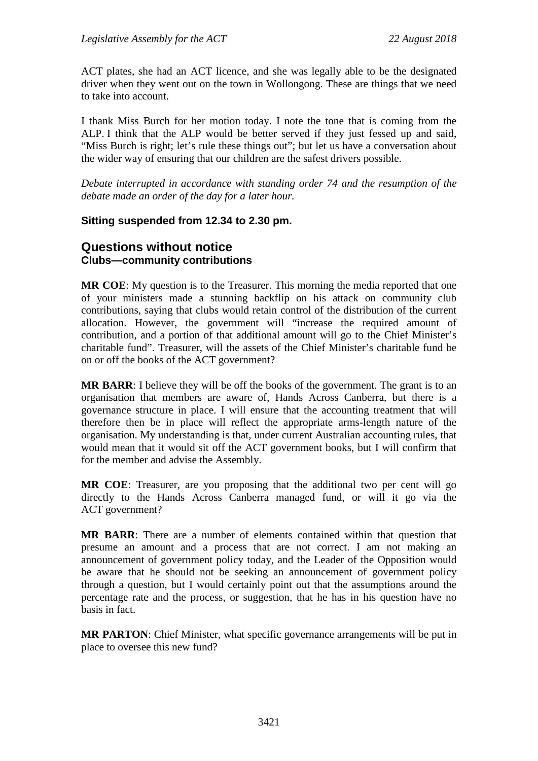ACT plates, she had an ACT licence, and she was legally able to be the designated driver when they went out on the town in Wollongong. These are things that we need to take into account.

I thank Miss Burch for her motion today. I note the tone that is coming from the ALP. I think that the ALP would be better served if they just fessed up and said, "Miss Burch is right; let's rule these things out"; but let us have a conversation about the wider way of ensuring that our children are the safest drivers possible.

*Debate interrupted in accordance with standing order 74 and the resumption of the debate made an order of the day for a later hour.*

# **Sitting suspended from 12.34 to 2.30 pm.**

# **Questions without notice Clubs—community contributions**

**MR COE**: My question is to the Treasurer. This morning the media reported that one of your ministers made a stunning backflip on his attack on community club contributions, saying that clubs would retain control of the distribution of the current allocation. However, the government will "increase the required amount of contribution, and a portion of that additional amount will go to the Chief Minister's charitable fund". Treasurer, will the assets of the Chief Minister's charitable fund be on or off the books of the ACT government?

**MR BARR**: I believe they will be off the books of the government. The grant is to an organisation that members are aware of, Hands Across Canberra, but there is a governance structure in place. I will ensure that the accounting treatment that will therefore then be in place will reflect the appropriate arms-length nature of the organisation. My understanding is that, under current Australian accounting rules, that would mean that it would sit off the ACT government books, but I will confirm that for the member and advise the Assembly.

**MR COE**: Treasurer, are you proposing that the additional two per cent will go directly to the Hands Across Canberra managed fund, or will it go via the ACT government?

**MR BARR**: There are a number of elements contained within that question that presume an amount and a process that are not correct. I am not making an announcement of government policy today, and the Leader of the Opposition would be aware that he should not be seeking an announcement of government policy through a question, but I would certainly point out that the assumptions around the percentage rate and the process, or suggestion, that he has in his question have no basis in fact.

**MR PARTON**: Chief Minister, what specific governance arrangements will be put in place to oversee this new fund?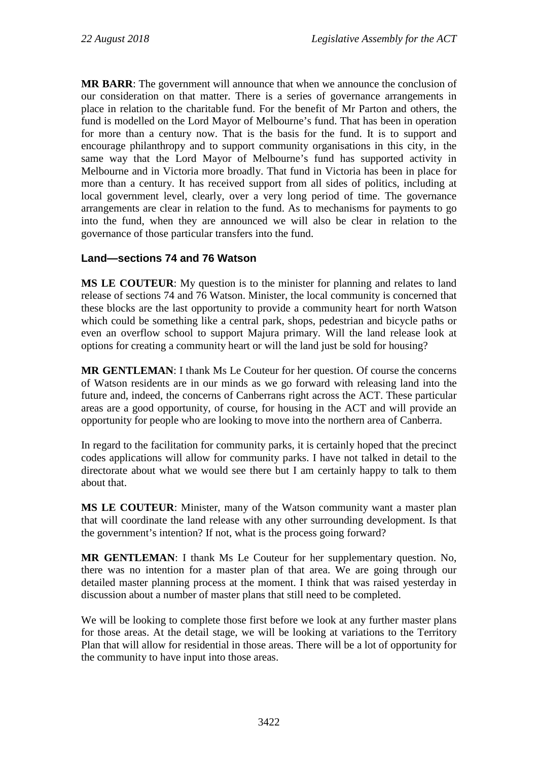**MR BARR**: The government will announce that when we announce the conclusion of our consideration on that matter. There is a series of governance arrangements in place in relation to the charitable fund. For the benefit of Mr Parton and others, the fund is modelled on the Lord Mayor of Melbourne's fund. That has been in operation for more than a century now. That is the basis for the fund. It is to support and encourage philanthropy and to support community organisations in this city, in the same way that the Lord Mayor of Melbourne's fund has supported activity in Melbourne and in Victoria more broadly. That fund in Victoria has been in place for more than a century. It has received support from all sides of politics, including at local government level, clearly, over a very long period of time. The governance arrangements are clear in relation to the fund. As to mechanisms for payments to go into the fund, when they are announced we will also be clear in relation to the governance of those particular transfers into the fund.

# **Land—sections 74 and 76 Watson**

**MS LE COUTEUR**: My question is to the minister for planning and relates to land release of sections 74 and 76 Watson. Minister, the local community is concerned that these blocks are the last opportunity to provide a community heart for north Watson which could be something like a central park, shops, pedestrian and bicycle paths or even an overflow school to support Majura primary. Will the land release look at options for creating a community heart or will the land just be sold for housing?

**MR GENTLEMAN**: I thank Ms Le Couteur for her question. Of course the concerns of Watson residents are in our minds as we go forward with releasing land into the future and, indeed, the concerns of Canberrans right across the ACT. These particular areas are a good opportunity, of course, for housing in the ACT and will provide an opportunity for people who are looking to move into the northern area of Canberra.

In regard to the facilitation for community parks, it is certainly hoped that the precinct codes applications will allow for community parks. I have not talked in detail to the directorate about what we would see there but I am certainly happy to talk to them about that.

**MS LE COUTEUR**: Minister, many of the Watson community want a master plan that will coordinate the land release with any other surrounding development. Is that the government's intention? If not, what is the process going forward?

**MR GENTLEMAN**: I thank Ms Le Couteur for her supplementary question. No, there was no intention for a master plan of that area. We are going through our detailed master planning process at the moment. I think that was raised yesterday in discussion about a number of master plans that still need to be completed.

We will be looking to complete those first before we look at any further master plans for those areas. At the detail stage, we will be looking at variations to the Territory Plan that will allow for residential in those areas. There will be a lot of opportunity for the community to have input into those areas.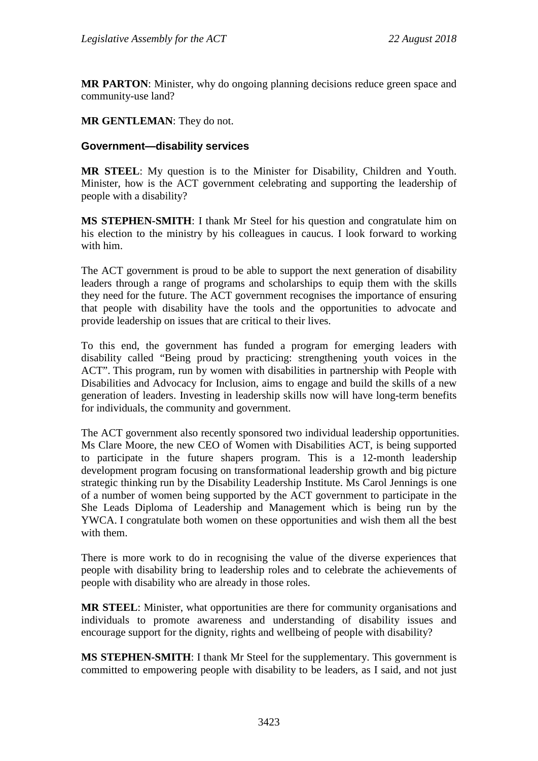**MR PARTON**: Minister, why do ongoing planning decisions reduce green space and community-use land?

#### **MR GENTLEMAN**: They do not.

#### **Government—disability services**

**MR STEEL**: My question is to the Minister for Disability, Children and Youth. Minister, how is the ACT government celebrating and supporting the leadership of people with a disability?

**MS STEPHEN-SMITH**: I thank Mr Steel for his question and congratulate him on his election to the ministry by his colleagues in caucus. I look forward to working with him.

The ACT government is proud to be able to support the next generation of disability leaders through a range of programs and scholarships to equip them with the skills they need for the future. The ACT government recognises the importance of ensuring that people with disability have the tools and the opportunities to advocate and provide leadership on issues that are critical to their lives.

To this end, the government has funded a program for emerging leaders with disability called "Being proud by practicing: strengthening youth voices in the ACT". This program, run by women with disabilities in partnership with People with Disabilities and Advocacy for Inclusion, aims to engage and build the skills of a new generation of leaders. Investing in leadership skills now will have long-term benefits for individuals, the community and government.

The ACT government also recently sponsored two individual leadership opportunities. Ms Clare Moore, the new CEO of Women with Disabilities ACT, is being supported to participate in the future shapers program. This is a 12-month leadership development program focusing on transformational leadership growth and big picture strategic thinking run by the Disability Leadership Institute. Ms Carol Jennings is one of a number of women being supported by the ACT government to participate in the She Leads Diploma of Leadership and Management which is being run by the YWCA. I congratulate both women on these opportunities and wish them all the best with them.

There is more work to do in recognising the value of the diverse experiences that people with disability bring to leadership roles and to celebrate the achievements of people with disability who are already in those roles.

**MR STEEL**: Minister, what opportunities are there for community organisations and individuals to promote awareness and understanding of disability issues and encourage support for the dignity, rights and wellbeing of people with disability?

**MS STEPHEN-SMITH**: I thank Mr Steel for the supplementary. This government is committed to empowering people with disability to be leaders, as I said, and not just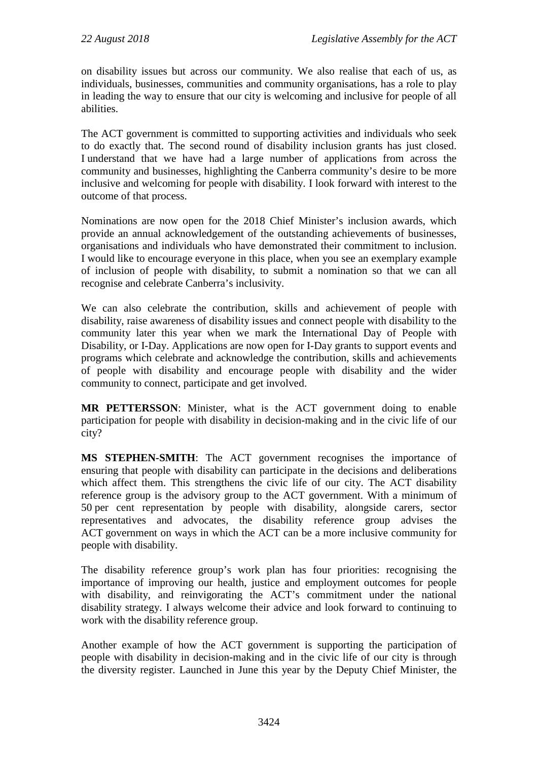on disability issues but across our community. We also realise that each of us, as individuals, businesses, communities and community organisations, has a role to play in leading the way to ensure that our city is welcoming and inclusive for people of all abilities.

The ACT government is committed to supporting activities and individuals who seek to do exactly that. The second round of disability inclusion grants has just closed. I understand that we have had a large number of applications from across the community and businesses, highlighting the Canberra community's desire to be more inclusive and welcoming for people with disability. I look forward with interest to the outcome of that process.

Nominations are now open for the 2018 Chief Minister's inclusion awards, which provide an annual acknowledgement of the outstanding achievements of businesses, organisations and individuals who have demonstrated their commitment to inclusion. I would like to encourage everyone in this place, when you see an exemplary example of inclusion of people with disability, to submit a nomination so that we can all recognise and celebrate Canberra's inclusivity.

We can also celebrate the contribution, skills and achievement of people with disability, raise awareness of disability issues and connect people with disability to the community later this year when we mark the International Day of People with Disability, or I-Day. Applications are now open for I-Day grants to support events and programs which celebrate and acknowledge the contribution, skills and achievements of people with disability and encourage people with disability and the wider community to connect, participate and get involved.

**MR PETTERSSON**: Minister, what is the ACT government doing to enable participation for people with disability in decision-making and in the civic life of our city?

**MS STEPHEN-SMITH**: The ACT government recognises the importance of ensuring that people with disability can participate in the decisions and deliberations which affect them. This strengthens the civic life of our city. The ACT disability reference group is the advisory group to the ACT government. With a minimum of 50 per cent representation by people with disability, alongside carers, sector representatives and advocates, the disability reference group advises the ACT government on ways in which the ACT can be a more inclusive community for people with disability.

The disability reference group's work plan has four priorities: recognising the importance of improving our health, justice and employment outcomes for people with disability, and reinvigorating the ACT's commitment under the national disability strategy. I always welcome their advice and look forward to continuing to work with the disability reference group.

Another example of how the ACT government is supporting the participation of people with disability in decision-making and in the civic life of our city is through the diversity register. Launched in June this year by the Deputy Chief Minister, the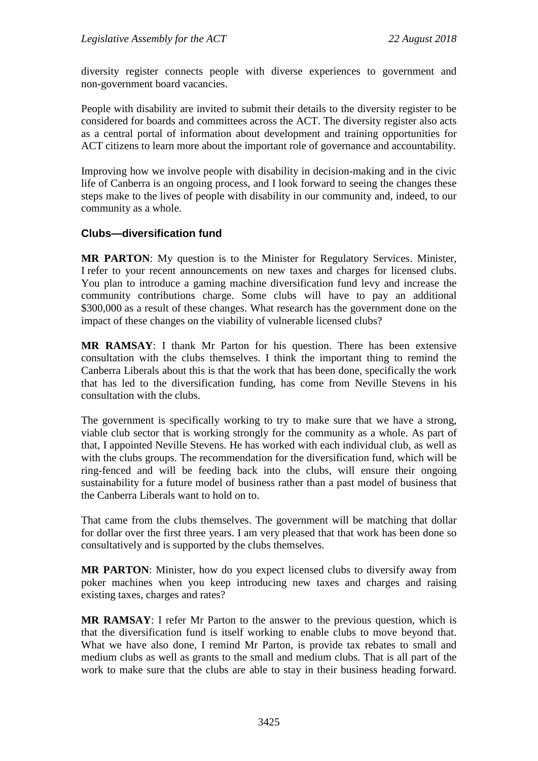diversity register connects people with diverse experiences to government and non-government board vacancies.

People with disability are invited to submit their details to the diversity register to be considered for boards and committees across the ACT. The diversity register also acts as a central portal of information about development and training opportunities for ACT citizens to learn more about the important role of governance and accountability.

Improving how we involve people with disability in decision-making and in the civic life of Canberra is an ongoing process, and I look forward to seeing the changes these steps make to the lives of people with disability in our community and, indeed, to our community as a whole.

## **Clubs—diversification fund**

**MR PARTON**: My question is to the Minister for Regulatory Services. Minister, I refer to your recent announcements on new taxes and charges for licensed clubs. You plan to introduce a gaming machine diversification fund levy and increase the community contributions charge. Some clubs will have to pay an additional \$300,000 as a result of these changes. What research has the government done on the impact of these changes on the viability of vulnerable licensed clubs?

**MR RAMSAY**: I thank Mr Parton for his question. There has been extensive consultation with the clubs themselves. I think the important thing to remind the Canberra Liberals about this is that the work that has been done, specifically the work that has led to the diversification funding, has come from Neville Stevens in his consultation with the clubs.

The government is specifically working to try to make sure that we have a strong, viable club sector that is working strongly for the community as a whole. As part of that, I appointed Neville Stevens. He has worked with each individual club, as well as with the clubs groups. The recommendation for the diversification fund, which will be ring-fenced and will be feeding back into the clubs, will ensure their ongoing sustainability for a future model of business rather than a past model of business that the Canberra Liberals want to hold on to.

That came from the clubs themselves. The government will be matching that dollar for dollar over the first three years. I am very pleased that that work has been done so consultatively and is supported by the clubs themselves.

**MR PARTON**: Minister, how do you expect licensed clubs to diversify away from poker machines when you keep introducing new taxes and charges and raising existing taxes, charges and rates?

**MR RAMSAY**: I refer Mr Parton to the answer to the previous question, which is that the diversification fund is itself working to enable clubs to move beyond that. What we have also done, I remind Mr Parton, is provide tax rebates to small and medium clubs as well as grants to the small and medium clubs. That is all part of the work to make sure that the clubs are able to stay in their business heading forward.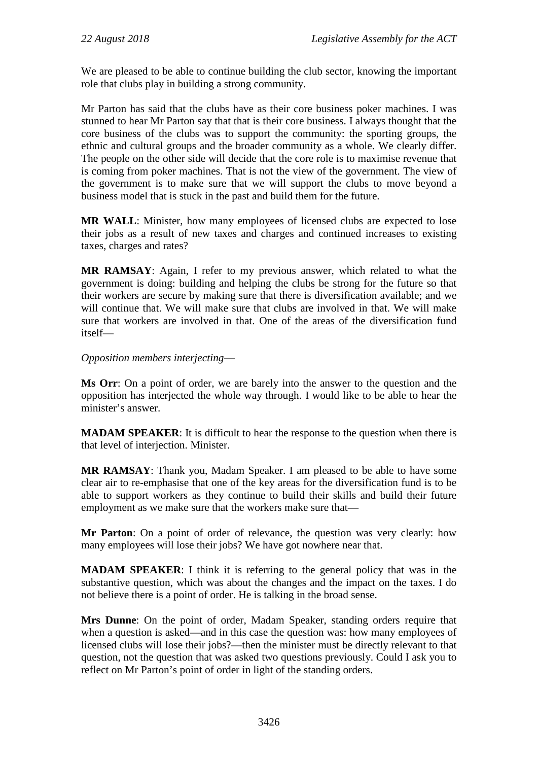We are pleased to be able to continue building the club sector, knowing the important role that clubs play in building a strong community.

Mr Parton has said that the clubs have as their core business poker machines. I was stunned to hear Mr Parton say that that is their core business. I always thought that the core business of the clubs was to support the community: the sporting groups, the ethnic and cultural groups and the broader community as a whole. We clearly differ. The people on the other side will decide that the core role is to maximise revenue that is coming from poker machines. That is not the view of the government. The view of the government is to make sure that we will support the clubs to move beyond a business model that is stuck in the past and build them for the future.

**MR WALL**: Minister, how many employees of licensed clubs are expected to lose their jobs as a result of new taxes and charges and continued increases to existing taxes, charges and rates?

**MR RAMSAY**: Again, I refer to my previous answer, which related to what the government is doing: building and helping the clubs be strong for the future so that their workers are secure by making sure that there is diversification available; and we will continue that. We will make sure that clubs are involved in that. We will make sure that workers are involved in that. One of the areas of the diversification fund itself—

## *Opposition members interjecting*—

**Ms Orr**: On a point of order, we are barely into the answer to the question and the opposition has interjected the whole way through. I would like to be able to hear the minister's answer.

**MADAM SPEAKER**: It is difficult to hear the response to the question when there is that level of interjection. Minister.

**MR RAMSAY**: Thank you, Madam Speaker. I am pleased to be able to have some clear air to re-emphasise that one of the key areas for the diversification fund is to be able to support workers as they continue to build their skills and build their future employment as we make sure that the workers make sure that—

**Mr Parton**: On a point of order of relevance, the question was very clearly: how many employees will lose their jobs? We have got nowhere near that.

**MADAM SPEAKER**: I think it is referring to the general policy that was in the substantive question, which was about the changes and the impact on the taxes. I do not believe there is a point of order. He is talking in the broad sense.

**Mrs Dunne**: On the point of order, Madam Speaker, standing orders require that when a question is asked—and in this case the question was: how many employees of licensed clubs will lose their jobs?—then the minister must be directly relevant to that question, not the question that was asked two questions previously. Could I ask you to reflect on Mr Parton's point of order in light of the standing orders.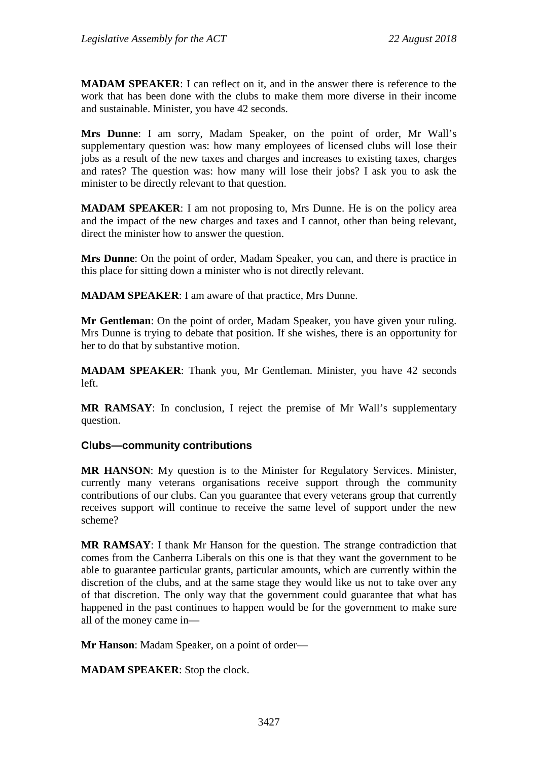**MADAM SPEAKER**: I can reflect on it, and in the answer there is reference to the work that has been done with the clubs to make them more diverse in their income and sustainable. Minister, you have 42 seconds.

**Mrs Dunne**: I am sorry, Madam Speaker, on the point of order, Mr Wall's supplementary question was: how many employees of licensed clubs will lose their jobs as a result of the new taxes and charges and increases to existing taxes, charges and rates? The question was: how many will lose their jobs? I ask you to ask the minister to be directly relevant to that question.

**MADAM SPEAKER**: I am not proposing to, Mrs Dunne. He is on the policy area and the impact of the new charges and taxes and I cannot, other than being relevant, direct the minister how to answer the question.

**Mrs Dunne**: On the point of order, Madam Speaker, you can, and there is practice in this place for sitting down a minister who is not directly relevant.

**MADAM SPEAKER**: I am aware of that practice, Mrs Dunne.

**Mr Gentleman**: On the point of order, Madam Speaker, you have given your ruling. Mrs Dunne is trying to debate that position. If she wishes, there is an opportunity for her to do that by substantive motion.

**MADAM SPEAKER**: Thank you, Mr Gentleman. Minister, you have 42 seconds left.

**MR RAMSAY**: In conclusion, I reject the premise of Mr Wall's supplementary question.

## **Clubs—community contributions**

**MR HANSON**: My question is to the Minister for Regulatory Services. Minister, currently many veterans organisations receive support through the community contributions of our clubs. Can you guarantee that every veterans group that currently receives support will continue to receive the same level of support under the new scheme?

**MR RAMSAY**: I thank Mr Hanson for the question. The strange contradiction that comes from the Canberra Liberals on this one is that they want the government to be able to guarantee particular grants, particular amounts, which are currently within the discretion of the clubs, and at the same stage they would like us not to take over any of that discretion. The only way that the government could guarantee that what has happened in the past continues to happen would be for the government to make sure all of the money came in—

**Mr Hanson**: Madam Speaker, on a point of order—

**MADAM SPEAKER**: Stop the clock.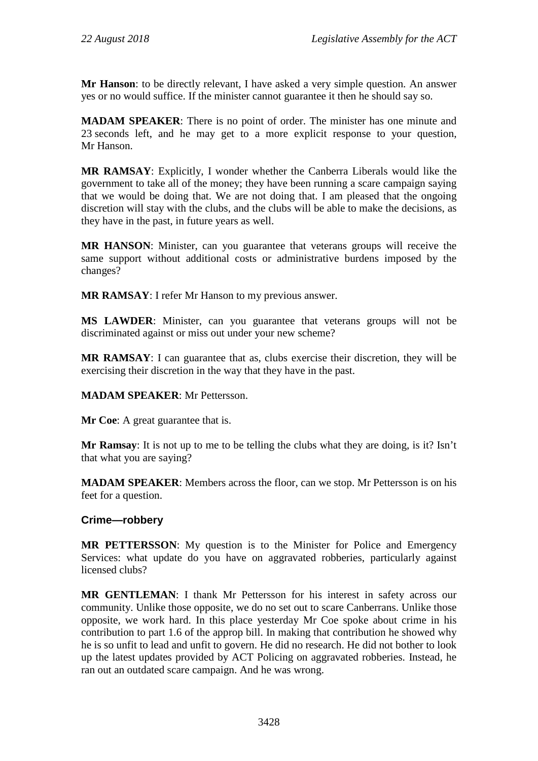**Mr Hanson**: to be directly relevant, I have asked a very simple question. An answer yes or no would suffice. If the minister cannot guarantee it then he should say so.

**MADAM SPEAKER**: There is no point of order. The minister has one minute and 23 seconds left, and he may get to a more explicit response to your question, Mr Hanson.

**MR RAMSAY**: Explicitly, I wonder whether the Canberra Liberals would like the government to take all of the money; they have been running a scare campaign saying that we would be doing that. We are not doing that. I am pleased that the ongoing discretion will stay with the clubs, and the clubs will be able to make the decisions, as they have in the past, in future years as well.

**MR HANSON**: Minister, can you guarantee that veterans groups will receive the same support without additional costs or administrative burdens imposed by the changes?

**MR RAMSAY**: I refer Mr Hanson to my previous answer.

**MS LAWDER**: Minister, can you guarantee that veterans groups will not be discriminated against or miss out under your new scheme?

**MR RAMSAY**: I can guarantee that as, clubs exercise their discretion, they will be exercising their discretion in the way that they have in the past.

## **MADAM SPEAKER**: Mr Pettersson.

**Mr Coe:** A great guarantee that is.

**Mr Ramsay**: It is not up to me to be telling the clubs what they are doing, is it? Isn't that what you are saying?

**MADAM SPEAKER**: Members across the floor, can we stop. Mr Pettersson is on his feet for a question.

## **Crime—robbery**

**MR PETTERSSON**: My question is to the Minister for Police and Emergency Services: what update do you have on aggravated robberies, particularly against licensed clubs?

**MR GENTLEMAN**: I thank Mr Pettersson for his interest in safety across our community. Unlike those opposite, we do no set out to scare Canberrans. Unlike those opposite, we work hard. In this place yesterday Mr Coe spoke about crime in his contribution to part 1.6 of the approp bill. In making that contribution he showed why he is so unfit to lead and unfit to govern. He did no research. He did not bother to look up the latest updates provided by ACT Policing on aggravated robberies. Instead, he ran out an outdated scare campaign. And he was wrong.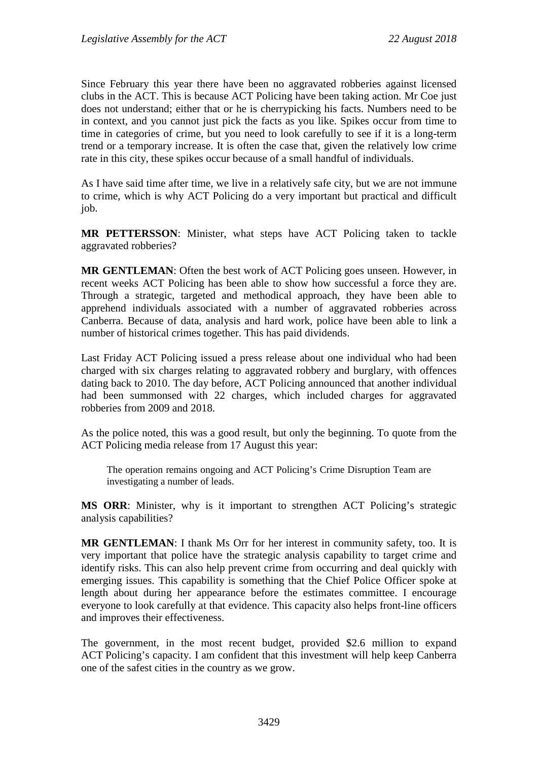Since February this year there have been no aggravated robberies against licensed clubs in the ACT. This is because ACT Policing have been taking action. Mr Coe just does not understand; either that or he is cherrypicking his facts. Numbers need to be in context, and you cannot just pick the facts as you like. Spikes occur from time to time in categories of crime, but you need to look carefully to see if it is a long-term trend or a temporary increase. It is often the case that, given the relatively low crime rate in this city, these spikes occur because of a small handful of individuals.

As I have said time after time, we live in a relatively safe city, but we are not immune to crime, which is why ACT Policing do a very important but practical and difficult job.

**MR PETTERSSON**: Minister, what steps have ACT Policing taken to tackle aggravated robberies?

**MR GENTLEMAN**: Often the best work of ACT Policing goes unseen. However, in recent weeks ACT Policing has been able to show how successful a force they are. Through a strategic, targeted and methodical approach, they have been able to apprehend individuals associated with a number of aggravated robberies across Canberra. Because of data, analysis and hard work, police have been able to link a number of historical crimes together. This has paid dividends.

Last Friday ACT Policing issued a press release about one individual who had been charged with six charges relating to aggravated robbery and burglary, with offences dating back to 2010. The day before, ACT Policing announced that another individual had been summonsed with 22 charges, which included charges for aggravated robberies from 2009 and 2018.

As the police noted, this was a good result, but only the beginning. To quote from the ACT Policing media release from 17 August this year:

The operation remains ongoing and ACT Policing's Crime Disruption Team are investigating a number of leads.

**MS ORR**: Minister, why is it important to strengthen ACT Policing's strategic analysis capabilities?

**MR GENTLEMAN**: I thank Ms Orr for her interest in community safety, too. It is very important that police have the strategic analysis capability to target crime and identify risks. This can also help prevent crime from occurring and deal quickly with emerging issues. This capability is something that the Chief Police Officer spoke at length about during her appearance before the estimates committee. I encourage everyone to look carefully at that evidence. This capacity also helps front-line officers and improves their effectiveness.

The government, in the most recent budget, provided \$2.6 million to expand ACT Policing's capacity. I am confident that this investment will help keep Canberra one of the safest cities in the country as we grow.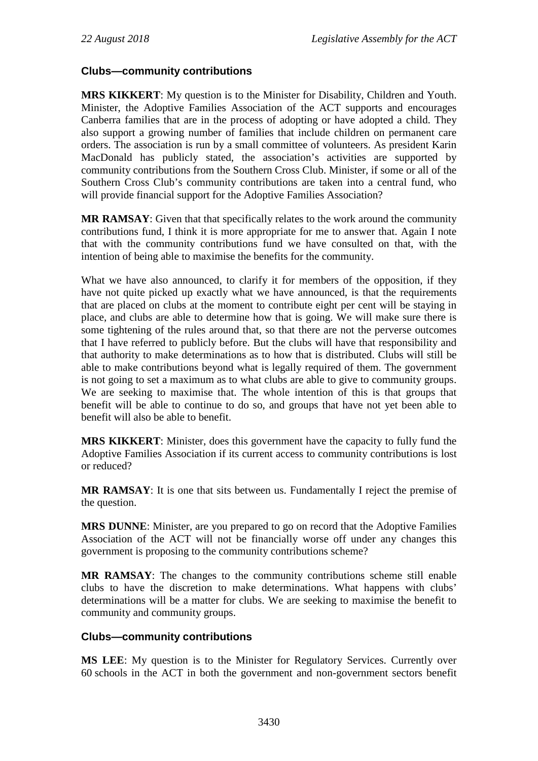# **Clubs—community contributions**

**MRS KIKKERT**: My question is to the Minister for Disability, Children and Youth. Minister, the Adoptive Families Association of the ACT supports and encourages Canberra families that are in the process of adopting or have adopted a child. They also support a growing number of families that include children on permanent care orders. The association is run by a small committee of volunteers. As president Karin MacDonald has publicly stated, the association's activities are supported by community contributions from the Southern Cross Club. Minister, if some or all of the Southern Cross Club's community contributions are taken into a central fund, who will provide financial support for the Adoptive Families Association?

**MR RAMSAY**: Given that that specifically relates to the work around the community contributions fund, I think it is more appropriate for me to answer that. Again I note that with the community contributions fund we have consulted on that, with the intention of being able to maximise the benefits for the community.

What we have also announced, to clarify it for members of the opposition, if they have not quite picked up exactly what we have announced, is that the requirements that are placed on clubs at the moment to contribute eight per cent will be staying in place, and clubs are able to determine how that is going. We will make sure there is some tightening of the rules around that, so that there are not the perverse outcomes that I have referred to publicly before. But the clubs will have that responsibility and that authority to make determinations as to how that is distributed. Clubs will still be able to make contributions beyond what is legally required of them. The government is not going to set a maximum as to what clubs are able to give to community groups. We are seeking to maximise that. The whole intention of this is that groups that benefit will be able to continue to do so, and groups that have not yet been able to benefit will also be able to benefit.

**MRS KIKKERT**: Minister, does this government have the capacity to fully fund the Adoptive Families Association if its current access to community contributions is lost or reduced?

**MR RAMSAY**: It is one that sits between us. Fundamentally I reject the premise of the question.

**MRS DUNNE**: Minister, are you prepared to go on record that the Adoptive Families Association of the ACT will not be financially worse off under any changes this government is proposing to the community contributions scheme?

**MR RAMSAY**: The changes to the community contributions scheme still enable clubs to have the discretion to make determinations. What happens with clubs' determinations will be a matter for clubs. We are seeking to maximise the benefit to community and community groups.

## **Clubs—community contributions**

**MS LEE**: My question is to the Minister for Regulatory Services. Currently over 60 schools in the ACT in both the government and non-government sectors benefit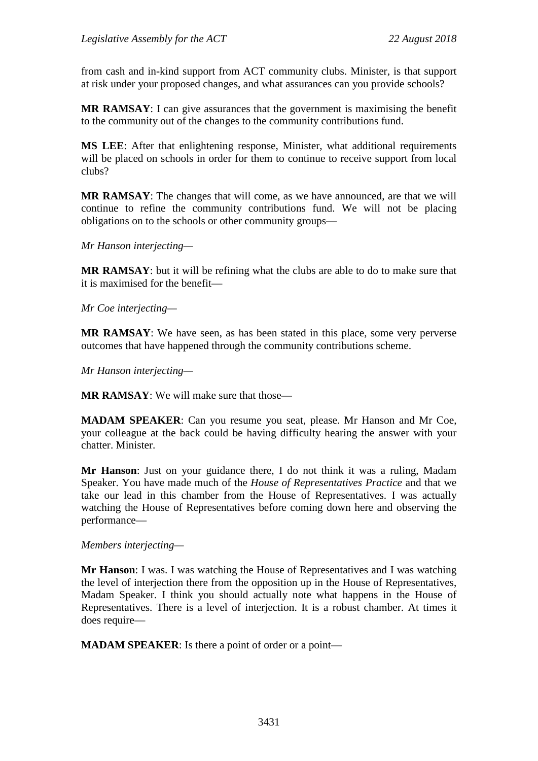from cash and in-kind support from ACT community clubs. Minister, is that support at risk under your proposed changes, and what assurances can you provide schools?

**MR RAMSAY**: I can give assurances that the government is maximising the benefit to the community out of the changes to the community contributions fund.

**MS LEE**: After that enlightening response, Minister, what additional requirements will be placed on schools in order for them to continue to receive support from local clubs?

**MR RAMSAY**: The changes that will come, as we have announced, are that we will continue to refine the community contributions fund. We will not be placing obligations on to the schools or other community groups—

*Mr Hanson interjecting—*

**MR RAMSAY**: but it will be refining what the clubs are able to do to make sure that it is maximised for the benefit—

*Mr Coe interjecting—*

**MR RAMSAY**: We have seen, as has been stated in this place, some very perverse outcomes that have happened through the community contributions scheme.

*Mr Hanson interjecting—*

**MR RAMSAY**: We will make sure that those—

**MADAM SPEAKER**: Can you resume you seat, please. Mr Hanson and Mr Coe, your colleague at the back could be having difficulty hearing the answer with your chatter. Minister.

**Mr Hanson**: Just on your guidance there, I do not think it was a ruling, Madam Speaker. You have made much of the *House of Representatives Practice* and that we take our lead in this chamber from the House of Representatives. I was actually watching the House of Representatives before coming down here and observing the performance—

#### *Members interjecting—*

**Mr Hanson**: I was. I was watching the House of Representatives and I was watching the level of interjection there from the opposition up in the House of Representatives, Madam Speaker. I think you should actually note what happens in the House of Representatives. There is a level of interjection. It is a robust chamber. At times it does require—

**MADAM SPEAKER**: Is there a point of order or a point—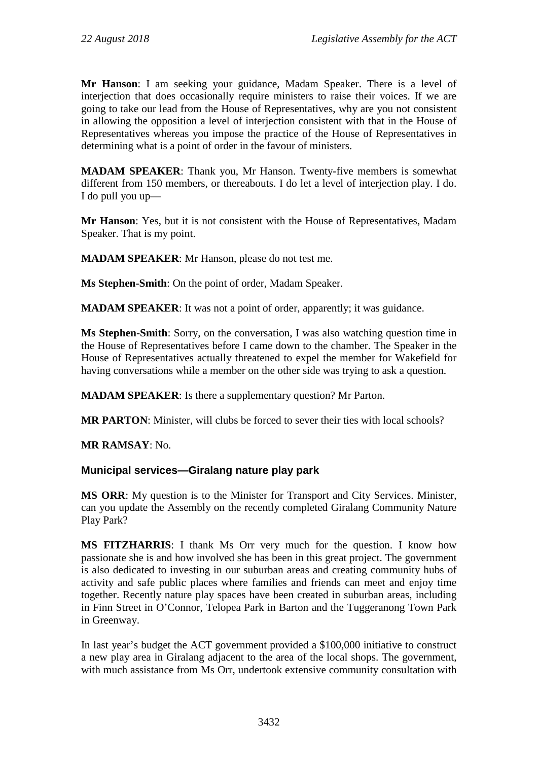**Mr Hanson**: I am seeking your guidance, Madam Speaker. There is a level of interjection that does occasionally require ministers to raise their voices. If we are going to take our lead from the House of Representatives, why are you not consistent in allowing the opposition a level of interjection consistent with that in the House of Representatives whereas you impose the practice of the House of Representatives in determining what is a point of order in the favour of ministers.

**MADAM SPEAKER**: Thank you, Mr Hanson. Twenty-five members is somewhat different from 150 members, or thereabouts. I do let a level of interjection play. I do. I do pull you up—

**Mr Hanson**: Yes, but it is not consistent with the House of Representatives, Madam Speaker. That is my point.

**MADAM SPEAKER**: Mr Hanson, please do not test me.

**Ms Stephen-Smith**: On the point of order, Madam Speaker.

**MADAM SPEAKER**: It was not a point of order, apparently; it was guidance.

**Ms Stephen-Smith**: Sorry, on the conversation, I was also watching question time in the House of Representatives before I came down to the chamber. The Speaker in the House of Representatives actually threatened to expel the member for Wakefield for having conversations while a member on the other side was trying to ask a question.

**MADAM SPEAKER**: Is there a supplementary question? Mr Parton.

**MR PARTON**: Minister, will clubs be forced to sever their ties with local schools?

**MR RAMSAY**: No.

## **Municipal services—Giralang nature play park**

**MS ORR**: My question is to the Minister for Transport and City Services. Minister, can you update the Assembly on the recently completed Giralang Community Nature Play Park?

**MS FITZHARRIS**: I thank Ms Orr very much for the question. I know how passionate she is and how involved she has been in this great project. The government is also dedicated to investing in our suburban areas and creating community hubs of activity and safe public places where families and friends can meet and enjoy time together. Recently nature play spaces have been created in suburban areas, including in Finn Street in O'Connor, Telopea Park in Barton and the Tuggeranong Town Park in Greenway.

In last year's budget the ACT government provided a \$100,000 initiative to construct a new play area in Giralang adjacent to the area of the local shops. The government, with much assistance from Ms Orr, undertook extensive community consultation with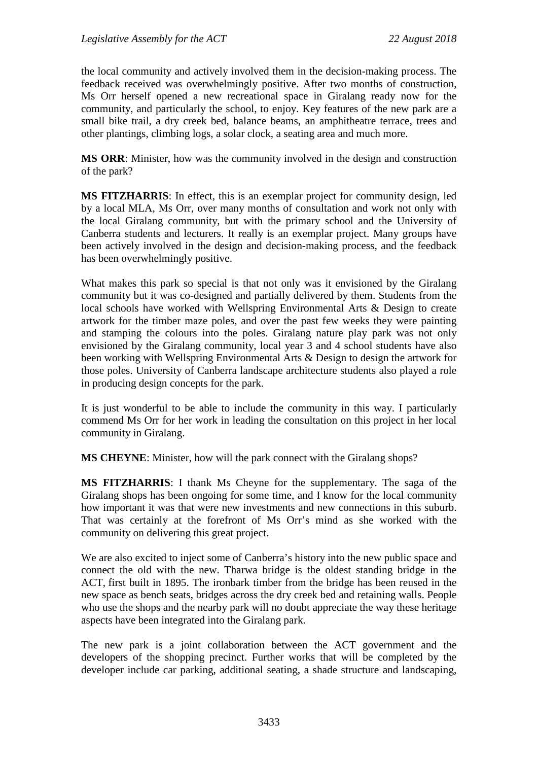the local community and actively involved them in the decision-making process. The feedback received was overwhelmingly positive. After two months of construction, Ms Orr herself opened a new recreational space in Giralang ready now for the community, and particularly the school, to enjoy. Key features of the new park are a small bike trail, a dry creek bed, balance beams, an amphitheatre terrace, trees and other plantings, climbing logs, a solar clock, a seating area and much more.

**MS ORR**: Minister, how was the community involved in the design and construction of the park?

**MS FITZHARRIS**: In effect, this is an exemplar project for community design, led by a local MLA, Ms Orr, over many months of consultation and work not only with the local Giralang community, but with the primary school and the University of Canberra students and lecturers. It really is an exemplar project. Many groups have been actively involved in the design and decision-making process, and the feedback has been overwhelmingly positive.

What makes this park so special is that not only was it envisioned by the Giralang community but it was co-designed and partially delivered by them. Students from the local schools have worked with Wellspring Environmental Arts & Design to create artwork for the timber maze poles, and over the past few weeks they were painting and stamping the colours into the poles. Giralang nature play park was not only envisioned by the Giralang community, local year 3 and 4 school students have also been working with Wellspring Environmental Arts & Design to design the artwork for those poles. University of Canberra landscape architecture students also played a role in producing design concepts for the park.

It is just wonderful to be able to include the community in this way. I particularly commend Ms Orr for her work in leading the consultation on this project in her local community in Giralang.

**MS CHEYNE**: Minister, how will the park connect with the Giralang shops?

**MS FITZHARRIS**: I thank Ms Cheyne for the supplementary. The saga of the Giralang shops has been ongoing for some time, and I know for the local community how important it was that were new investments and new connections in this suburb. That was certainly at the forefront of Ms Orr's mind as she worked with the community on delivering this great project.

We are also excited to inject some of Canberra's history into the new public space and connect the old with the new. Tharwa bridge is the oldest standing bridge in the ACT, first built in 1895. The ironbark timber from the bridge has been reused in the new space as bench seats, bridges across the dry creek bed and retaining walls. People who use the shops and the nearby park will no doubt appreciate the way these heritage aspects have been integrated into the Giralang park.

The new park is a joint collaboration between the ACT government and the developers of the shopping precinct. Further works that will be completed by the developer include car parking, additional seating, a shade structure and landscaping,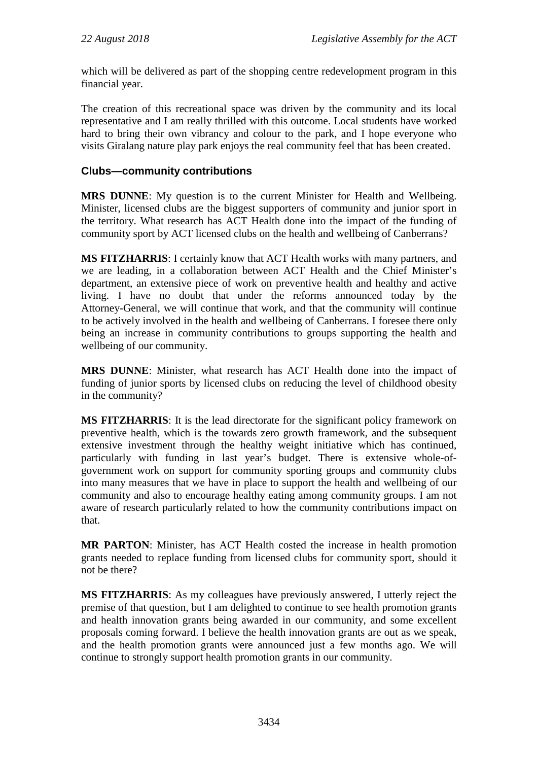which will be delivered as part of the shopping centre redevelopment program in this financial year.

The creation of this recreational space was driven by the community and its local representative and I am really thrilled with this outcome. Local students have worked hard to bring their own vibrancy and colour to the park, and I hope everyone who visits Giralang nature play park enjoys the real community feel that has been created.

# **Clubs—community contributions**

**MRS DUNNE**: My question is to the current Minister for Health and Wellbeing. Minister, licensed clubs are the biggest supporters of community and junior sport in the territory. What research has ACT Health done into the impact of the funding of community sport by ACT licensed clubs on the health and wellbeing of Canberrans?

**MS FITZHARRIS**: I certainly know that ACT Health works with many partners, and we are leading, in a collaboration between ACT Health and the Chief Minister's department, an extensive piece of work on preventive health and healthy and active living. I have no doubt that under the reforms announced today by the Attorney-General, we will continue that work, and that the community will continue to be actively involved in the health and wellbeing of Canberrans. I foresee there only being an increase in community contributions to groups supporting the health and wellbeing of our community.

**MRS DUNNE**: Minister, what research has ACT Health done into the impact of funding of junior sports by licensed clubs on reducing the level of childhood obesity in the community?

**MS FITZHARRIS**: It is the lead directorate for the significant policy framework on preventive health, which is the towards zero growth framework, and the subsequent extensive investment through the healthy weight initiative which has continued, particularly with funding in last year's budget. There is extensive whole-ofgovernment work on support for community sporting groups and community clubs into many measures that we have in place to support the health and wellbeing of our community and also to encourage healthy eating among community groups. I am not aware of research particularly related to how the community contributions impact on that.

**MR PARTON**: Minister, has ACT Health costed the increase in health promotion grants needed to replace funding from licensed clubs for community sport, should it not be there?

**MS FITZHARRIS**: As my colleagues have previously answered, I utterly reject the premise of that question, but I am delighted to continue to see health promotion grants and health innovation grants being awarded in our community, and some excellent proposals coming forward. I believe the health innovation grants are out as we speak, and the health promotion grants were announced just a few months ago. We will continue to strongly support health promotion grants in our community.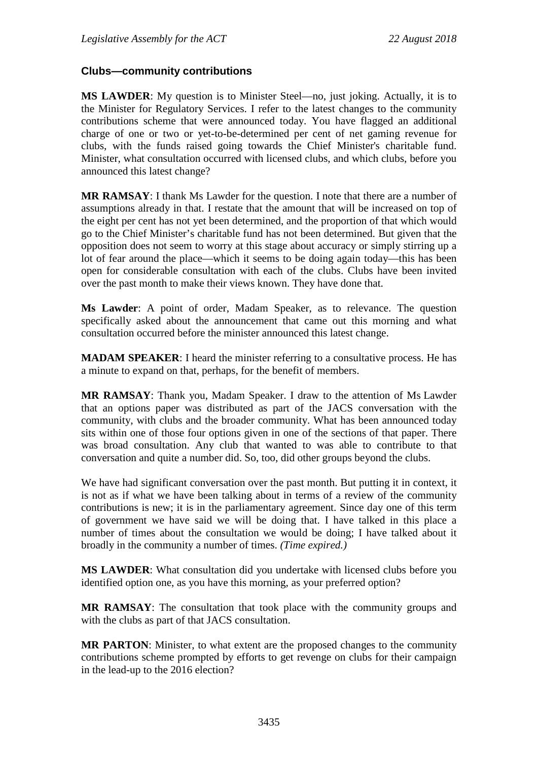## **Clubs—community contributions**

**MS LAWDER**: My question is to Minister Steel—no, just joking. Actually, it is to the Minister for Regulatory Services. I refer to the latest changes to the community contributions scheme that were announced today. You have flagged an additional charge of one or two or yet-to-be-determined per cent of net gaming revenue for clubs, with the funds raised going towards the Chief Minister's charitable fund. Minister, what consultation occurred with licensed clubs, and which clubs, before you announced this latest change?

**MR RAMSAY**: I thank Ms Lawder for the question. I note that there are a number of assumptions already in that. I restate that the amount that will be increased on top of the eight per cent has not yet been determined, and the proportion of that which would go to the Chief Minister's charitable fund has not been determined. But given that the opposition does not seem to worry at this stage about accuracy or simply stirring up a lot of fear around the place—which it seems to be doing again today—this has been open for considerable consultation with each of the clubs. Clubs have been invited over the past month to make their views known. They have done that.

**Ms Lawder**: A point of order, Madam Speaker, as to relevance. The question specifically asked about the announcement that came out this morning and what consultation occurred before the minister announced this latest change.

**MADAM SPEAKER**: I heard the minister referring to a consultative process. He has a minute to expand on that, perhaps, for the benefit of members.

**MR RAMSAY**: Thank you, Madam Speaker. I draw to the attention of Ms Lawder that an options paper was distributed as part of the JACS conversation with the community, with clubs and the broader community. What has been announced today sits within one of those four options given in one of the sections of that paper. There was broad consultation. Any club that wanted to was able to contribute to that conversation and quite a number did. So, too, did other groups beyond the clubs.

We have had significant conversation over the past month. But putting it in context, it is not as if what we have been talking about in terms of a review of the community contributions is new; it is in the parliamentary agreement. Since day one of this term of government we have said we will be doing that. I have talked in this place a number of times about the consultation we would be doing; I have talked about it broadly in the community a number of times. *(Time expired.)*

**MS LAWDER**: What consultation did you undertake with licensed clubs before you identified option one, as you have this morning, as your preferred option?

**MR RAMSAY**: The consultation that took place with the community groups and with the clubs as part of that JACS consultation.

**MR PARTON**: Minister, to what extent are the proposed changes to the community contributions scheme prompted by efforts to get revenge on clubs for their campaign in the lead-up to the 2016 election?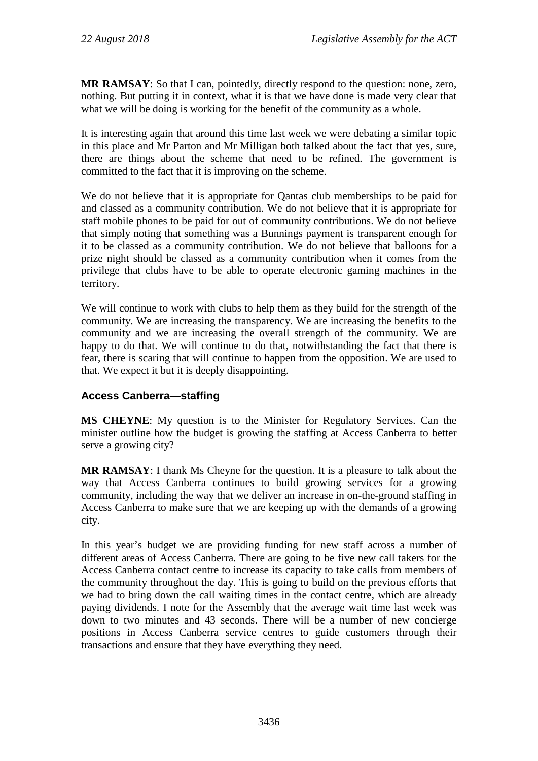**MR RAMSAY**: So that I can, pointedly, directly respond to the question: none, zero, nothing. But putting it in context, what it is that we have done is made very clear that what we will be doing is working for the benefit of the community as a whole.

It is interesting again that around this time last week we were debating a similar topic in this place and Mr Parton and Mr Milligan both talked about the fact that yes, sure, there are things about the scheme that need to be refined. The government is committed to the fact that it is improving on the scheme.

We do not believe that it is appropriate for Qantas club memberships to be paid for and classed as a community contribution. We do not believe that it is appropriate for staff mobile phones to be paid for out of community contributions. We do not believe that simply noting that something was a Bunnings payment is transparent enough for it to be classed as a community contribution. We do not believe that balloons for a prize night should be classed as a community contribution when it comes from the privilege that clubs have to be able to operate electronic gaming machines in the territory.

We will continue to work with clubs to help them as they build for the strength of the community. We are increasing the transparency. We are increasing the benefits to the community and we are increasing the overall strength of the community. We are happy to do that. We will continue to do that, notwithstanding the fact that there is fear, there is scaring that will continue to happen from the opposition. We are used to that. We expect it but it is deeply disappointing.

# **Access Canberra—staffing**

**MS CHEYNE**: My question is to the Minister for Regulatory Services. Can the minister outline how the budget is growing the staffing at Access Canberra to better serve a growing city?

**MR RAMSAY**: I thank Ms Cheyne for the question. It is a pleasure to talk about the way that Access Canberra continues to build growing services for a growing community, including the way that we deliver an increase in on-the-ground staffing in Access Canberra to make sure that we are keeping up with the demands of a growing city.

In this year's budget we are providing funding for new staff across a number of different areas of Access Canberra. There are going to be five new call takers for the Access Canberra contact centre to increase its capacity to take calls from members of the community throughout the day. This is going to build on the previous efforts that we had to bring down the call waiting times in the contact centre, which are already paying dividends. I note for the Assembly that the average wait time last week was down to two minutes and 43 seconds. There will be a number of new concierge positions in Access Canberra service centres to guide customers through their transactions and ensure that they have everything they need.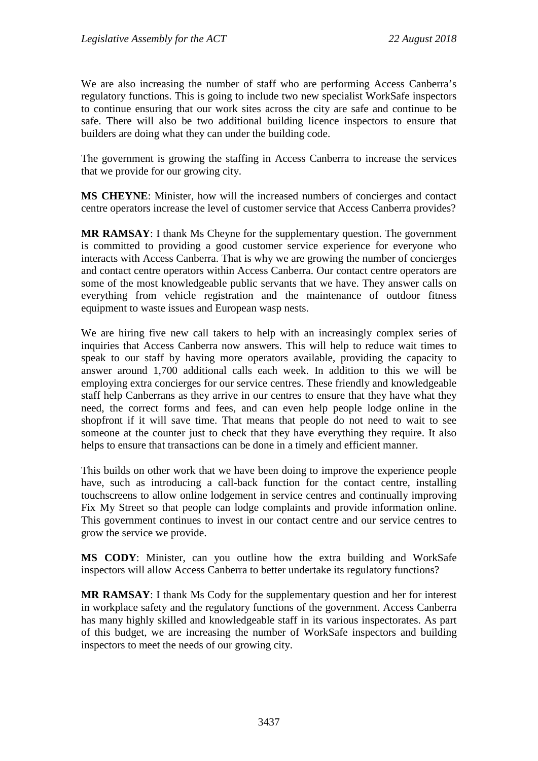We are also increasing the number of staff who are performing Access Canberra's regulatory functions. This is going to include two new specialist WorkSafe inspectors to continue ensuring that our work sites across the city are safe and continue to be safe. There will also be two additional building licence inspectors to ensure that builders are doing what they can under the building code.

The government is growing the staffing in Access Canberra to increase the services that we provide for our growing city.

**MS CHEYNE**: Minister, how will the increased numbers of concierges and contact centre operators increase the level of customer service that Access Canberra provides?

**MR RAMSAY**: I thank Ms Cheyne for the supplementary question. The government is committed to providing a good customer service experience for everyone who interacts with Access Canberra. That is why we are growing the number of concierges and contact centre operators within Access Canberra. Our contact centre operators are some of the most knowledgeable public servants that we have. They answer calls on everything from vehicle registration and the maintenance of outdoor fitness equipment to waste issues and European wasp nests.

We are hiring five new call takers to help with an increasingly complex series of inquiries that Access Canberra now answers. This will help to reduce wait times to speak to our staff by having more operators available, providing the capacity to answer around 1,700 additional calls each week. In addition to this we will be employing extra concierges for our service centres. These friendly and knowledgeable staff help Canberrans as they arrive in our centres to ensure that they have what they need, the correct forms and fees, and can even help people lodge online in the shopfront if it will save time. That means that people do not need to wait to see someone at the counter just to check that they have everything they require. It also helps to ensure that transactions can be done in a timely and efficient manner.

This builds on other work that we have been doing to improve the experience people have, such as introducing a call-back function for the contact centre, installing touchscreens to allow online lodgement in service centres and continually improving Fix My Street so that people can lodge complaints and provide information online. This government continues to invest in our contact centre and our service centres to grow the service we provide.

**MS CODY**: Minister, can you outline how the extra building and WorkSafe inspectors will allow Access Canberra to better undertake its regulatory functions?

**MR RAMSAY**: I thank Ms Cody for the supplementary question and her for interest in workplace safety and the regulatory functions of the government. Access Canberra has many highly skilled and knowledgeable staff in its various inspectorates. As part of this budget, we are increasing the number of WorkSafe inspectors and building inspectors to meet the needs of our growing city.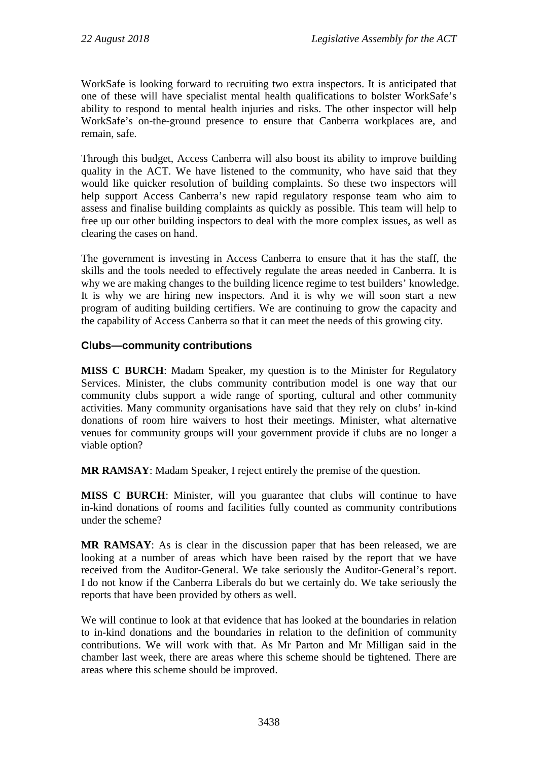WorkSafe is looking forward to recruiting two extra inspectors. It is anticipated that one of these will have specialist mental health qualifications to bolster WorkSafe's ability to respond to mental health injuries and risks. The other inspector will help WorkSafe's on-the-ground presence to ensure that Canberra workplaces are, and remain, safe.

Through this budget, Access Canberra will also boost its ability to improve building quality in the ACT. We have listened to the community, who have said that they would like quicker resolution of building complaints. So these two inspectors will help support Access Canberra's new rapid regulatory response team who aim to assess and finalise building complaints as quickly as possible. This team will help to free up our other building inspectors to deal with the more complex issues, as well as clearing the cases on hand.

The government is investing in Access Canberra to ensure that it has the staff, the skills and the tools needed to effectively regulate the areas needed in Canberra. It is why we are making changes to the building licence regime to test builders' knowledge. It is why we are hiring new inspectors. And it is why we will soon start a new program of auditing building certifiers. We are continuing to grow the capacity and the capability of Access Canberra so that it can meet the needs of this growing city.

# **Clubs—community contributions**

**MISS C BURCH**: Madam Speaker, my question is to the Minister for Regulatory Services. Minister, the clubs community contribution model is one way that our community clubs support a wide range of sporting, cultural and other community activities. Many community organisations have said that they rely on clubs' in-kind donations of room hire waivers to host their meetings. Minister, what alternative venues for community groups will your government provide if clubs are no longer a viable option?

**MR RAMSAY**: Madam Speaker, I reject entirely the premise of the question.

**MISS C BURCH**: Minister, will you guarantee that clubs will continue to have in-kind donations of rooms and facilities fully counted as community contributions under the scheme?

**MR RAMSAY**: As is clear in the discussion paper that has been released, we are looking at a number of areas which have been raised by the report that we have received from the Auditor-General. We take seriously the Auditor-General's report. I do not know if the Canberra Liberals do but we certainly do. We take seriously the reports that have been provided by others as well.

We will continue to look at that evidence that has looked at the boundaries in relation to in-kind donations and the boundaries in relation to the definition of community contributions. We will work with that. As Mr Parton and Mr Milligan said in the chamber last week, there are areas where this scheme should be tightened. There are areas where this scheme should be improved.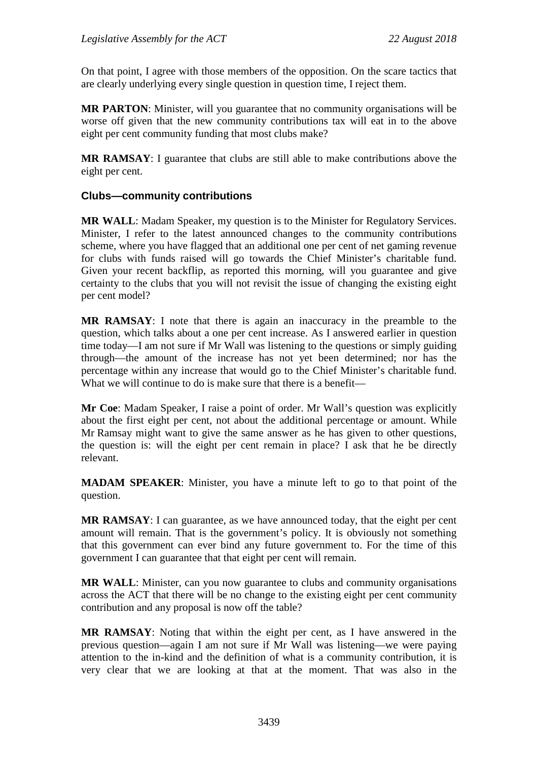On that point, I agree with those members of the opposition. On the scare tactics that are clearly underlying every single question in question time, I reject them.

**MR PARTON**: Minister, will you guarantee that no community organisations will be worse off given that the new community contributions tax will eat in to the above eight per cent community funding that most clubs make?

**MR RAMSAY**: I guarantee that clubs are still able to make contributions above the eight per cent.

## **Clubs—community contributions**

**MR WALL**: Madam Speaker, my question is to the Minister for Regulatory Services. Minister, I refer to the latest announced changes to the community contributions scheme, where you have flagged that an additional one per cent of net gaming revenue for clubs with funds raised will go towards the Chief Minister's charitable fund. Given your recent backflip, as reported this morning, will you guarantee and give certainty to the clubs that you will not revisit the issue of changing the existing eight per cent model?

**MR RAMSAY**: I note that there is again an inaccuracy in the preamble to the question, which talks about a one per cent increase. As I answered earlier in question time today—I am not sure if Mr Wall was listening to the questions or simply guiding through—the amount of the increase has not yet been determined; nor has the percentage within any increase that would go to the Chief Minister's charitable fund. What we will continue to do is make sure that there is a benefit—

**Mr Coe**: Madam Speaker, I raise a point of order. Mr Wall's question was explicitly about the first eight per cent, not about the additional percentage or amount. While Mr Ramsay might want to give the same answer as he has given to other questions, the question is: will the eight per cent remain in place? I ask that he be directly relevant.

**MADAM SPEAKER**: Minister, you have a minute left to go to that point of the question.

**MR RAMSAY**: I can guarantee, as we have announced today, that the eight per cent amount will remain. That is the government's policy. It is obviously not something that this government can ever bind any future government to. For the time of this government I can guarantee that that eight per cent will remain.

**MR WALL**: Minister, can you now guarantee to clubs and community organisations across the ACT that there will be no change to the existing eight per cent community contribution and any proposal is now off the table?

**MR RAMSAY**: Noting that within the eight per cent, as I have answered in the previous question—again I am not sure if Mr Wall was listening—we were paying attention to the in-kind and the definition of what is a community contribution, it is very clear that we are looking at that at the moment. That was also in the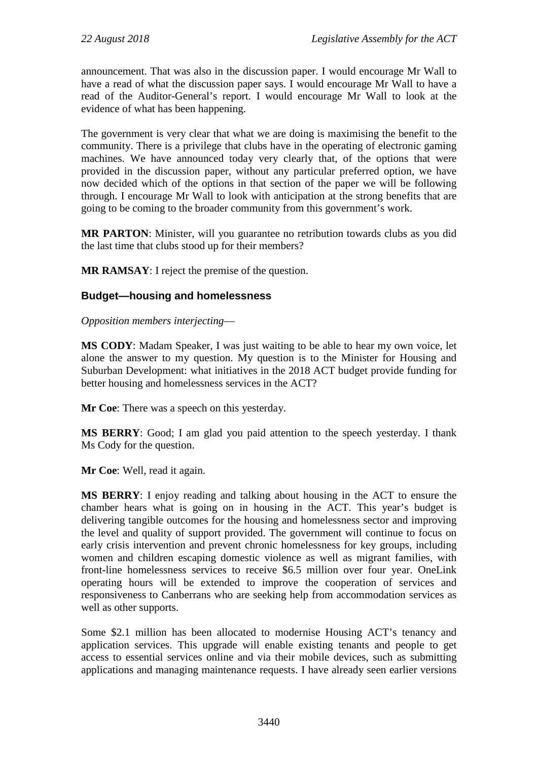announcement. That was also in the discussion paper. I would encourage Mr Wall to have a read of what the discussion paper says. I would encourage Mr Wall to have a read of the Auditor-General's report. I would encourage Mr Wall to look at the evidence of what has been happening.

The government is very clear that what we are doing is maximising the benefit to the community. There is a privilege that clubs have in the operating of electronic gaming machines. We have announced today very clearly that, of the options that were provided in the discussion paper, without any particular preferred option, we have now decided which of the options in that section of the paper we will be following through. I encourage Mr Wall to look with anticipation at the strong benefits that are going to be coming to the broader community from this government's work.

**MR PARTON**: Minister, will you guarantee no retribution towards clubs as you did the last time that clubs stood up for their members?

**MR RAMSAY**: I reject the premise of the question.

# **Budget—housing and homelessness**

*Opposition members interjecting*—

**MS CODY**: Madam Speaker, I was just waiting to be able to hear my own voice, let alone the answer to my question. My question is to the Minister for Housing and Suburban Development: what initiatives in the 2018 ACT budget provide funding for better housing and homelessness services in the ACT?

**Mr Coe**: There was a speech on this yesterday.

**MS BERRY**: Good; I am glad you paid attention to the speech yesterday. I thank Ms Cody for the question.

**Mr Coe**: Well, read it again.

**MS BERRY**: I enjoy reading and talking about housing in the ACT to ensure the chamber hears what is going on in housing in the ACT. This year's budget is delivering tangible outcomes for the housing and homelessness sector and improving the level and quality of support provided. The government will continue to focus on early crisis intervention and prevent chronic homelessness for key groups, including women and children escaping domestic violence as well as migrant families, with front-line homelessness services to receive \$6.5 million over four year. OneLink operating hours will be extended to improve the cooperation of services and responsiveness to Canberrans who are seeking help from accommodation services as well as other supports.

Some \$2.1 million has been allocated to modernise Housing ACT's tenancy and application services. This upgrade will enable existing tenants and people to get access to essential services online and via their mobile devices, such as submitting applications and managing maintenance requests. I have already seen earlier versions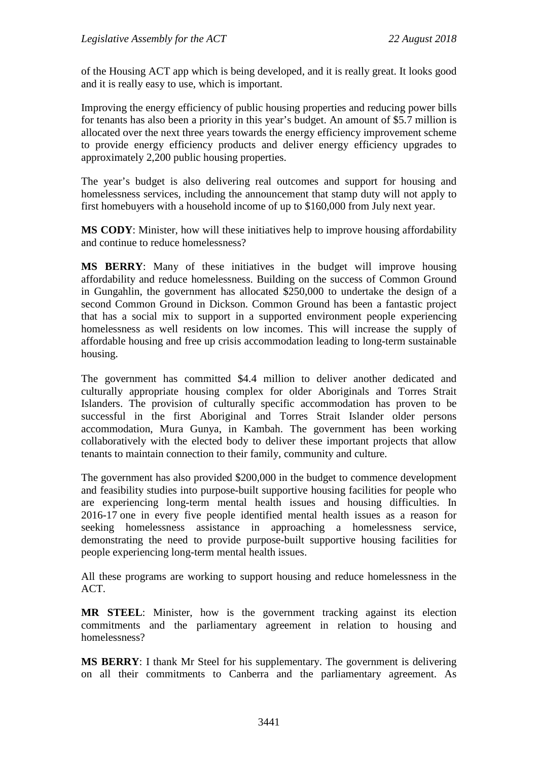of the Housing ACT app which is being developed, and it is really great. It looks good and it is really easy to use, which is important.

Improving the energy efficiency of public housing properties and reducing power bills for tenants has also been a priority in this year's budget. An amount of \$5.7 million is allocated over the next three years towards the energy efficiency improvement scheme to provide energy efficiency products and deliver energy efficiency upgrades to approximately 2,200 public housing properties.

The year's budget is also delivering real outcomes and support for housing and homelessness services, including the announcement that stamp duty will not apply to first homebuyers with a household income of up to \$160,000 from July next year.

**MS CODY**: Minister, how will these initiatives help to improve housing affordability and continue to reduce homelessness?

**MS BERRY**: Many of these initiatives in the budget will improve housing affordability and reduce homelessness. Building on the success of Common Ground in Gungahlin, the government has allocated \$250,000 to undertake the design of a second Common Ground in Dickson. Common Ground has been a fantastic project that has a social mix to support in a supported environment people experiencing homelessness as well residents on low incomes. This will increase the supply of affordable housing and free up crisis accommodation leading to long-term sustainable housing.

The government has committed \$4.4 million to deliver another dedicated and culturally appropriate housing complex for older Aboriginals and Torres Strait Islanders. The provision of culturally specific accommodation has proven to be successful in the first Aboriginal and Torres Strait Islander older persons accommodation, Mura Gunya, in Kambah. The government has been working collaboratively with the elected body to deliver these important projects that allow tenants to maintain connection to their family, community and culture.

The government has also provided \$200,000 in the budget to commence development and feasibility studies into purpose-built supportive housing facilities for people who are experiencing long-term mental health issues and housing difficulties. In 2016-17 one in every five people identified mental health issues as a reason for seeking homelessness assistance in approaching a homelessness service, demonstrating the need to provide purpose-built supportive housing facilities for people experiencing long-term mental health issues.

All these programs are working to support housing and reduce homelessness in the ACT.

**MR STEEL**: Minister, how is the government tracking against its election commitments and the parliamentary agreement in relation to housing and homelessness?

**MS BERRY**: I thank Mr Steel for his supplementary. The government is delivering on all their commitments to Canberra and the parliamentary agreement. As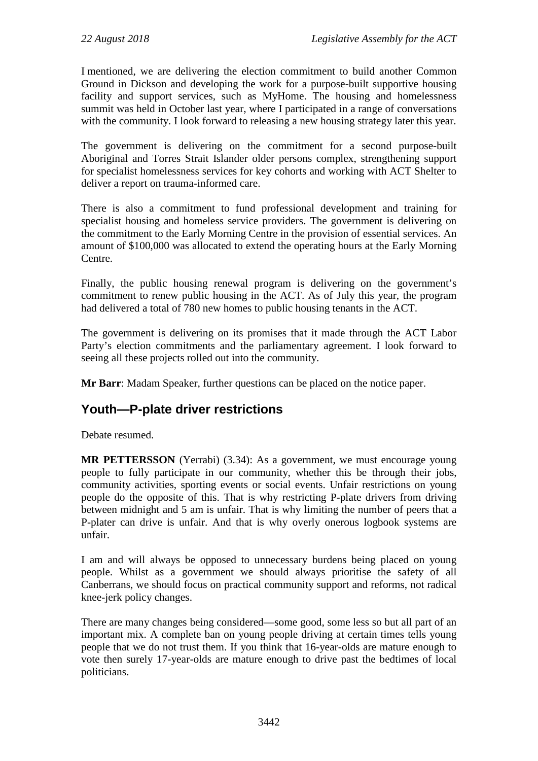I mentioned, we are delivering the election commitment to build another Common Ground in Dickson and developing the work for a purpose-built supportive housing facility and support services, such as MyHome. The housing and homelessness summit was held in October last year, where I participated in a range of conversations with the community. I look forward to releasing a new housing strategy later this year.

The government is delivering on the commitment for a second purpose-built Aboriginal and Torres Strait Islander older persons complex, strengthening support for specialist homelessness services for key cohorts and working with ACT Shelter to deliver a report on trauma-informed care.

There is also a commitment to fund professional development and training for specialist housing and homeless service providers. The government is delivering on the commitment to the Early Morning Centre in the provision of essential services. An amount of \$100,000 was allocated to extend the operating hours at the Early Morning Centre.

Finally, the public housing renewal program is delivering on the government's commitment to renew public housing in the ACT. As of July this year, the program had delivered a total of 780 new homes to public housing tenants in the ACT.

The government is delivering on its promises that it made through the ACT Labor Party's election commitments and the parliamentary agreement. I look forward to seeing all these projects rolled out into the community.

**Mr Barr**: Madam Speaker, further questions can be placed on the notice paper.

# **Youth—P-plate driver restrictions**

Debate resumed.

**MR PETTERSSON** (Yerrabi) (3.34): As a government, we must encourage young people to fully participate in our community, whether this be through their jobs, community activities, sporting events or social events. Unfair restrictions on young people do the opposite of this. That is why restricting P-plate drivers from driving between midnight and 5 am is unfair. That is why limiting the number of peers that a P-plater can drive is unfair. And that is why overly onerous logbook systems are unfair.

I am and will always be opposed to unnecessary burdens being placed on young people. Whilst as a government we should always prioritise the safety of all Canberrans, we should focus on practical community support and reforms, not radical knee-jerk policy changes.

There are many changes being considered—some good, some less so but all part of an important mix. A complete ban on young people driving at certain times tells young people that we do not trust them. If you think that 16-year-olds are mature enough to vote then surely 17-year-olds are mature enough to drive past the bedtimes of local politicians.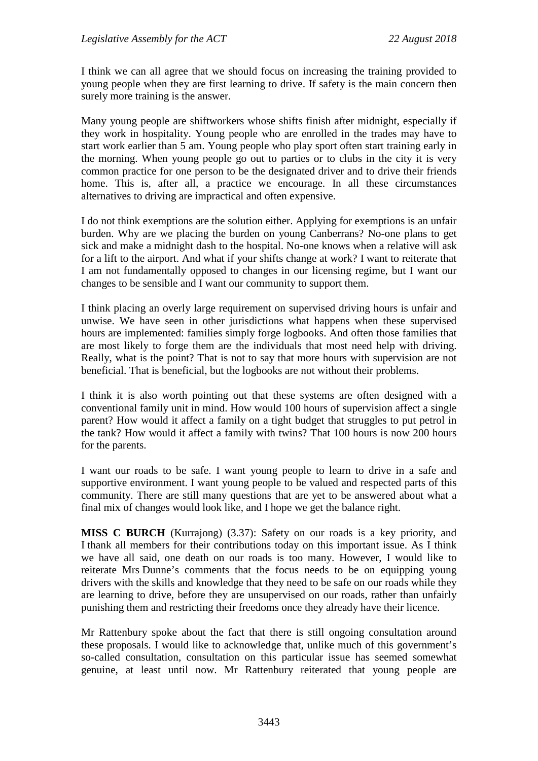I think we can all agree that we should focus on increasing the training provided to young people when they are first learning to drive. If safety is the main concern then surely more training is the answer.

Many young people are shiftworkers whose shifts finish after midnight, especially if they work in hospitality. Young people who are enrolled in the trades may have to start work earlier than 5 am. Young people who play sport often start training early in the morning. When young people go out to parties or to clubs in the city it is very common practice for one person to be the designated driver and to drive their friends home. This is, after all, a practice we encourage. In all these circumstances alternatives to driving are impractical and often expensive.

I do not think exemptions are the solution either. Applying for exemptions is an unfair burden. Why are we placing the burden on young Canberrans? No-one plans to get sick and make a midnight dash to the hospital. No-one knows when a relative will ask for a lift to the airport. And what if your shifts change at work? I want to reiterate that I am not fundamentally opposed to changes in our licensing regime, but I want our changes to be sensible and I want our community to support them.

I think placing an overly large requirement on supervised driving hours is unfair and unwise. We have seen in other jurisdictions what happens when these supervised hours are implemented: families simply forge logbooks. And often those families that are most likely to forge them are the individuals that most need help with driving. Really, what is the point? That is not to say that more hours with supervision are not beneficial. That is beneficial, but the logbooks are not without their problems.

I think it is also worth pointing out that these systems are often designed with a conventional family unit in mind. How would 100 hours of supervision affect a single parent? How would it affect a family on a tight budget that struggles to put petrol in the tank? How would it affect a family with twins? That 100 hours is now 200 hours for the parents.

I want our roads to be safe. I want young people to learn to drive in a safe and supportive environment. I want young people to be valued and respected parts of this community. There are still many questions that are yet to be answered about what a final mix of changes would look like, and I hope we get the balance right.

**MISS C BURCH** (Kurrajong) (3.37): Safety on our roads is a key priority, and I thank all members for their contributions today on this important issue. As I think we have all said, one death on our roads is too many. However, I would like to reiterate Mrs Dunne's comments that the focus needs to be on equipping young drivers with the skills and knowledge that they need to be safe on our roads while they are learning to drive, before they are unsupervised on our roads, rather than unfairly punishing them and restricting their freedoms once they already have their licence.

Mr Rattenbury spoke about the fact that there is still ongoing consultation around these proposals. I would like to acknowledge that, unlike much of this government's so-called consultation, consultation on this particular issue has seemed somewhat genuine, at least until now. Mr Rattenbury reiterated that young people are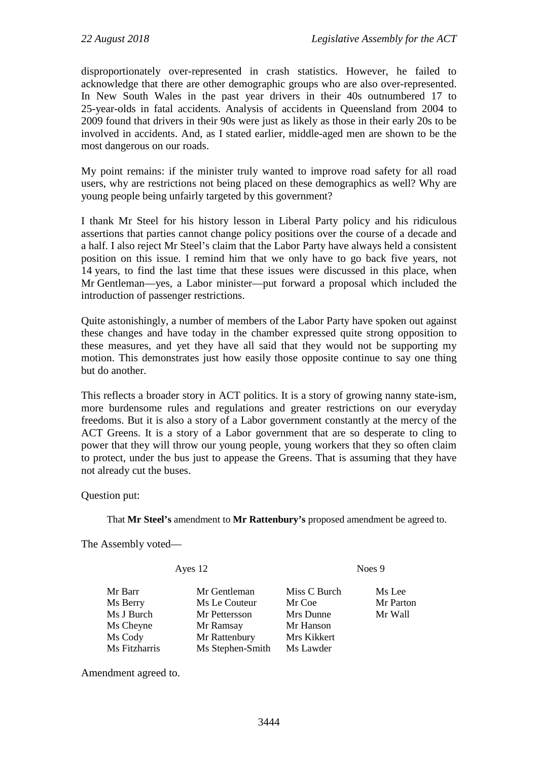disproportionately over-represented in crash statistics. However, he failed to acknowledge that there are other demographic groups who are also over-represented. In New South Wales in the past year drivers in their 40s outnumbered 17 to 25-year-olds in fatal accidents. Analysis of accidents in Queensland from 2004 to 2009 found that drivers in their 90s were just as likely as those in their early 20s to be involved in accidents. And, as I stated earlier, middle-aged men are shown to be the most dangerous on our roads.

My point remains: if the minister truly wanted to improve road safety for all road users, why are restrictions not being placed on these demographics as well? Why are young people being unfairly targeted by this government?

I thank Mr Steel for his history lesson in Liberal Party policy and his ridiculous assertions that parties cannot change policy positions over the course of a decade and a half. I also reject Mr Steel's claim that the Labor Party have always held a consistent position on this issue. I remind him that we only have to go back five years, not 14 years, to find the last time that these issues were discussed in this place, when Mr Gentleman—yes, a Labor minister—put forward a proposal which included the introduction of passenger restrictions.

Quite astonishingly, a number of members of the Labor Party have spoken out against these changes and have today in the chamber expressed quite strong opposition to these measures, and yet they have all said that they would not be supporting my motion. This demonstrates just how easily those opposite continue to say one thing but do another.

This reflects a broader story in ACT politics. It is a story of growing nanny state-ism, more burdensome rules and regulations and greater restrictions on our everyday freedoms. But it is also a story of a Labor government constantly at the mercy of the ACT Greens. It is a story of a Labor government that are so desperate to cling to power that they will throw our young people, young workers that they so often claim to protect, under the bus just to appease the Greens. That is assuming that they have not already cut the buses.

Question put:

That **Mr Steel's** amendment to **Mr Rattenbury's** proposed amendment be agreed to.

The Assembly voted—

| Ayes 12       |                  | Noes 9       |           |
|---------------|------------------|--------------|-----------|
| Mr Barr       | Mr Gentleman     | Miss C Burch | Ms Lee    |
| Ms Berry      | Ms Le Couteur    | Mr Coe       | Mr Parton |
| Ms J Burch    | Mr Pettersson    | Mrs Dunne    | Mr Wall   |
| Ms Cheyne     | Mr Ramsay        | Mr Hanson    |           |
| Ms Cody       | Mr Rattenbury    | Mrs Kikkert  |           |
| Ms Fitzharris | Ms Stephen-Smith | Ms Lawder    |           |

Amendment agreed to.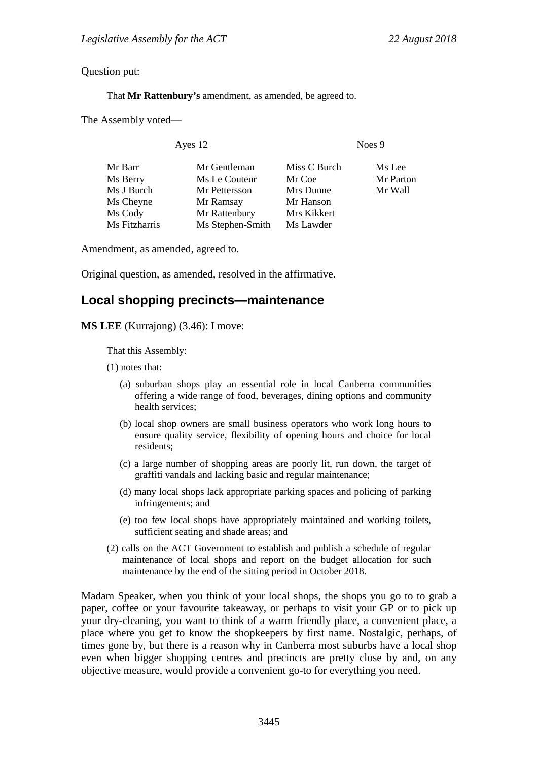Question put:

That **Mr Rattenbury's** amendment, as amended, be agreed to.

The Assembly voted—

Ayes 12 Noes 9

| Mr Barr       | Mr Gentleman     | Miss C Burch | Ms Lee    |
|---------------|------------------|--------------|-----------|
| Ms Berry      | Ms Le Couteur    | Mr Coe       | Mr Parton |
| Ms J Burch    | Mr Pettersson    | Mrs Dunne    | Mr Wall   |
| Ms Cheyne     | Mr Ramsay        | Mr Hanson    |           |
| Ms Cody       | Mr Rattenbury    | Mrs Kikkert  |           |
| Ms Fitzharris | Ms Stephen-Smith | Ms Lawder    |           |
|               |                  |              |           |

Amendment, as amended, agreed to.

Original question, as amended, resolved in the affirmative.

## **Local shopping precincts—maintenance**

**MS LEE** (Kurrajong) (3.46): I move:

That this Assembly:

(1) notes that:

- (a) suburban shops play an essential role in local Canberra communities offering a wide range of food, beverages, dining options and community health services;
- (b) local shop owners are small business operators who work long hours to ensure quality service, flexibility of opening hours and choice for local residents;
- (c) a large number of shopping areas are poorly lit, run down, the target of graffiti vandals and lacking basic and regular maintenance;
- (d) many local shops lack appropriate parking spaces and policing of parking infringements; and
- (e) too few local shops have appropriately maintained and working toilets, sufficient seating and shade areas; and
- (2) calls on the ACT Government to establish and publish a schedule of regular maintenance of local shops and report on the budget allocation for such maintenance by the end of the sitting period in October 2018.

Madam Speaker, when you think of your local shops, the shops you go to to grab a paper, coffee or your favourite takeaway, or perhaps to visit your GP or to pick up your dry-cleaning, you want to think of a warm friendly place, a convenient place, a place where you get to know the shopkeepers by first name. Nostalgic, perhaps, of times gone by, but there is a reason why in Canberra most suburbs have a local shop even when bigger shopping centres and precincts are pretty close by and, on any objective measure, would provide a convenient go-to for everything you need.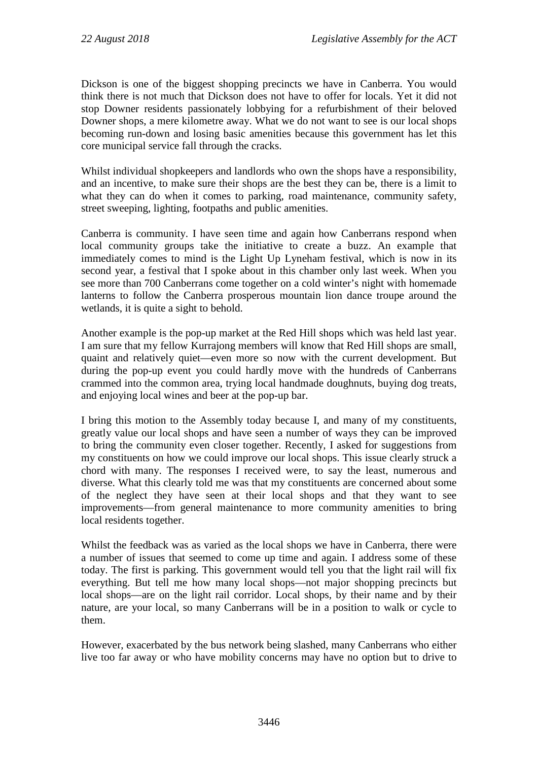Dickson is one of the biggest shopping precincts we have in Canberra. You would think there is not much that Dickson does not have to offer for locals. Yet it did not stop Downer residents passionately lobbying for a refurbishment of their beloved Downer shops, a mere kilometre away. What we do not want to see is our local shops becoming run-down and losing basic amenities because this government has let this core municipal service fall through the cracks.

Whilst individual shopkeepers and landlords who own the shops have a responsibility, and an incentive, to make sure their shops are the best they can be, there is a limit to what they can do when it comes to parking, road maintenance, community safety, street sweeping, lighting, footpaths and public amenities.

Canberra is community. I have seen time and again how Canberrans respond when local community groups take the initiative to create a buzz. An example that immediately comes to mind is the Light Up Lyneham festival, which is now in its second year, a festival that I spoke about in this chamber only last week. When you see more than 700 Canberrans come together on a cold winter's night with homemade lanterns to follow the Canberra prosperous mountain lion dance troupe around the wetlands, it is quite a sight to behold.

Another example is the pop-up market at the Red Hill shops which was held last year. I am sure that my fellow Kurrajong members will know that Red Hill shops are small, quaint and relatively quiet—even more so now with the current development. But during the pop-up event you could hardly move with the hundreds of Canberrans crammed into the common area, trying local handmade doughnuts, buying dog treats, and enjoying local wines and beer at the pop-up bar.

I bring this motion to the Assembly today because I, and many of my constituents, greatly value our local shops and have seen a number of ways they can be improved to bring the community even closer together. Recently, I asked for suggestions from my constituents on how we could improve our local shops. This issue clearly struck a chord with many. The responses I received were, to say the least, numerous and diverse. What this clearly told me was that my constituents are concerned about some of the neglect they have seen at their local shops and that they want to see improvements—from general maintenance to more community amenities to bring local residents together.

Whilst the feedback was as varied as the local shops we have in Canberra, there were a number of issues that seemed to come up time and again. I address some of these today. The first is parking. This government would tell you that the light rail will fix everything. But tell me how many local shops—not major shopping precincts but local shops—are on the light rail corridor. Local shops, by their name and by their nature, are your local, so many Canberrans will be in a position to walk or cycle to them.

However, exacerbated by the bus network being slashed, many Canberrans who either live too far away or who have mobility concerns may have no option but to drive to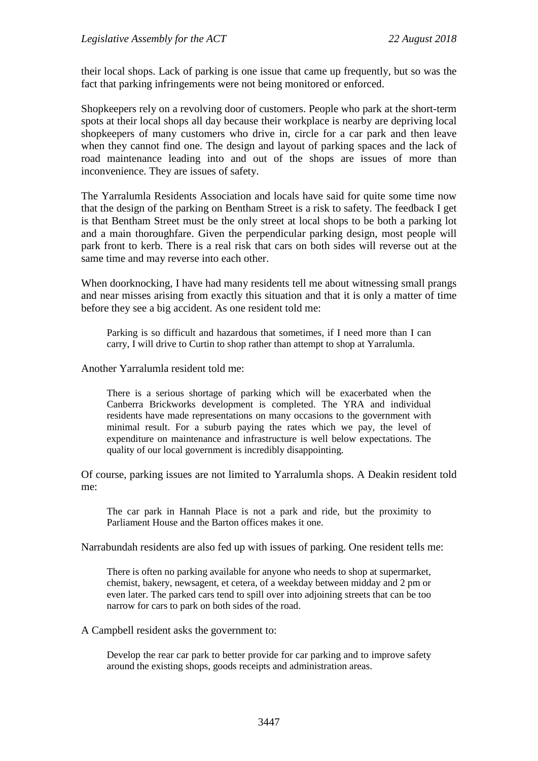their local shops. Lack of parking is one issue that came up frequently, but so was the fact that parking infringements were not being monitored or enforced.

Shopkeepers rely on a revolving door of customers. People who park at the short-term spots at their local shops all day because their workplace is nearby are depriving local shopkeepers of many customers who drive in, circle for a car park and then leave when they cannot find one. The design and layout of parking spaces and the lack of road maintenance leading into and out of the shops are issues of more than inconvenience. They are issues of safety.

The Yarralumla Residents Association and locals have said for quite some time now that the design of the parking on Bentham Street is a risk to safety. The feedback I get is that Bentham Street must be the only street at local shops to be both a parking lot and a main thoroughfare. Given the perpendicular parking design, most people will park front to kerb. There is a real risk that cars on both sides will reverse out at the same time and may reverse into each other.

When doorknocking, I have had many residents tell me about witnessing small prangs and near misses arising from exactly this situation and that it is only a matter of time before they see a big accident. As one resident told me:

Parking is so difficult and hazardous that sometimes, if I need more than I can carry, I will drive to Curtin to shop rather than attempt to shop at Yarralumla.

Another Yarralumla resident told me:

There is a serious shortage of parking which will be exacerbated when the Canberra Brickworks development is completed. The YRA and individual residents have made representations on many occasions to the government with minimal result. For a suburb paying the rates which we pay, the level of expenditure on maintenance and infrastructure is well below expectations. The quality of our local government is incredibly disappointing.

Of course, parking issues are not limited to Yarralumla shops. A Deakin resident told me:

The car park in Hannah Place is not a park and ride, but the proximity to Parliament House and the Barton offices makes it one.

Narrabundah residents are also fed up with issues of parking. One resident tells me:

There is often no parking available for anyone who needs to shop at supermarket, chemist, bakery, newsagent, et cetera, of a weekday between midday and 2 pm or even later. The parked cars tend to spill over into adjoining streets that can be too narrow for cars to park on both sides of the road.

A Campbell resident asks the government to:

Develop the rear car park to better provide for car parking and to improve safety around the existing shops, goods receipts and administration areas.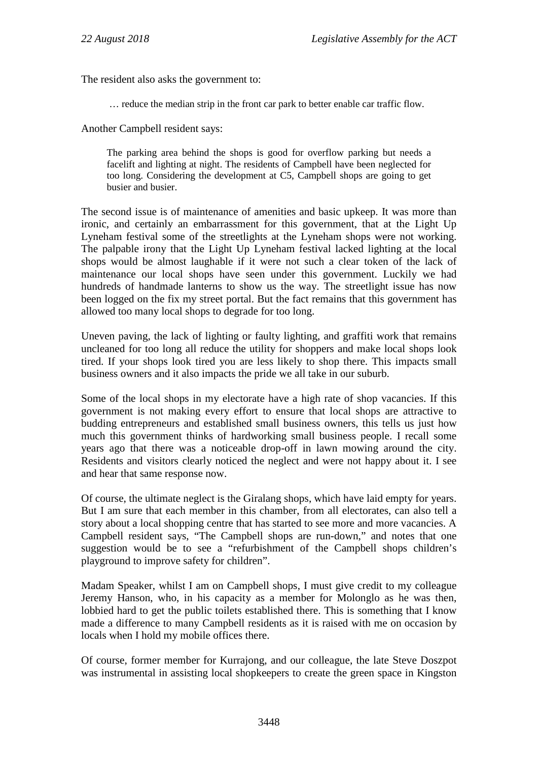The resident also asks the government to:

… reduce the median strip in the front car park to better enable car traffic flow.

Another Campbell resident says:

The parking area behind the shops is good for overflow parking but needs a facelift and lighting at night. The residents of Campbell have been neglected for too long. Considering the development at C5, Campbell shops are going to get busier and busier.

The second issue is of maintenance of amenities and basic upkeep. It was more than ironic, and certainly an embarrassment for this government, that at the Light Up Lyneham festival some of the streetlights at the Lyneham shops were not working. The palpable irony that the Light Up Lyneham festival lacked lighting at the local shops would be almost laughable if it were not such a clear token of the lack of maintenance our local shops have seen under this government. Luckily we had hundreds of handmade lanterns to show us the way. The streetlight issue has now been logged on the fix my street portal. But the fact remains that this government has allowed too many local shops to degrade for too long.

Uneven paving, the lack of lighting or faulty lighting, and graffiti work that remains uncleaned for too long all reduce the utility for shoppers and make local shops look tired. If your shops look tired you are less likely to shop there. This impacts small business owners and it also impacts the pride we all take in our suburb.

Some of the local shops in my electorate have a high rate of shop vacancies. If this government is not making every effort to ensure that local shops are attractive to budding entrepreneurs and established small business owners, this tells us just how much this government thinks of hardworking small business people. I recall some years ago that there was a noticeable drop-off in lawn mowing around the city. Residents and visitors clearly noticed the neglect and were not happy about it. I see and hear that same response now.

Of course, the ultimate neglect is the Giralang shops, which have laid empty for years. But I am sure that each member in this chamber, from all electorates, can also tell a story about a local shopping centre that has started to see more and more vacancies. A Campbell resident says, "The Campbell shops are run-down," and notes that one suggestion would be to see a "refurbishment of the Campbell shops children's playground to improve safety for children".

Madam Speaker, whilst I am on Campbell shops, I must give credit to my colleague Jeremy Hanson, who, in his capacity as a member for Molonglo as he was then, lobbied hard to get the public toilets established there. This is something that I know made a difference to many Campbell residents as it is raised with me on occasion by locals when I hold my mobile offices there.

Of course, former member for Kurrajong, and our colleague, the late Steve Doszpot was instrumental in assisting local shopkeepers to create the green space in Kingston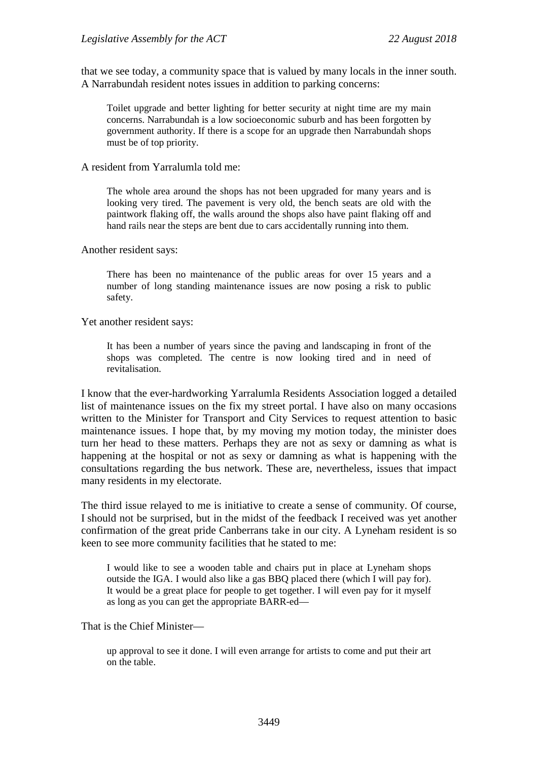that we see today, a community space that is valued by many locals in the inner south. A Narrabundah resident notes issues in addition to parking concerns:

Toilet upgrade and better lighting for better security at night time are my main concerns. Narrabundah is a low socioeconomic suburb and has been forgotten by government authority. If there is a scope for an upgrade then Narrabundah shops must be of top priority.

A resident from Yarralumla told me:

The whole area around the shops has not been upgraded for many years and is looking very tired. The pavement is very old, the bench seats are old with the paintwork flaking off, the walls around the shops also have paint flaking off and hand rails near the steps are bent due to cars accidentally running into them.

Another resident says:

There has been no maintenance of the public areas for over 15 years and a number of long standing maintenance issues are now posing a risk to public safety.

Yet another resident says:

It has been a number of years since the paving and landscaping in front of the shops was completed. The centre is now looking tired and in need of revitalisation.

I know that the ever-hardworking Yarralumla Residents Association logged a detailed list of maintenance issues on the fix my street portal. I have also on many occasions written to the Minister for Transport and City Services to request attention to basic maintenance issues. I hope that, by my moving my motion today, the minister does turn her head to these matters. Perhaps they are not as sexy or damning as what is happening at the hospital or not as sexy or damning as what is happening with the consultations regarding the bus network. These are, nevertheless, issues that impact many residents in my electorate.

The third issue relayed to me is initiative to create a sense of community. Of course, I should not be surprised, but in the midst of the feedback I received was yet another confirmation of the great pride Canberrans take in our city. A Lyneham resident is so keen to see more community facilities that he stated to me:

I would like to see a wooden table and chairs put in place at Lyneham shops outside the IGA. I would also like a gas BBQ placed there (which I will pay for). It would be a great place for people to get together. I will even pay for it myself as long as you can get the appropriate BARR-ed—

That is the Chief Minister—

up approval to see it done. I will even arrange for artists to come and put their art on the table.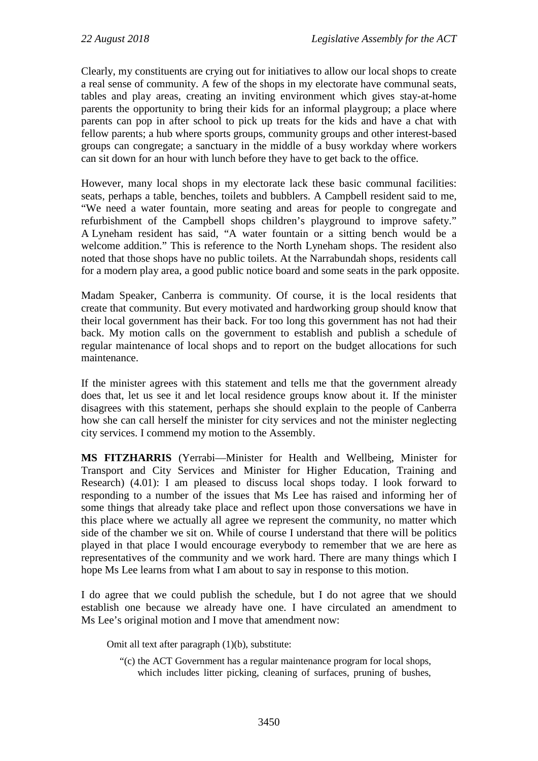Clearly, my constituents are crying out for initiatives to allow our local shops to create a real sense of community. A few of the shops in my electorate have communal seats, tables and play areas, creating an inviting environment which gives stay-at-home parents the opportunity to bring their kids for an informal playgroup; a place where parents can pop in after school to pick up treats for the kids and have a chat with fellow parents; a hub where sports groups, community groups and other interest-based groups can congregate; a sanctuary in the middle of a busy workday where workers can sit down for an hour with lunch before they have to get back to the office.

However, many local shops in my electorate lack these basic communal facilities: seats, perhaps a table, benches, toilets and bubblers. A Campbell resident said to me, "We need a water fountain, more seating and areas for people to congregate and refurbishment of the Campbell shops children's playground to improve safety." A Lyneham resident has said, "A water fountain or a sitting bench would be a welcome addition." This is reference to the North Lyneham shops. The resident also noted that those shops have no public toilets. At the Narrabundah shops, residents call for a modern play area, a good public notice board and some seats in the park opposite.

Madam Speaker, Canberra is community. Of course, it is the local residents that create that community. But every motivated and hardworking group should know that their local government has their back. For too long this government has not had their back. My motion calls on the government to establish and publish a schedule of regular maintenance of local shops and to report on the budget allocations for such maintenance.

If the minister agrees with this statement and tells me that the government already does that, let us see it and let local residence groups know about it. If the minister disagrees with this statement, perhaps she should explain to the people of Canberra how she can call herself the minister for city services and not the minister neglecting city services. I commend my motion to the Assembly.

**MS FITZHARRIS** (Yerrabi—Minister for Health and Wellbeing, Minister for Transport and City Services and Minister for Higher Education, Training and Research) (4.01): I am pleased to discuss local shops today. I look forward to responding to a number of the issues that Ms Lee has raised and informing her of some things that already take place and reflect upon those conversations we have in this place where we actually all agree we represent the community, no matter which side of the chamber we sit on. While of course I understand that there will be politics played in that place I would encourage everybody to remember that we are here as representatives of the community and we work hard. There are many things which I hope Ms Lee learns from what I am about to say in response to this motion.

I do agree that we could publish the schedule, but I do not agree that we should establish one because we already have one. I have circulated an amendment to Ms Lee's original motion and I move that amendment now:

Omit all text after paragraph (1)(b), substitute:

"(c) the ACT Government has a regular maintenance program for local shops, which includes litter picking, cleaning of surfaces, pruning of bushes,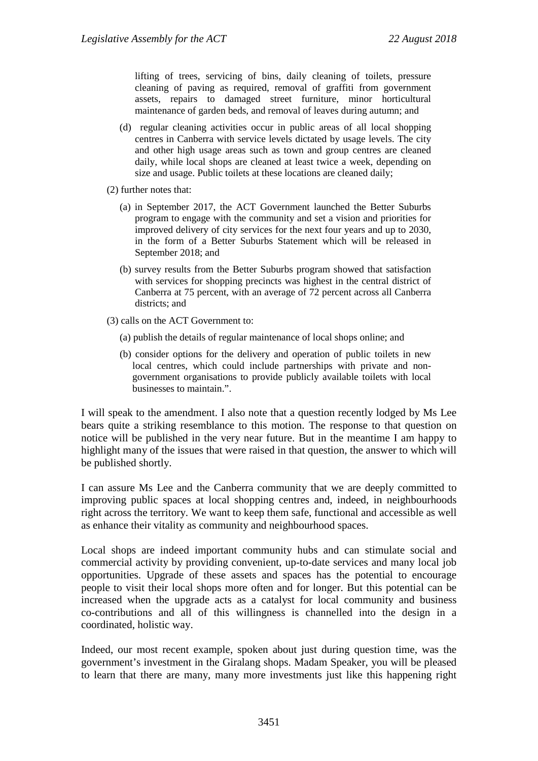lifting of trees, servicing of bins, daily cleaning of toilets, pressure cleaning of paving as required, removal of graffiti from government assets, repairs to damaged street furniture, minor horticultural maintenance of garden beds, and removal of leaves during autumn; and

- (d) regular cleaning activities occur in public areas of all local shopping centres in Canberra with service levels dictated by usage levels. The city and other high usage areas such as town and group centres are cleaned daily, while local shops are cleaned at least twice a week, depending on size and usage. Public toilets at these locations are cleaned daily;
- (2) further notes that:
	- (a) in September 2017, the ACT Government launched the Better Suburbs program to engage with the community and set a vision and priorities for improved delivery of city services for the next four years and up to 2030, in the form of a Better Suburbs Statement which will be released in September 2018; and
	- (b) survey results from the Better Suburbs program showed that satisfaction with services for shopping precincts was highest in the central district of Canberra at 75 percent, with an average of 72 percent across all Canberra districts; and
- (3) calls on the ACT Government to:
	- (a) publish the details of regular maintenance of local shops online; and
	- (b) consider options for the delivery and operation of public toilets in new local centres, which could include partnerships with private and nongovernment organisations to provide publicly available toilets with local businesses to maintain.".

I will speak to the amendment. I also note that a question recently lodged by Ms Lee bears quite a striking resemblance to this motion. The response to that question on notice will be published in the very near future. But in the meantime I am happy to highlight many of the issues that were raised in that question, the answer to which will be published shortly.

I can assure Ms Lee and the Canberra community that we are deeply committed to improving public spaces at local shopping centres and, indeed, in neighbourhoods right across the territory. We want to keep them safe, functional and accessible as well as enhance their vitality as community and neighbourhood spaces.

Local shops are indeed important community hubs and can stimulate social and commercial activity by providing convenient, up-to-date services and many local job opportunities. Upgrade of these assets and spaces has the potential to encourage people to visit their local shops more often and for longer. But this potential can be increased when the upgrade acts as a catalyst for local community and business co-contributions and all of this willingness is channelled into the design in a coordinated, holistic way.

Indeed, our most recent example, spoken about just during question time, was the government's investment in the Giralang shops. Madam Speaker, you will be pleased to learn that there are many, many more investments just like this happening right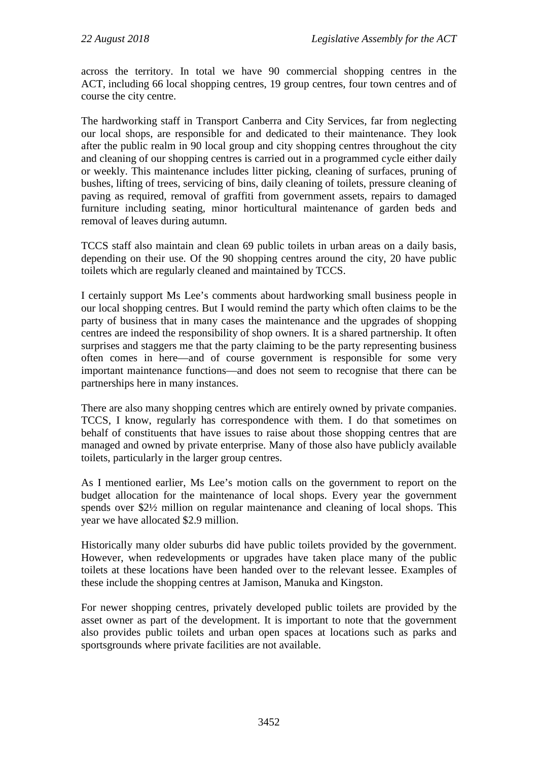across the territory. In total we have 90 commercial shopping centres in the ACT, including 66 local shopping centres, 19 group centres, four town centres and of course the city centre.

The hardworking staff in Transport Canberra and City Services, far from neglecting our local shops, are responsible for and dedicated to their maintenance. They look after the public realm in 90 local group and city shopping centres throughout the city and cleaning of our shopping centres is carried out in a programmed cycle either daily or weekly. This maintenance includes litter picking, cleaning of surfaces, pruning of bushes, lifting of trees, servicing of bins, daily cleaning of toilets, pressure cleaning of paving as required, removal of graffiti from government assets, repairs to damaged furniture including seating, minor horticultural maintenance of garden beds and removal of leaves during autumn.

TCCS staff also maintain and clean 69 public toilets in urban areas on a daily basis, depending on their use. Of the 90 shopping centres around the city, 20 have public toilets which are regularly cleaned and maintained by TCCS.

I certainly support Ms Lee's comments about hardworking small business people in our local shopping centres. But I would remind the party which often claims to be the party of business that in many cases the maintenance and the upgrades of shopping centres are indeed the responsibility of shop owners. It is a shared partnership. It often surprises and staggers me that the party claiming to be the party representing business often comes in here—and of course government is responsible for some very important maintenance functions—and does not seem to recognise that there can be partnerships here in many instances.

There are also many shopping centres which are entirely owned by private companies. TCCS, I know, regularly has correspondence with them. I do that sometimes on behalf of constituents that have issues to raise about those shopping centres that are managed and owned by private enterprise. Many of those also have publicly available toilets, particularly in the larger group centres.

As I mentioned earlier, Ms Lee's motion calls on the government to report on the budget allocation for the maintenance of local shops. Every year the government spends over \$2½ million on regular maintenance and cleaning of local shops. This year we have allocated \$2.9 million.

Historically many older suburbs did have public toilets provided by the government. However, when redevelopments or upgrades have taken place many of the public toilets at these locations have been handed over to the relevant lessee. Examples of these include the shopping centres at Jamison, Manuka and Kingston.

For newer shopping centres, privately developed public toilets are provided by the asset owner as part of the development. It is important to note that the government also provides public toilets and urban open spaces at locations such as parks and sportsgrounds where private facilities are not available.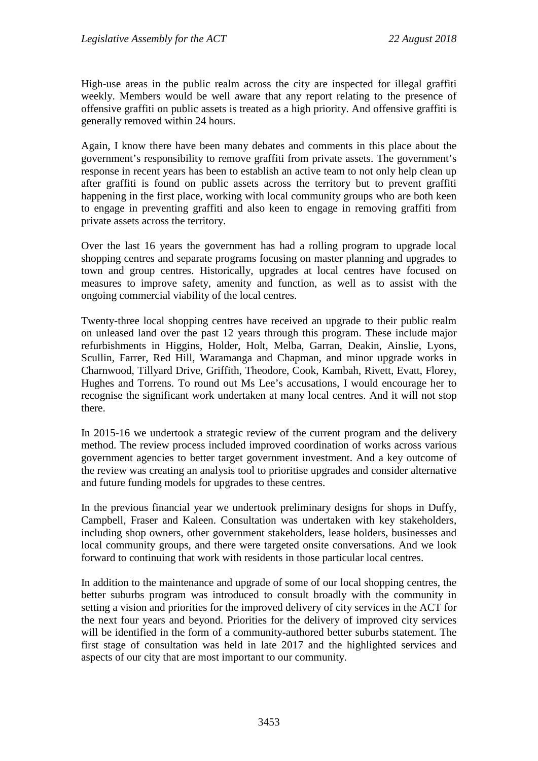High-use areas in the public realm across the city are inspected for illegal graffiti weekly. Members would be well aware that any report relating to the presence of offensive graffiti on public assets is treated as a high priority. And offensive graffiti is generally removed within 24 hours.

Again, I know there have been many debates and comments in this place about the government's responsibility to remove graffiti from private assets. The government's response in recent years has been to establish an active team to not only help clean up after graffiti is found on public assets across the territory but to prevent graffiti happening in the first place, working with local community groups who are both keen to engage in preventing graffiti and also keen to engage in removing graffiti from private assets across the territory.

Over the last 16 years the government has had a rolling program to upgrade local shopping centres and separate programs focusing on master planning and upgrades to town and group centres. Historically, upgrades at local centres have focused on measures to improve safety, amenity and function, as well as to assist with the ongoing commercial viability of the local centres.

Twenty-three local shopping centres have received an upgrade to their public realm on unleased land over the past 12 years through this program. These include major refurbishments in Higgins, Holder, Holt, Melba, Garran, Deakin, Ainslie, Lyons, Scullin, Farrer, Red Hill, Waramanga and Chapman, and minor upgrade works in Charnwood, Tillyard Drive, Griffith, Theodore, Cook, Kambah, Rivett, Evatt, Florey, Hughes and Torrens. To round out Ms Lee's accusations, I would encourage her to recognise the significant work undertaken at many local centres. And it will not stop there.

In 2015-16 we undertook a strategic review of the current program and the delivery method. The review process included improved coordination of works across various government agencies to better target government investment. And a key outcome of the review was creating an analysis tool to prioritise upgrades and consider alternative and future funding models for upgrades to these centres.

In the previous financial year we undertook preliminary designs for shops in Duffy, Campbell, Fraser and Kaleen. Consultation was undertaken with key stakeholders, including shop owners, other government stakeholders, lease holders, businesses and local community groups, and there were targeted onsite conversations. And we look forward to continuing that work with residents in those particular local centres.

In addition to the maintenance and upgrade of some of our local shopping centres, the better suburbs program was introduced to consult broadly with the community in setting a vision and priorities for the improved delivery of city services in the ACT for the next four years and beyond. Priorities for the delivery of improved city services will be identified in the form of a community-authored better suburbs statement. The first stage of consultation was held in late 2017 and the highlighted services and aspects of our city that are most important to our community.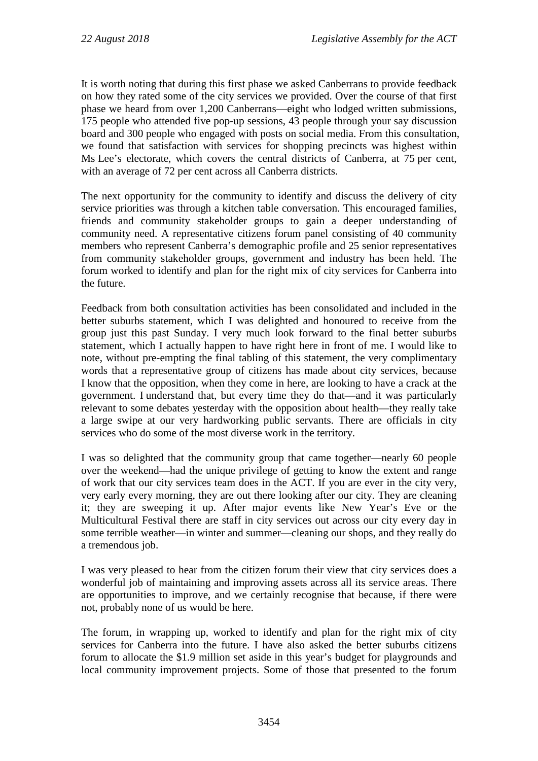It is worth noting that during this first phase we asked Canberrans to provide feedback on how they rated some of the city services we provided. Over the course of that first phase we heard from over 1,200 Canberrans—eight who lodged written submissions, 175 people who attended five pop-up sessions, 43 people through your say discussion board and 300 people who engaged with posts on social media. From this consultation, we found that satisfaction with services for shopping precincts was highest within Ms Lee's electorate, which covers the central districts of Canberra, at 75 per cent, with an average of 72 per cent across all Canberra districts.

The next opportunity for the community to identify and discuss the delivery of city service priorities was through a kitchen table conversation. This encouraged families, friends and community stakeholder groups to gain a deeper understanding of community need. A representative citizens forum panel consisting of 40 community members who represent Canberra's demographic profile and 25 senior representatives from community stakeholder groups, government and industry has been held. The forum worked to identify and plan for the right mix of city services for Canberra into the future.

Feedback from both consultation activities has been consolidated and included in the better suburbs statement, which I was delighted and honoured to receive from the group just this past Sunday. I very much look forward to the final better suburbs statement, which I actually happen to have right here in front of me. I would like to note, without pre-empting the final tabling of this statement, the very complimentary words that a representative group of citizens has made about city services, because I know that the opposition, when they come in here, are looking to have a crack at the government. I understand that, but every time they do that—and it was particularly relevant to some debates yesterday with the opposition about health—they really take a large swipe at our very hardworking public servants. There are officials in city services who do some of the most diverse work in the territory.

I was so delighted that the community group that came together—nearly 60 people over the weekend—had the unique privilege of getting to know the extent and range of work that our city services team does in the ACT. If you are ever in the city very, very early every morning, they are out there looking after our city. They are cleaning it; they are sweeping it up. After major events like New Year's Eve or the Multicultural Festival there are staff in city services out across our city every day in some terrible weather—in winter and summer—cleaning our shops, and they really do a tremendous job.

I was very pleased to hear from the citizen forum their view that city services does a wonderful job of maintaining and improving assets across all its service areas. There are opportunities to improve, and we certainly recognise that because, if there were not, probably none of us would be here.

The forum, in wrapping up, worked to identify and plan for the right mix of city services for Canberra into the future. I have also asked the better suburbs citizens forum to allocate the \$1.9 million set aside in this year's budget for playgrounds and local community improvement projects. Some of those that presented to the forum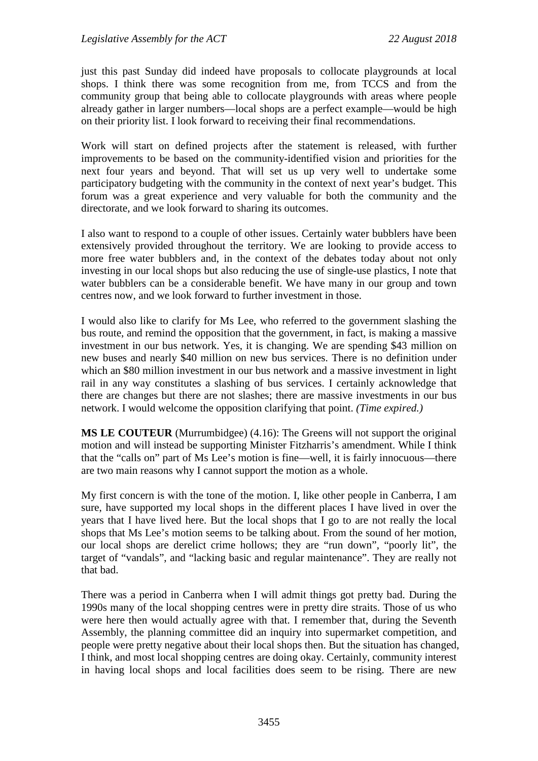just this past Sunday did indeed have proposals to collocate playgrounds at local shops. I think there was some recognition from me, from TCCS and from the community group that being able to collocate playgrounds with areas where people already gather in larger numbers—local shops are a perfect example—would be high on their priority list. I look forward to receiving their final recommendations.

Work will start on defined projects after the statement is released, with further improvements to be based on the community-identified vision and priorities for the next four years and beyond. That will set us up very well to undertake some participatory budgeting with the community in the context of next year's budget. This forum was a great experience and very valuable for both the community and the directorate, and we look forward to sharing its outcomes.

I also want to respond to a couple of other issues. Certainly water bubblers have been extensively provided throughout the territory. We are looking to provide access to more free water bubblers and, in the context of the debates today about not only investing in our local shops but also reducing the use of single-use plastics, I note that water bubblers can be a considerable benefit. We have many in our group and town centres now, and we look forward to further investment in those.

I would also like to clarify for Ms Lee, who referred to the government slashing the bus route, and remind the opposition that the government, in fact, is making a massive investment in our bus network. Yes, it is changing. We are spending \$43 million on new buses and nearly \$40 million on new bus services. There is no definition under which an \$80 million investment in our bus network and a massive investment in light rail in any way constitutes a slashing of bus services. I certainly acknowledge that there are changes but there are not slashes; there are massive investments in our bus network. I would welcome the opposition clarifying that point. *(Time expired.)*

**MS LE COUTEUR** (Murrumbidgee) (4.16): The Greens will not support the original motion and will instead be supporting Minister Fitzharris's amendment. While I think that the "calls on" part of Ms Lee's motion is fine—well, it is fairly innocuous—there are two main reasons why I cannot support the motion as a whole.

My first concern is with the tone of the motion. I, like other people in Canberra, I am sure, have supported my local shops in the different places I have lived in over the years that I have lived here. But the local shops that I go to are not really the local shops that Ms Lee's motion seems to be talking about. From the sound of her motion, our local shops are derelict crime hollows; they are "run down", "poorly lit", the target of "vandals", and "lacking basic and regular maintenance". They are really not that bad.

There was a period in Canberra when I will admit things got pretty bad. During the 1990s many of the local shopping centres were in pretty dire straits. Those of us who were here then would actually agree with that. I remember that, during the Seventh Assembly, the planning committee did an inquiry into supermarket competition, and people were pretty negative about their local shops then. But the situation has changed, I think, and most local shopping centres are doing okay. Certainly, community interest in having local shops and local facilities does seem to be rising. There are new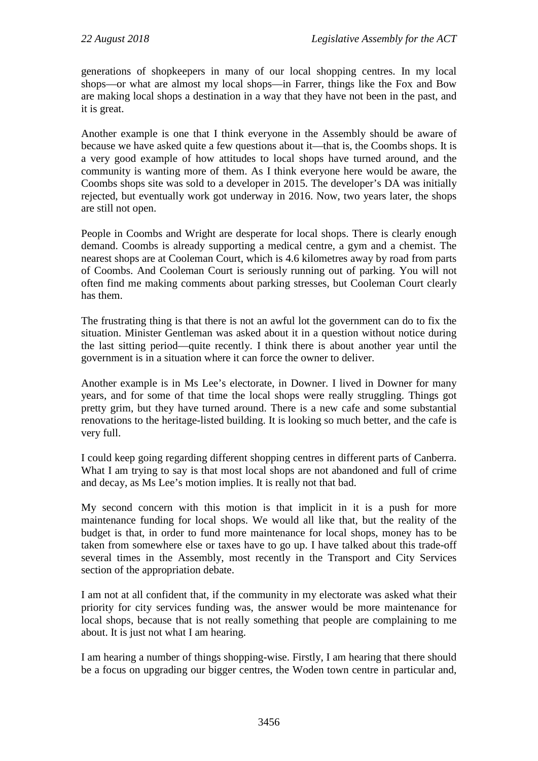generations of shopkeepers in many of our local shopping centres. In my local shops—or what are almost my local shops—in Farrer, things like the Fox and Bow are making local shops a destination in a way that they have not been in the past, and it is great.

Another example is one that I think everyone in the Assembly should be aware of because we have asked quite a few questions about it—that is, the Coombs shops. It is a very good example of how attitudes to local shops have turned around, and the community is wanting more of them. As I think everyone here would be aware, the Coombs shops site was sold to a developer in 2015. The developer's DA was initially rejected, but eventually work got underway in 2016. Now, two years later, the shops are still not open.

People in Coombs and Wright are desperate for local shops. There is clearly enough demand. Coombs is already supporting a medical centre, a gym and a chemist. The nearest shops are at Cooleman Court, which is 4.6 kilometres away by road from parts of Coombs. And Cooleman Court is seriously running out of parking. You will not often find me making comments about parking stresses, but Cooleman Court clearly has them.

The frustrating thing is that there is not an awful lot the government can do to fix the situation. Minister Gentleman was asked about it in a question without notice during the last sitting period—quite recently. I think there is about another year until the government is in a situation where it can force the owner to deliver.

Another example is in Ms Lee's electorate, in Downer. I lived in Downer for many years, and for some of that time the local shops were really struggling. Things got pretty grim, but they have turned around. There is a new cafe and some substantial renovations to the heritage-listed building. It is looking so much better, and the cafe is very full.

I could keep going regarding different shopping centres in different parts of Canberra. What I am trying to say is that most local shops are not abandoned and full of crime and decay, as Ms Lee's motion implies. It is really not that bad.

My second concern with this motion is that implicit in it is a push for more maintenance funding for local shops. We would all like that, but the reality of the budget is that, in order to fund more maintenance for local shops, money has to be taken from somewhere else or taxes have to go up. I have talked about this trade-off several times in the Assembly, most recently in the Transport and City Services section of the appropriation debate.

I am not at all confident that, if the community in my electorate was asked what their priority for city services funding was, the answer would be more maintenance for local shops, because that is not really something that people are complaining to me about. It is just not what I am hearing.

I am hearing a number of things shopping-wise. Firstly, I am hearing that there should be a focus on upgrading our bigger centres, the Woden town centre in particular and,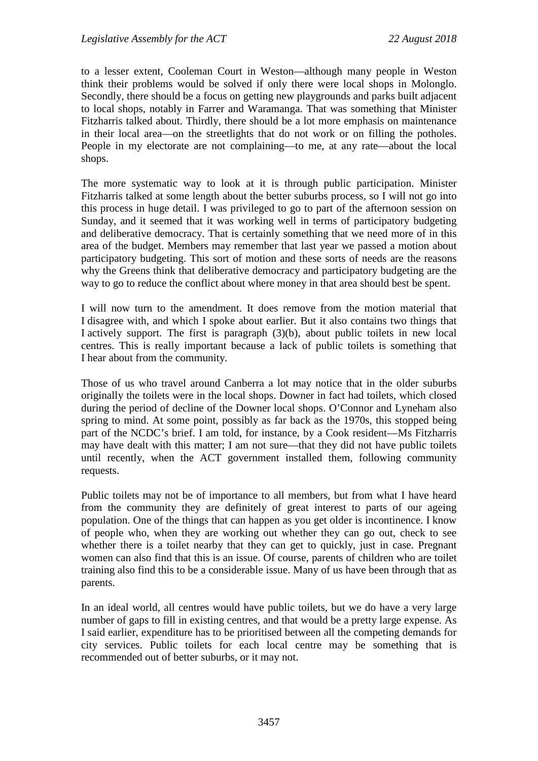to a lesser extent, Cooleman Court in Weston—although many people in Weston think their problems would be solved if only there were local shops in Molonglo. Secondly, there should be a focus on getting new playgrounds and parks built adjacent to local shops, notably in Farrer and Waramanga. That was something that Minister Fitzharris talked about. Thirdly, there should be a lot more emphasis on maintenance in their local area—on the streetlights that do not work or on filling the potholes. People in my electorate are not complaining—to me, at any rate—about the local shops.

The more systematic way to look at it is through public participation. Minister Fitzharris talked at some length about the better suburbs process, so I will not go into this process in huge detail. I was privileged to go to part of the afternoon session on Sunday, and it seemed that it was working well in terms of participatory budgeting and deliberative democracy. That is certainly something that we need more of in this area of the budget. Members may remember that last year we passed a motion about participatory budgeting. This sort of motion and these sorts of needs are the reasons why the Greens think that deliberative democracy and participatory budgeting are the way to go to reduce the conflict about where money in that area should best be spent.

I will now turn to the amendment. It does remove from the motion material that I disagree with, and which I spoke about earlier. But it also contains two things that I actively support. The first is paragraph (3)(b), about public toilets in new local centres. This is really important because a lack of public toilets is something that I hear about from the community.

Those of us who travel around Canberra a lot may notice that in the older suburbs originally the toilets were in the local shops. Downer in fact had toilets, which closed during the period of decline of the Downer local shops. O'Connor and Lyneham also spring to mind. At some point, possibly as far back as the 1970s, this stopped being part of the NCDC's brief. I am told, for instance, by a Cook resident—Ms Fitzharris may have dealt with this matter; I am not sure—that they did not have public toilets until recently, when the ACT government installed them, following community requests.

Public toilets may not be of importance to all members, but from what I have heard from the community they are definitely of great interest to parts of our ageing population. One of the things that can happen as you get older is incontinence. I know of people who, when they are working out whether they can go out, check to see whether there is a toilet nearby that they can get to quickly, just in case. Pregnant women can also find that this is an issue. Of course, parents of children who are toilet training also find this to be a considerable issue. Many of us have been through that as parents.

In an ideal world, all centres would have public toilets, but we do have a very large number of gaps to fill in existing centres, and that would be a pretty large expense. As I said earlier, expenditure has to be prioritised between all the competing demands for city services. Public toilets for each local centre may be something that is recommended out of better suburbs, or it may not.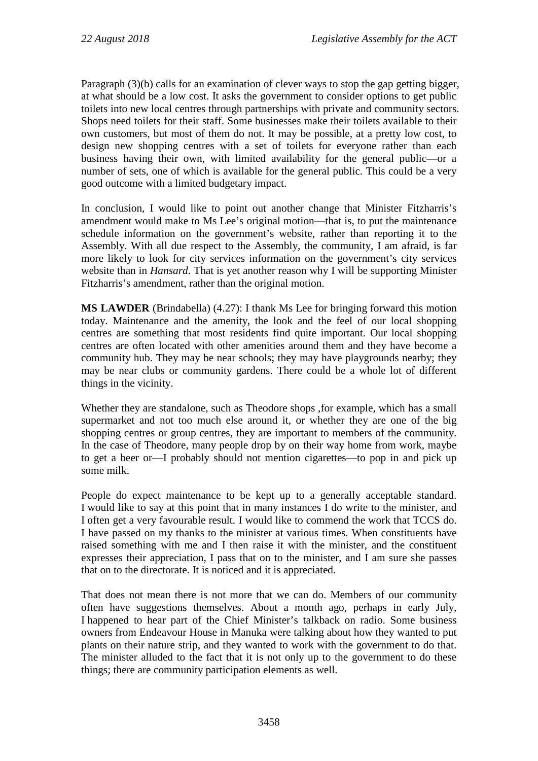Paragraph (3)(b) calls for an examination of clever ways to stop the gap getting bigger, at what should be a low cost. It asks the government to consider options to get public toilets into new local centres through partnerships with private and community sectors. Shops need toilets for their staff. Some businesses make their toilets available to their own customers, but most of them do not. It may be possible, at a pretty low cost, to design new shopping centres with a set of toilets for everyone rather than each business having their own, with limited availability for the general public—or a number of sets, one of which is available for the general public. This could be a very good outcome with a limited budgetary impact.

In conclusion, I would like to point out another change that Minister Fitzharris's amendment would make to Ms Lee's original motion—that is, to put the maintenance schedule information on the government's website, rather than reporting it to the Assembly. With all due respect to the Assembly, the community, I am afraid, is far more likely to look for city services information on the government's city services website than in *Hansard*. That is yet another reason why I will be supporting Minister Fitzharris's amendment, rather than the original motion.

**MS LAWDER** (Brindabella) (4.27): I thank Ms Lee for bringing forward this motion today. Maintenance and the amenity, the look and the feel of our local shopping centres are something that most residents find quite important. Our local shopping centres are often located with other amenities around them and they have become a community hub. They may be near schools; they may have playgrounds nearby; they may be near clubs or community gardens. There could be a whole lot of different things in the vicinity.

Whether they are standalone, such as Theodore shops ,for example, which has a small supermarket and not too much else around it, or whether they are one of the big shopping centres or group centres, they are important to members of the community. In the case of Theodore, many people drop by on their way home from work, maybe to get a beer or—I probably should not mention cigarettes—to pop in and pick up some milk.

People do expect maintenance to be kept up to a generally acceptable standard. I would like to say at this point that in many instances I do write to the minister, and I often get a very favourable result. I would like to commend the work that TCCS do. I have passed on my thanks to the minister at various times. When constituents have raised something with me and I then raise it with the minister, and the constituent expresses their appreciation, I pass that on to the minister, and I am sure she passes that on to the directorate. It is noticed and it is appreciated.

That does not mean there is not more that we can do. Members of our community often have suggestions themselves. About a month ago, perhaps in early July, I happened to hear part of the Chief Minister's talkback on radio. Some business owners from Endeavour House in Manuka were talking about how they wanted to put plants on their nature strip, and they wanted to work with the government to do that. The minister alluded to the fact that it is not only up to the government to do these things; there are community participation elements as well.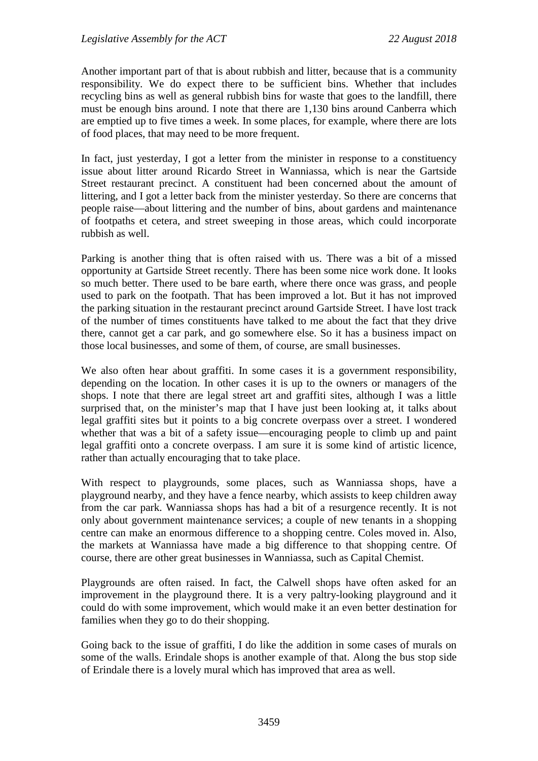Another important part of that is about rubbish and litter, because that is a community responsibility. We do expect there to be sufficient bins. Whether that includes recycling bins as well as general rubbish bins for waste that goes to the landfill, there must be enough bins around. I note that there are 1,130 bins around Canberra which are emptied up to five times a week. In some places, for example, where there are lots of food places, that may need to be more frequent.

In fact, just yesterday, I got a letter from the minister in response to a constituency issue about litter around Ricardo Street in Wanniassa, which is near the Gartside Street restaurant precinct. A constituent had been concerned about the amount of littering, and I got a letter back from the minister yesterday. So there are concerns that people raise—about littering and the number of bins, about gardens and maintenance of footpaths et cetera, and street sweeping in those areas, which could incorporate rubbish as well.

Parking is another thing that is often raised with us. There was a bit of a missed opportunity at Gartside Street recently. There has been some nice work done. It looks so much better. There used to be bare earth, where there once was grass, and people used to park on the footpath. That has been improved a lot. But it has not improved the parking situation in the restaurant precinct around Gartside Street. I have lost track of the number of times constituents have talked to me about the fact that they drive there, cannot get a car park, and go somewhere else. So it has a business impact on those local businesses, and some of them, of course, are small businesses.

We also often hear about graffiti. In some cases it is a government responsibility, depending on the location. In other cases it is up to the owners or managers of the shops. I note that there are legal street art and graffiti sites, although I was a little surprised that, on the minister's map that I have just been looking at, it talks about legal graffiti sites but it points to a big concrete overpass over a street. I wondered whether that was a bit of a safety issue—encouraging people to climb up and paint legal graffiti onto a concrete overpass. I am sure it is some kind of artistic licence, rather than actually encouraging that to take place.

With respect to playgrounds, some places, such as Wanniassa shops, have a playground nearby, and they have a fence nearby, which assists to keep children away from the car park. Wanniassa shops has had a bit of a resurgence recently. It is not only about government maintenance services; a couple of new tenants in a shopping centre can make an enormous difference to a shopping centre. Coles moved in. Also, the markets at Wanniassa have made a big difference to that shopping centre. Of course, there are other great businesses in Wanniassa, such as Capital Chemist.

Playgrounds are often raised. In fact, the Calwell shops have often asked for an improvement in the playground there. It is a very paltry-looking playground and it could do with some improvement, which would make it an even better destination for families when they go to do their shopping.

Going back to the issue of graffiti, I do like the addition in some cases of murals on some of the walls. Erindale shops is another example of that. Along the bus stop side of Erindale there is a lovely mural which has improved that area as well.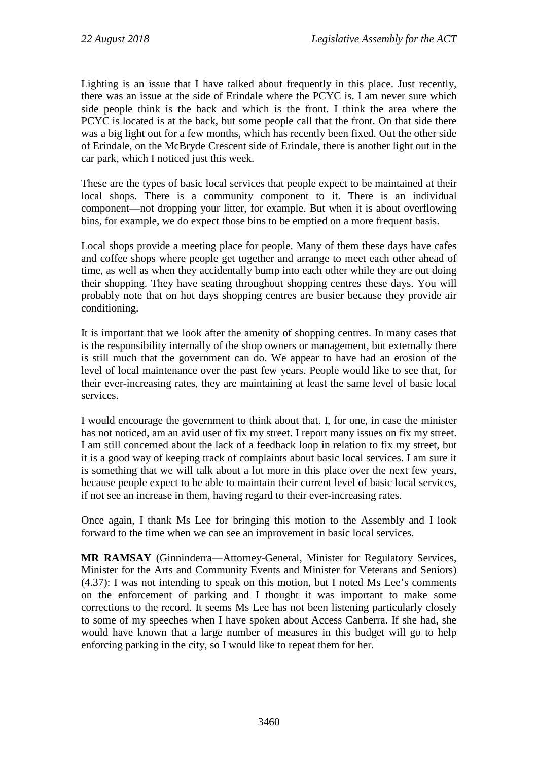Lighting is an issue that I have talked about frequently in this place. Just recently, there was an issue at the side of Erindale where the PCYC is. I am never sure which side people think is the back and which is the front. I think the area where the PCYC is located is at the back, but some people call that the front. On that side there was a big light out for a few months, which has recently been fixed. Out the other side of Erindale, on the McBryde Crescent side of Erindale, there is another light out in the car park, which I noticed just this week.

These are the types of basic local services that people expect to be maintained at their local shops. There is a community component to it. There is an individual component—not dropping your litter, for example. But when it is about overflowing bins, for example, we do expect those bins to be emptied on a more frequent basis.

Local shops provide a meeting place for people. Many of them these days have cafes and coffee shops where people get together and arrange to meet each other ahead of time, as well as when they accidentally bump into each other while they are out doing their shopping. They have seating throughout shopping centres these days. You will probably note that on hot days shopping centres are busier because they provide air conditioning.

It is important that we look after the amenity of shopping centres. In many cases that is the responsibility internally of the shop owners or management, but externally there is still much that the government can do. We appear to have had an erosion of the level of local maintenance over the past few years. People would like to see that, for their ever-increasing rates, they are maintaining at least the same level of basic local services.

I would encourage the government to think about that. I, for one, in case the minister has not noticed, am an avid user of fix my street. I report many issues on fix my street. I am still concerned about the lack of a feedback loop in relation to fix my street, but it is a good way of keeping track of complaints about basic local services. I am sure it is something that we will talk about a lot more in this place over the next few years, because people expect to be able to maintain their current level of basic local services, if not see an increase in them, having regard to their ever-increasing rates.

Once again, I thank Ms Lee for bringing this motion to the Assembly and I look forward to the time when we can see an improvement in basic local services.

**MR RAMSAY** (Ginninderra—Attorney-General, Minister for Regulatory Services, Minister for the Arts and Community Events and Minister for Veterans and Seniors) (4.37): I was not intending to speak on this motion, but I noted Ms Lee's comments on the enforcement of parking and I thought it was important to make some corrections to the record. It seems Ms Lee has not been listening particularly closely to some of my speeches when I have spoken about Access Canberra. If she had, she would have known that a large number of measures in this budget will go to help enforcing parking in the city, so I would like to repeat them for her.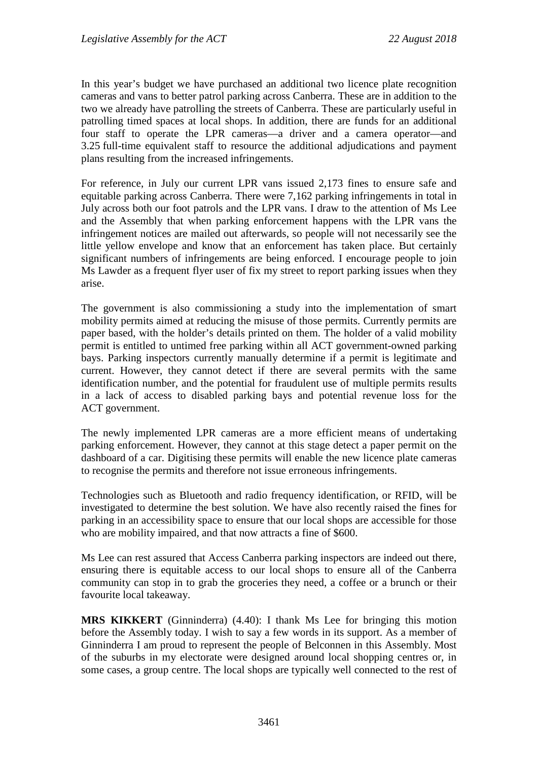In this year's budget we have purchased an additional two licence plate recognition cameras and vans to better patrol parking across Canberra. These are in addition to the two we already have patrolling the streets of Canberra. These are particularly useful in patrolling timed spaces at local shops. In addition, there are funds for an additional four staff to operate the LPR cameras—a driver and a camera operator—and 3.25 full-time equivalent staff to resource the additional adjudications and payment plans resulting from the increased infringements.

For reference, in July our current LPR vans issued 2,173 fines to ensure safe and equitable parking across Canberra. There were 7,162 parking infringements in total in July across both our foot patrols and the LPR vans. I draw to the attention of Ms Lee and the Assembly that when parking enforcement happens with the LPR vans the infringement notices are mailed out afterwards, so people will not necessarily see the little yellow envelope and know that an enforcement has taken place. But certainly significant numbers of infringements are being enforced. I encourage people to join Ms Lawder as a frequent flyer user of fix my street to report parking issues when they arise.

The government is also commissioning a study into the implementation of smart mobility permits aimed at reducing the misuse of those permits. Currently permits are paper based, with the holder's details printed on them. The holder of a valid mobility permit is entitled to untimed free parking within all ACT government-owned parking bays. Parking inspectors currently manually determine if a permit is legitimate and current. However, they cannot detect if there are several permits with the same identification number, and the potential for fraudulent use of multiple permits results in a lack of access to disabled parking bays and potential revenue loss for the ACT government.

The newly implemented LPR cameras are a more efficient means of undertaking parking enforcement. However, they cannot at this stage detect a paper permit on the dashboard of a car. Digitising these permits will enable the new licence plate cameras to recognise the permits and therefore not issue erroneous infringements.

Technologies such as Bluetooth and radio frequency identification, or RFID, will be investigated to determine the best solution. We have also recently raised the fines for parking in an accessibility space to ensure that our local shops are accessible for those who are mobility impaired, and that now attracts a fine of \$600.

Ms Lee can rest assured that Access Canberra parking inspectors are indeed out there, ensuring there is equitable access to our local shops to ensure all of the Canberra community can stop in to grab the groceries they need, a coffee or a brunch or their favourite local takeaway.

**MRS KIKKERT** (Ginninderra) (4.40): I thank Ms Lee for bringing this motion before the Assembly today. I wish to say a few words in its support. As a member of Ginninderra I am proud to represent the people of Belconnen in this Assembly. Most of the suburbs in my electorate were designed around local shopping centres or, in some cases, a group centre. The local shops are typically well connected to the rest of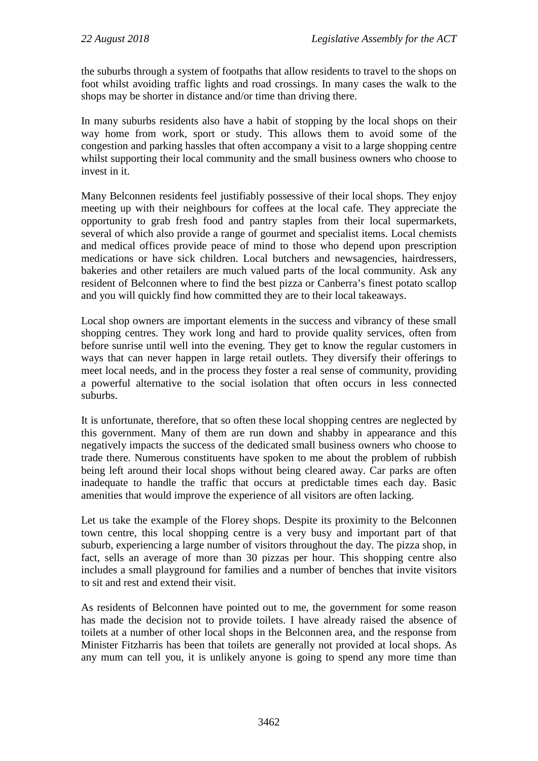the suburbs through a system of footpaths that allow residents to travel to the shops on foot whilst avoiding traffic lights and road crossings. In many cases the walk to the shops may be shorter in distance and/or time than driving there.

In many suburbs residents also have a habit of stopping by the local shops on their way home from work, sport or study. This allows them to avoid some of the congestion and parking hassles that often accompany a visit to a large shopping centre whilst supporting their local community and the small business owners who choose to invest in it.

Many Belconnen residents feel justifiably possessive of their local shops. They enjoy meeting up with their neighbours for coffees at the local cafe. They appreciate the opportunity to grab fresh food and pantry staples from their local supermarkets, several of which also provide a range of gourmet and specialist items. Local chemists and medical offices provide peace of mind to those who depend upon prescription medications or have sick children. Local butchers and newsagencies, hairdressers, bakeries and other retailers are much valued parts of the local community. Ask any resident of Belconnen where to find the best pizza or Canberra's finest potato scallop and you will quickly find how committed they are to their local takeaways.

Local shop owners are important elements in the success and vibrancy of these small shopping centres. They work long and hard to provide quality services, often from before sunrise until well into the evening. They get to know the regular customers in ways that can never happen in large retail outlets. They diversify their offerings to meet local needs, and in the process they foster a real sense of community, providing a powerful alternative to the social isolation that often occurs in less connected suburbs.

It is unfortunate, therefore, that so often these local shopping centres are neglected by this government. Many of them are run down and shabby in appearance and this negatively impacts the success of the dedicated small business owners who choose to trade there. Numerous constituents have spoken to me about the problem of rubbish being left around their local shops without being cleared away. Car parks are often inadequate to handle the traffic that occurs at predictable times each day. Basic amenities that would improve the experience of all visitors are often lacking.

Let us take the example of the Florey shops. Despite its proximity to the Belconnen town centre, this local shopping centre is a very busy and important part of that suburb, experiencing a large number of visitors throughout the day. The pizza shop, in fact, sells an average of more than 30 pizzas per hour. This shopping centre also includes a small playground for families and a number of benches that invite visitors to sit and rest and extend their visit.

As residents of Belconnen have pointed out to me, the government for some reason has made the decision not to provide toilets. I have already raised the absence of toilets at a number of other local shops in the Belconnen area, and the response from Minister Fitzharris has been that toilets are generally not provided at local shops. As any mum can tell you, it is unlikely anyone is going to spend any more time than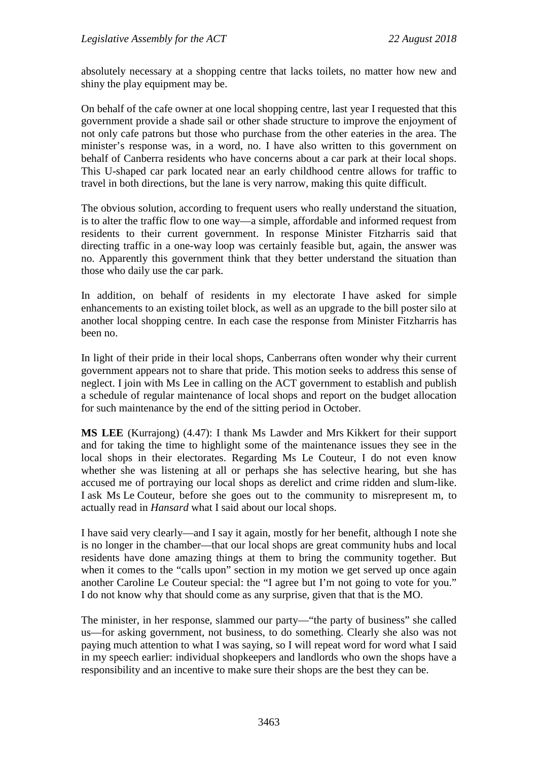absolutely necessary at a shopping centre that lacks toilets, no matter how new and shiny the play equipment may be.

On behalf of the cafe owner at one local shopping centre, last year I requested that this government provide a shade sail or other shade structure to improve the enjoyment of not only cafe patrons but those who purchase from the other eateries in the area. The minister's response was, in a word, no. I have also written to this government on behalf of Canberra residents who have concerns about a car park at their local shops. This U-shaped car park located near an early childhood centre allows for traffic to travel in both directions, but the lane is very narrow, making this quite difficult.

The obvious solution, according to frequent users who really understand the situation, is to alter the traffic flow to one way—a simple, affordable and informed request from residents to their current government. In response Minister Fitzharris said that directing traffic in a one-way loop was certainly feasible but, again, the answer was no. Apparently this government think that they better understand the situation than those who daily use the car park.

In addition, on behalf of residents in my electorate I have asked for simple enhancements to an existing toilet block, as well as an upgrade to the bill poster silo at another local shopping centre. In each case the response from Minister Fitzharris has been no.

In light of their pride in their local shops, Canberrans often wonder why their current government appears not to share that pride. This motion seeks to address this sense of neglect. I join with Ms Lee in calling on the ACT government to establish and publish a schedule of regular maintenance of local shops and report on the budget allocation for such maintenance by the end of the sitting period in October.

**MS LEE** (Kurrajong) (4.47): I thank Ms Lawder and Mrs Kikkert for their support and for taking the time to highlight some of the maintenance issues they see in the local shops in their electorates. Regarding Ms Le Couteur, I do not even know whether she was listening at all or perhaps she has selective hearing, but she has accused me of portraying our local shops as derelict and crime ridden and slum-like. I ask Ms Le Couteur, before she goes out to the community to misrepresent m, to actually read in *Hansard* what I said about our local shops.

I have said very clearly—and I say it again, mostly for her benefit, although I note she is no longer in the chamber—that our local shops are great community hubs and local residents have done amazing things at them to bring the community together. But when it comes to the "calls upon" section in my motion we get served up once again another Caroline Le Couteur special: the "I agree but I'm not going to vote for you." I do not know why that should come as any surprise, given that that is the MO.

The minister, in her response, slammed our party—"the party of business" she called us—for asking government, not business, to do something. Clearly she also was not paying much attention to what I was saying, so I will repeat word for word what I said in my speech earlier: individual shopkeepers and landlords who own the shops have a responsibility and an incentive to make sure their shops are the best they can be.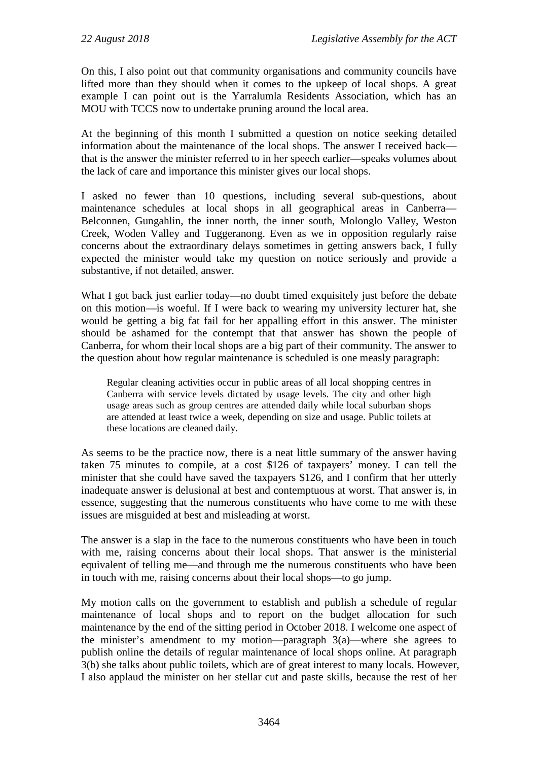On this, I also point out that community organisations and community councils have lifted more than they should when it comes to the upkeep of local shops. A great example I can point out is the Yarralumla Residents Association, which has an MOU with TCCS now to undertake pruning around the local area.

At the beginning of this month I submitted a question on notice seeking detailed information about the maintenance of the local shops. The answer I received back that is the answer the minister referred to in her speech earlier—speaks volumes about the lack of care and importance this minister gives our local shops.

I asked no fewer than 10 questions, including several sub-questions, about maintenance schedules at local shops in all geographical areas in Canberra— Belconnen, Gungahlin, the inner north, the inner south, Molonglo Valley, Weston Creek, Woden Valley and Tuggeranong. Even as we in opposition regularly raise concerns about the extraordinary delays sometimes in getting answers back, I fully expected the minister would take my question on notice seriously and provide a substantive, if not detailed, answer.

What I got back just earlier today—no doubt timed exquisitely just before the debate on this motion—is woeful. If I were back to wearing my university lecturer hat, she would be getting a big fat fail for her appalling effort in this answer. The minister should be ashamed for the contempt that that answer has shown the people of Canberra, for whom their local shops are a big part of their community. The answer to the question about how regular maintenance is scheduled is one measly paragraph:

Regular cleaning activities occur in public areas of all local shopping centres in Canberra with service levels dictated by usage levels. The city and other high usage areas such as group centres are attended daily while local suburban shops are attended at least twice a week, depending on size and usage. Public toilets at these locations are cleaned daily.

As seems to be the practice now, there is a neat little summary of the answer having taken 75 minutes to compile, at a cost \$126 of taxpayers' money. I can tell the minister that she could have saved the taxpayers \$126, and I confirm that her utterly inadequate answer is delusional at best and contemptuous at worst. That answer is, in essence, suggesting that the numerous constituents who have come to me with these issues are misguided at best and misleading at worst.

The answer is a slap in the face to the numerous constituents who have been in touch with me, raising concerns about their local shops. That answer is the ministerial equivalent of telling me—and through me the numerous constituents who have been in touch with me, raising concerns about their local shops—to go jump.

My motion calls on the government to establish and publish a schedule of regular maintenance of local shops and to report on the budget allocation for such maintenance by the end of the sitting period in October 2018. I welcome one aspect of the minister's amendment to my motion—paragraph 3(a)—where she agrees to publish online the details of regular maintenance of local shops online. At paragraph 3(b) she talks about public toilets, which are of great interest to many locals. However, I also applaud the minister on her stellar cut and paste skills, because the rest of her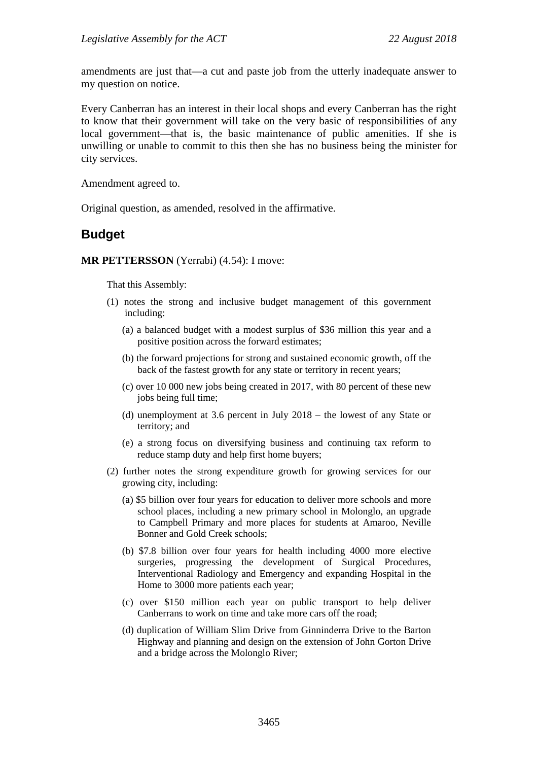amendments are just that—a cut and paste job from the utterly inadequate answer to my question on notice.

Every Canberran has an interest in their local shops and every Canberran has the right to know that their government will take on the very basic of responsibilities of any local government—that is, the basic maintenance of public amenities. If she is unwilling or unable to commit to this then she has no business being the minister for city services.

Amendment agreed to.

Original question, as amended, resolved in the affirmative.

## **Budget**

## **MR PETTERSSON** (Yerrabi) (4.54): I move:

That this Assembly:

- (1) notes the strong and inclusive budget management of this government including:
	- (a) a balanced budget with a modest surplus of \$36 million this year and a positive position across the forward estimates;
	- (b) the forward projections for strong and sustained economic growth, off the back of the fastest growth for any state or territory in recent years;
	- (c) over 10 000 new jobs being created in 2017, with 80 percent of these new jobs being full time;
	- (d) unemployment at 3.6 percent in July 2018 the lowest of any State or territory; and
	- (e) a strong focus on diversifying business and continuing tax reform to reduce stamp duty and help first home buyers;
- (2) further notes the strong expenditure growth for growing services for our growing city, including:
	- (a) \$5 billion over four years for education to deliver more schools and more school places, including a new primary school in Molonglo, an upgrade to Campbell Primary and more places for students at Amaroo, Neville Bonner and Gold Creek schools;
	- (b) \$7.8 billion over four years for health including 4000 more elective surgeries, progressing the development of Surgical Procedures, Interventional Radiology and Emergency and expanding Hospital in the Home to 3000 more patients each year;
	- (c) over \$150 million each year on public transport to help deliver Canberrans to work on time and take more cars off the road;
	- (d) duplication of William Slim Drive from Ginninderra Drive to the Barton Highway and planning and design on the extension of John Gorton Drive and a bridge across the Molonglo River;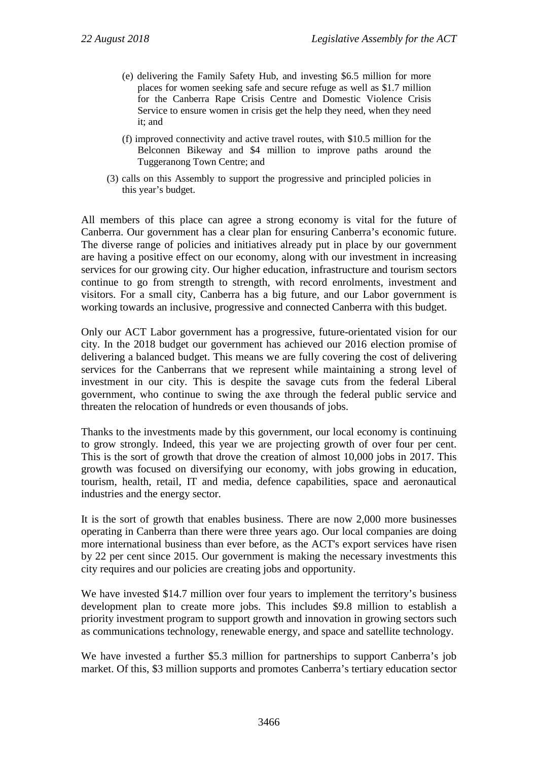- (e) delivering the Family Safety Hub, and investing \$6.5 million for more places for women seeking safe and secure refuge as well as \$1.7 million for the Canberra Rape Crisis Centre and Domestic Violence Crisis Service to ensure women in crisis get the help they need, when they need it; and
- (f) improved connectivity and active travel routes, with \$10.5 million for the Belconnen Bikeway and \$4 million to improve paths around the Tuggeranong Town Centre; and
- (3) calls on this Assembly to support the progressive and principled policies in this year's budget.

All members of this place can agree a strong economy is vital for the future of Canberra. Our government has a clear plan for ensuring Canberra's economic future. The diverse range of policies and initiatives already put in place by our government are having a positive effect on our economy, along with our investment in increasing services for our growing city. Our higher education, infrastructure and tourism sectors continue to go from strength to strength, with record enrolments, investment and visitors. For a small city, Canberra has a big future, and our Labor government is working towards an inclusive, progressive and connected Canberra with this budget.

Only our ACT Labor government has a progressive, future-orientated vision for our city. In the 2018 budget our government has achieved our 2016 election promise of delivering a balanced budget. This means we are fully covering the cost of delivering services for the Canberrans that we represent while maintaining a strong level of investment in our city. This is despite the savage cuts from the federal Liberal government, who continue to swing the axe through the federal public service and threaten the relocation of hundreds or even thousands of jobs.

Thanks to the investments made by this government, our local economy is continuing to grow strongly. Indeed, this year we are projecting growth of over four per cent. This is the sort of growth that drove the creation of almost 10,000 jobs in 2017. This growth was focused on diversifying our economy, with jobs growing in education, tourism, health, retail, IT and media, defence capabilities, space and aeronautical industries and the energy sector.

It is the sort of growth that enables business. There are now 2,000 more businesses operating in Canberra than there were three years ago. Our local companies are doing more international business than ever before, as the ACT's export services have risen by 22 per cent since 2015. Our government is making the necessary investments this city requires and our policies are creating jobs and opportunity.

We have invested \$14.7 million over four years to implement the territory's business development plan to create more jobs. This includes \$9.8 million to establish a priority investment program to support growth and innovation in growing sectors such as communications technology, renewable energy, and space and satellite technology.

We have invested a further \$5.3 million for partnerships to support Canberra's job market. Of this, \$3 million supports and promotes Canberra's tertiary education sector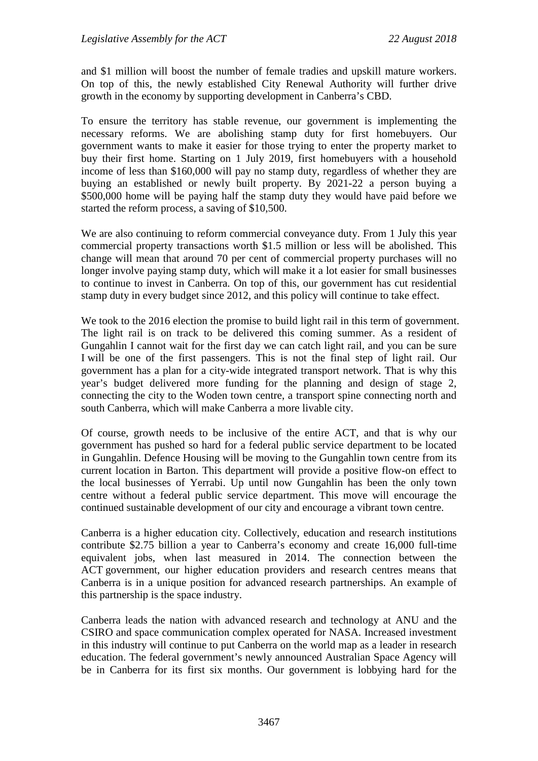and \$1 million will boost the number of female tradies and upskill mature workers. On top of this, the newly established City Renewal Authority will further drive growth in the economy by supporting development in Canberra's CBD.

To ensure the territory has stable revenue, our government is implementing the necessary reforms. We are abolishing stamp duty for first homebuyers. Our government wants to make it easier for those trying to enter the property market to buy their first home. Starting on 1 July 2019, first homebuyers with a household income of less than \$160,000 will pay no stamp duty, regardless of whether they are buying an established or newly built property. By 2021-22 a person buying a \$500,000 home will be paying half the stamp duty they would have paid before we started the reform process, a saving of \$10,500.

We are also continuing to reform commercial conveyance duty. From 1 July this year commercial property transactions worth \$1.5 million or less will be abolished. This change will mean that around 70 per cent of commercial property purchases will no longer involve paying stamp duty, which will make it a lot easier for small businesses to continue to invest in Canberra. On top of this, our government has cut residential stamp duty in every budget since 2012, and this policy will continue to take effect.

We took to the 2016 election the promise to build light rail in this term of government. The light rail is on track to be delivered this coming summer. As a resident of Gungahlin I cannot wait for the first day we can catch light rail, and you can be sure I will be one of the first passengers. This is not the final step of light rail. Our government has a plan for a city-wide integrated transport network. That is why this year's budget delivered more funding for the planning and design of stage 2, connecting the city to the Woden town centre, a transport spine connecting north and south Canberra, which will make Canberra a more livable city.

Of course, growth needs to be inclusive of the entire ACT, and that is why our government has pushed so hard for a federal public service department to be located in Gungahlin. Defence Housing will be moving to the Gungahlin town centre from its current location in Barton. This department will provide a positive flow-on effect to the local businesses of Yerrabi. Up until now Gungahlin has been the only town centre without a federal public service department. This move will encourage the continued sustainable development of our city and encourage a vibrant town centre.

Canberra is a higher education city. Collectively, education and research institutions contribute \$2.75 billion a year to Canberra's economy and create 16,000 full-time equivalent jobs, when last measured in 2014. The connection between the ACT government, our higher education providers and research centres means that Canberra is in a unique position for advanced research partnerships. An example of this partnership is the space industry.

Canberra leads the nation with advanced research and technology at ANU and the CSIRO and space communication complex operated for NASA. Increased investment in this industry will continue to put Canberra on the world map as a leader in research education. The federal government's newly announced Australian Space Agency will be in Canberra for its first six months. Our government is lobbying hard for the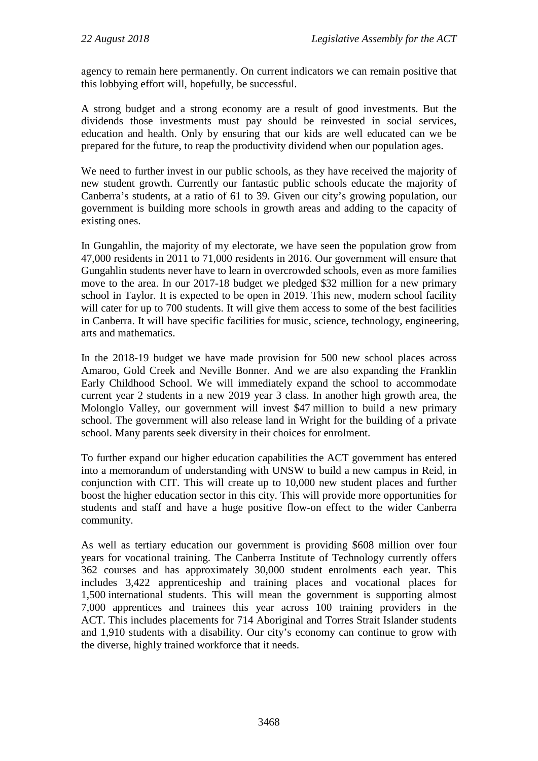agency to remain here permanently. On current indicators we can remain positive that this lobbying effort will, hopefully, be successful.

A strong budget and a strong economy are a result of good investments. But the dividends those investments must pay should be reinvested in social services, education and health. Only by ensuring that our kids are well educated can we be prepared for the future, to reap the productivity dividend when our population ages.

We need to further invest in our public schools, as they have received the majority of new student growth. Currently our fantastic public schools educate the majority of Canberra's students, at a ratio of 61 to 39. Given our city's growing population, our government is building more schools in growth areas and adding to the capacity of existing ones.

In Gungahlin, the majority of my electorate, we have seen the population grow from 47,000 residents in 2011 to 71,000 residents in 2016. Our government will ensure that Gungahlin students never have to learn in overcrowded schools, even as more families move to the area. In our 2017-18 budget we pledged \$32 million for a new primary school in Taylor. It is expected to be open in 2019. This new, modern school facility will cater for up to 700 students. It will give them access to some of the best facilities in Canberra. It will have specific facilities for music, science, technology, engineering, arts and mathematics.

In the 2018-19 budget we have made provision for 500 new school places across Amaroo, Gold Creek and Neville Bonner. And we are also expanding the Franklin Early Childhood School. We will immediately expand the school to accommodate current year 2 students in a new 2019 year 3 class. In another high growth area, the Molonglo Valley, our government will invest \$47 million to build a new primary school. The government will also release land in Wright for the building of a private school. Many parents seek diversity in their choices for enrolment.

To further expand our higher education capabilities the ACT government has entered into a memorandum of understanding with UNSW to build a new campus in Reid, in conjunction with CIT. This will create up to 10,000 new student places and further boost the higher education sector in this city. This will provide more opportunities for students and staff and have a huge positive flow-on effect to the wider Canberra community.

As well as tertiary education our government is providing \$608 million over four years for vocational training. The Canberra Institute of Technology currently offers 362 courses and has approximately 30,000 student enrolments each year. This includes 3,422 apprenticeship and training places and vocational places for 1,500 international students. This will mean the government is supporting almost 7,000 apprentices and trainees this year across 100 training providers in the ACT. This includes placements for 714 Aboriginal and Torres Strait Islander students and 1,910 students with a disability. Our city's economy can continue to grow with the diverse, highly trained workforce that it needs.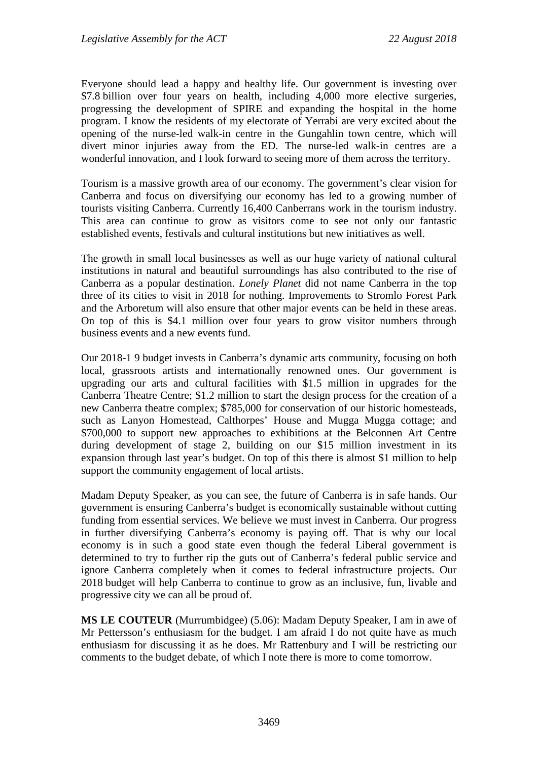Everyone should lead a happy and healthy life. Our government is investing over \$7.8 billion over four years on health, including 4,000 more elective surgeries, progressing the development of SPIRE and expanding the hospital in the home program. I know the residents of my electorate of Yerrabi are very excited about the opening of the nurse-led walk-in centre in the Gungahlin town centre, which will divert minor injuries away from the ED. The nurse-led walk-in centres are a wonderful innovation, and I look forward to seeing more of them across the territory.

Tourism is a massive growth area of our economy. The government's clear vision for Canberra and focus on diversifying our economy has led to a growing number of tourists visiting Canberra. Currently 16,400 Canberrans work in the tourism industry. This area can continue to grow as visitors come to see not only our fantastic established events, festivals and cultural institutions but new initiatives as well.

The growth in small local businesses as well as our huge variety of national cultural institutions in natural and beautiful surroundings has also contributed to the rise of Canberra as a popular destination. *Lonely Planet* did not name Canberra in the top three of its cities to visit in 2018 for nothing. Improvements to Stromlo Forest Park and the Arboretum will also ensure that other major events can be held in these areas. On top of this is \$4.1 million over four years to grow visitor numbers through business events and a new events fund.

Our 2018-1 9 budget invests in Canberra's dynamic arts community, focusing on both local, grassroots artists and internationally renowned ones. Our government is upgrading our arts and cultural facilities with \$1.5 million in upgrades for the Canberra Theatre Centre; \$1.2 million to start the design process for the creation of a new Canberra theatre complex; \$785,000 for conservation of our historic homesteads, such as Lanyon Homestead, Calthorpes' House and Mugga Mugga cottage; and \$700,000 to support new approaches to exhibitions at the Belconnen Art Centre during development of stage 2, building on our \$15 million investment in its expansion through last year's budget. On top of this there is almost \$1 million to help support the community engagement of local artists.

Madam Deputy Speaker, as you can see, the future of Canberra is in safe hands. Our government is ensuring Canberra's budget is economically sustainable without cutting funding from essential services. We believe we must invest in Canberra. Our progress in further diversifying Canberra's economy is paying off. That is why our local economy is in such a good state even though the federal Liberal government is determined to try to further rip the guts out of Canberra's federal public service and ignore Canberra completely when it comes to federal infrastructure projects. Our 2018 budget will help Canberra to continue to grow as an inclusive, fun, livable and progressive city we can all be proud of.

**MS LE COUTEUR** (Murrumbidgee) (5.06): Madam Deputy Speaker, I am in awe of Mr Pettersson's enthusiasm for the budget. I am afraid I do not quite have as much enthusiasm for discussing it as he does. Mr Rattenbury and I will be restricting our comments to the budget debate, of which I note there is more to come tomorrow.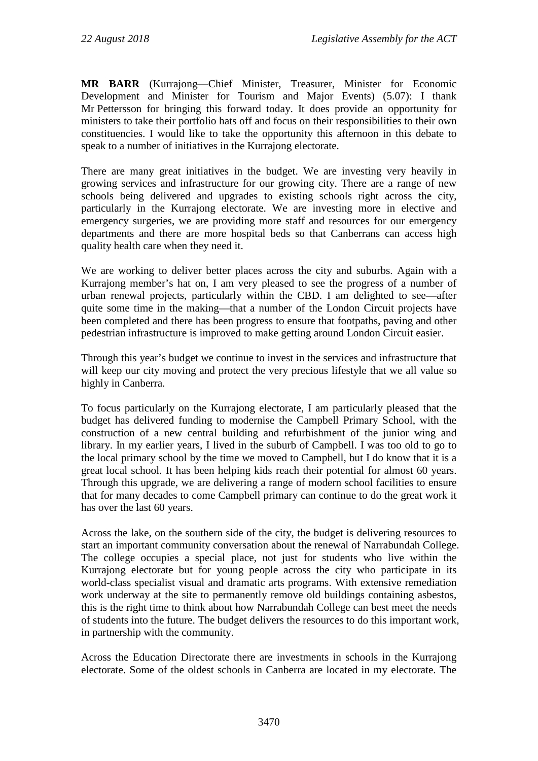**MR BARR** (Kurrajong—Chief Minister, Treasurer, Minister for Economic Development and Minister for Tourism and Major Events) (5.07): I thank Mr Pettersson for bringing this forward today. It does provide an opportunity for ministers to take their portfolio hats off and focus on their responsibilities to their own constituencies. I would like to take the opportunity this afternoon in this debate to speak to a number of initiatives in the Kurrajong electorate.

There are many great initiatives in the budget. We are investing very heavily in growing services and infrastructure for our growing city. There are a range of new schools being delivered and upgrades to existing schools right across the city, particularly in the Kurrajong electorate. We are investing more in elective and emergency surgeries, we are providing more staff and resources for our emergency departments and there are more hospital beds so that Canberrans can access high quality health care when they need it.

We are working to deliver better places across the city and suburbs. Again with a Kurrajong member's hat on, I am very pleased to see the progress of a number of urban renewal projects, particularly within the CBD. I am delighted to see—after quite some time in the making—that a number of the London Circuit projects have been completed and there has been progress to ensure that footpaths, paving and other pedestrian infrastructure is improved to make getting around London Circuit easier.

Through this year's budget we continue to invest in the services and infrastructure that will keep our city moving and protect the very precious lifestyle that we all value so highly in Canberra.

To focus particularly on the Kurrajong electorate, I am particularly pleased that the budget has delivered funding to modernise the Campbell Primary School, with the construction of a new central building and refurbishment of the junior wing and library. In my earlier years, I lived in the suburb of Campbell. I was too old to go to the local primary school by the time we moved to Campbell, but I do know that it is a great local school. It has been helping kids reach their potential for almost 60 years. Through this upgrade, we are delivering a range of modern school facilities to ensure that for many decades to come Campbell primary can continue to do the great work it has over the last 60 years.

Across the lake, on the southern side of the city, the budget is delivering resources to start an important community conversation about the renewal of Narrabundah College. The college occupies a special place, not just for students who live within the Kurrajong electorate but for young people across the city who participate in its world-class specialist visual and dramatic arts programs. With extensive remediation work underway at the site to permanently remove old buildings containing asbestos, this is the right time to think about how Narrabundah College can best meet the needs of students into the future. The budget delivers the resources to do this important work, in partnership with the community.

Across the Education Directorate there are investments in schools in the Kurrajong electorate. Some of the oldest schools in Canberra are located in my electorate. The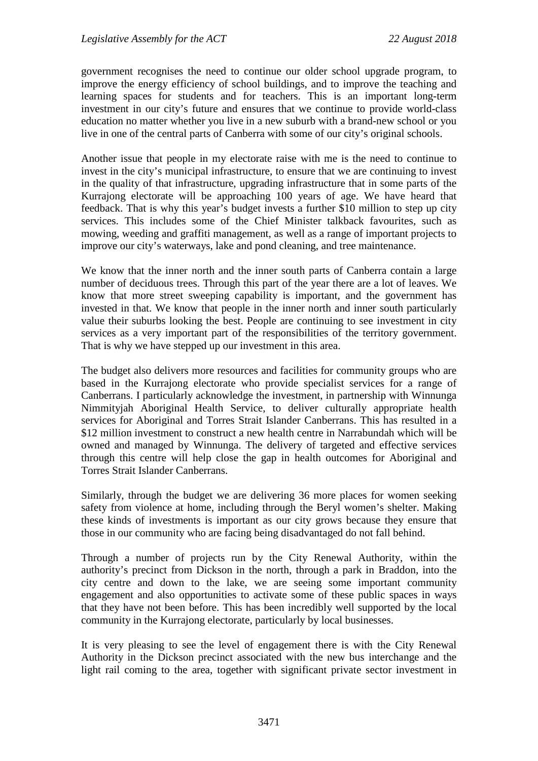government recognises the need to continue our older school upgrade program, to improve the energy efficiency of school buildings, and to improve the teaching and learning spaces for students and for teachers. This is an important long-term investment in our city's future and ensures that we continue to provide world-class education no matter whether you live in a new suburb with a brand-new school or you live in one of the central parts of Canberra with some of our city's original schools.

Another issue that people in my electorate raise with me is the need to continue to invest in the city's municipal infrastructure, to ensure that we are continuing to invest in the quality of that infrastructure, upgrading infrastructure that in some parts of the Kurrajong electorate will be approaching 100 years of age. We have heard that feedback. That is why this year's budget invests a further \$10 million to step up city services. This includes some of the Chief Minister talkback favourites, such as mowing, weeding and graffiti management, as well as a range of important projects to improve our city's waterways, lake and pond cleaning, and tree maintenance.

We know that the inner north and the inner south parts of Canberra contain a large number of deciduous trees. Through this part of the year there are a lot of leaves. We know that more street sweeping capability is important, and the government has invested in that. We know that people in the inner north and inner south particularly value their suburbs looking the best. People are continuing to see investment in city services as a very important part of the responsibilities of the territory government. That is why we have stepped up our investment in this area.

The budget also delivers more resources and facilities for community groups who are based in the Kurrajong electorate who provide specialist services for a range of Canberrans. I particularly acknowledge the investment, in partnership with Winnunga Nimmityjah Aboriginal Health Service, to deliver culturally appropriate health services for Aboriginal and Torres Strait Islander Canberrans. This has resulted in a \$12 million investment to construct a new health centre in Narrabundah which will be owned and managed by Winnunga. The delivery of targeted and effective services through this centre will help close the gap in health outcomes for Aboriginal and Torres Strait Islander Canberrans.

Similarly, through the budget we are delivering 36 more places for women seeking safety from violence at home, including through the Beryl women's shelter. Making these kinds of investments is important as our city grows because they ensure that those in our community who are facing being disadvantaged do not fall behind.

Through a number of projects run by the City Renewal Authority, within the authority's precinct from Dickson in the north, through a park in Braddon, into the city centre and down to the lake, we are seeing some important community engagement and also opportunities to activate some of these public spaces in ways that they have not been before. This has been incredibly well supported by the local community in the Kurrajong electorate, particularly by local businesses.

It is very pleasing to see the level of engagement there is with the City Renewal Authority in the Dickson precinct associated with the new bus interchange and the light rail coming to the area, together with significant private sector investment in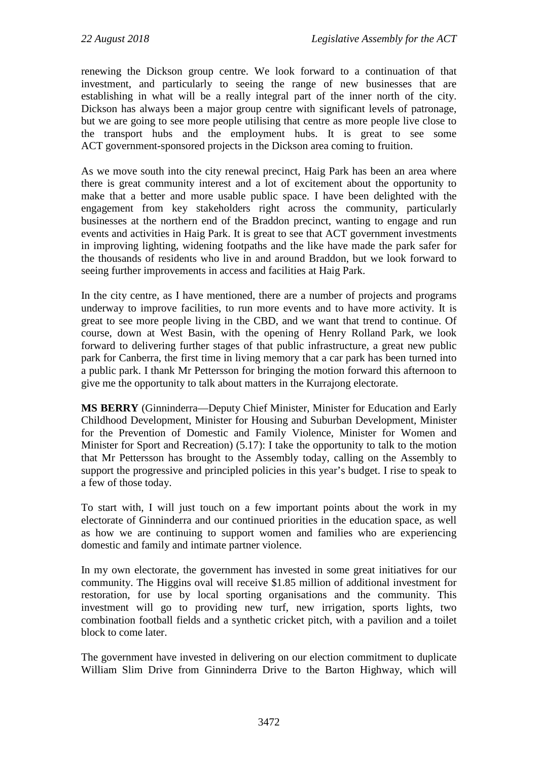renewing the Dickson group centre. We look forward to a continuation of that investment, and particularly to seeing the range of new businesses that are establishing in what will be a really integral part of the inner north of the city. Dickson has always been a major group centre with significant levels of patronage, but we are going to see more people utilising that centre as more people live close to the transport hubs and the employment hubs. It is great to see some ACT government-sponsored projects in the Dickson area coming to fruition.

As we move south into the city renewal precinct, Haig Park has been an area where there is great community interest and a lot of excitement about the opportunity to make that a better and more usable public space. I have been delighted with the engagement from key stakeholders right across the community, particularly businesses at the northern end of the Braddon precinct, wanting to engage and run events and activities in Haig Park. It is great to see that ACT government investments in improving lighting, widening footpaths and the like have made the park safer for the thousands of residents who live in and around Braddon, but we look forward to seeing further improvements in access and facilities at Haig Park.

In the city centre, as I have mentioned, there are a number of projects and programs underway to improve facilities, to run more events and to have more activity. It is great to see more people living in the CBD, and we want that trend to continue. Of course, down at West Basin, with the opening of Henry Rolland Park, we look forward to delivering further stages of that public infrastructure, a great new public park for Canberra, the first time in living memory that a car park has been turned into a public park. I thank Mr Pettersson for bringing the motion forward this afternoon to give me the opportunity to talk about matters in the Kurrajong electorate.

**MS BERRY** (Ginninderra—Deputy Chief Minister, Minister for Education and Early Childhood Development, Minister for Housing and Suburban Development, Minister for the Prevention of Domestic and Family Violence, Minister for Women and Minister for Sport and Recreation) (5.17): I take the opportunity to talk to the motion that Mr Pettersson has brought to the Assembly today, calling on the Assembly to support the progressive and principled policies in this year's budget. I rise to speak to a few of those today.

To start with, I will just touch on a few important points about the work in my electorate of Ginninderra and our continued priorities in the education space, as well as how we are continuing to support women and families who are experiencing domestic and family and intimate partner violence.

In my own electorate, the government has invested in some great initiatives for our community. The Higgins oval will receive \$1.85 million of additional investment for restoration, for use by local sporting organisations and the community. This investment will go to providing new turf, new irrigation, sports lights, two combination football fields and a synthetic cricket pitch, with a pavilion and a toilet block to come later.

The government have invested in delivering on our election commitment to duplicate William Slim Drive from Ginninderra Drive to the Barton Highway, which will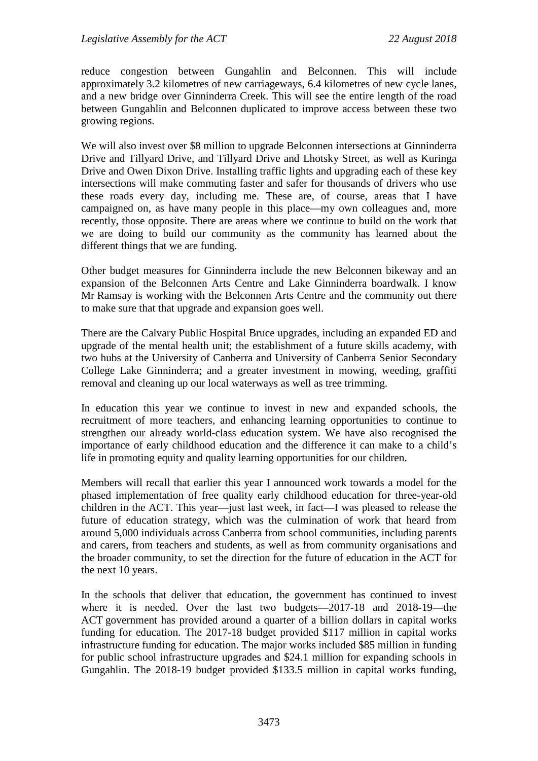reduce congestion between Gungahlin and Belconnen. This will include approximately 3.2 kilometres of new carriageways, 6.4 kilometres of new cycle lanes, and a new bridge over Ginninderra Creek. This will see the entire length of the road between Gungahlin and Belconnen duplicated to improve access between these two growing regions.

We will also invest over \$8 million to upgrade Belconnen intersections at Ginninderra Drive and Tillyard Drive, and Tillyard Drive and Lhotsky Street, as well as Kuringa Drive and Owen Dixon Drive. Installing traffic lights and upgrading each of these key intersections will make commuting faster and safer for thousands of drivers who use these roads every day, including me. These are, of course, areas that I have campaigned on, as have many people in this place—my own colleagues and, more recently, those opposite. There are areas where we continue to build on the work that we are doing to build our community as the community has learned about the different things that we are funding.

Other budget measures for Ginninderra include the new Belconnen bikeway and an expansion of the Belconnen Arts Centre and Lake Ginninderra boardwalk. I know Mr Ramsay is working with the Belconnen Arts Centre and the community out there to make sure that that upgrade and expansion goes well.

There are the Calvary Public Hospital Bruce upgrades, including an expanded ED and upgrade of the mental health unit; the establishment of a future skills academy, with two hubs at the University of Canberra and University of Canberra Senior Secondary College Lake Ginninderra; and a greater investment in mowing, weeding, graffiti removal and cleaning up our local waterways as well as tree trimming.

In education this year we continue to invest in new and expanded schools, the recruitment of more teachers, and enhancing learning opportunities to continue to strengthen our already world-class education system. We have also recognised the importance of early childhood education and the difference it can make to a child's life in promoting equity and quality learning opportunities for our children.

Members will recall that earlier this year I announced work towards a model for the phased implementation of free quality early childhood education for three-year-old children in the ACT. This year—just last week, in fact—I was pleased to release the future of education strategy, which was the culmination of work that heard from around 5,000 individuals across Canberra from school communities, including parents and carers, from teachers and students, as well as from community organisations and the broader community, to set the direction for the future of education in the ACT for the next 10 years.

In the schools that deliver that education, the government has continued to invest where it is needed. Over the last two budgets—2017-18 and 2018-19—the ACT government has provided around a quarter of a billion dollars in capital works funding for education. The 2017-18 budget provided \$117 million in capital works infrastructure funding for education. The major works included \$85 million in funding for public school infrastructure upgrades and \$24.1 million for expanding schools in Gungahlin. The 2018-19 budget provided \$133.5 million in capital works funding,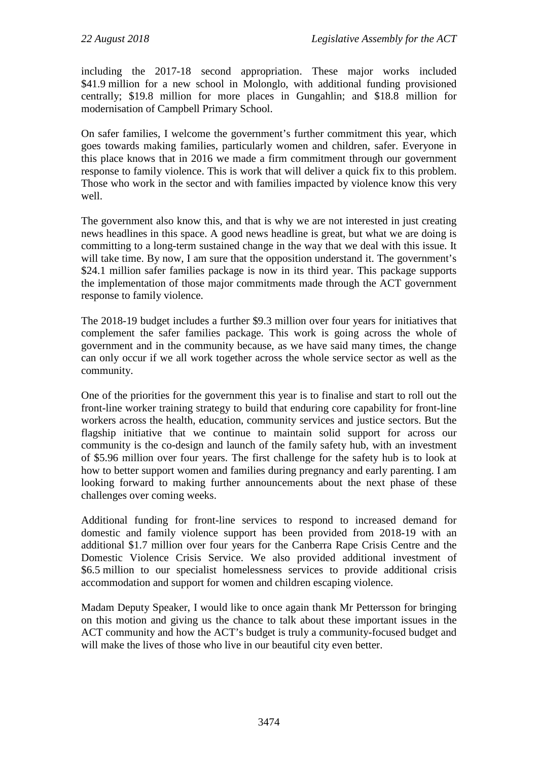including the 2017-18 second appropriation. These major works included \$41.9 million for a new school in Molonglo, with additional funding provisioned centrally; \$19.8 million for more places in Gungahlin; and \$18.8 million for modernisation of Campbell Primary School.

On safer families, I welcome the government's further commitment this year, which goes towards making families, particularly women and children, safer. Everyone in this place knows that in 2016 we made a firm commitment through our government response to family violence. This is work that will deliver a quick fix to this problem. Those who work in the sector and with families impacted by violence know this very well.

The government also know this, and that is why we are not interested in just creating news headlines in this space. A good news headline is great, but what we are doing is committing to a long-term sustained change in the way that we deal with this issue. It will take time. By now, I am sure that the opposition understand it. The government's \$24.1 million safer families package is now in its third year. This package supports the implementation of those major commitments made through the ACT government response to family violence.

The 2018-19 budget includes a further \$9.3 million over four years for initiatives that complement the safer families package. This work is going across the whole of government and in the community because, as we have said many times, the change can only occur if we all work together across the whole service sector as well as the community.

One of the priorities for the government this year is to finalise and start to roll out the front-line worker training strategy to build that enduring core capability for front-line workers across the health, education, community services and justice sectors. But the flagship initiative that we continue to maintain solid support for across our community is the co-design and launch of the family safety hub, with an investment of \$5.96 million over four years. The first challenge for the safety hub is to look at how to better support women and families during pregnancy and early parenting. I am looking forward to making further announcements about the next phase of these challenges over coming weeks.

Additional funding for front-line services to respond to increased demand for domestic and family violence support has been provided from 2018-19 with an additional \$1.7 million over four years for the Canberra Rape Crisis Centre and the Domestic Violence Crisis Service. We also provided additional investment of \$6.5 million to our specialist homelessness services to provide additional crisis accommodation and support for women and children escaping violence.

Madam Deputy Speaker, I would like to once again thank Mr Pettersson for bringing on this motion and giving us the chance to talk about these important issues in the ACT community and how the ACT's budget is truly a community-focused budget and will make the lives of those who live in our beautiful city even better.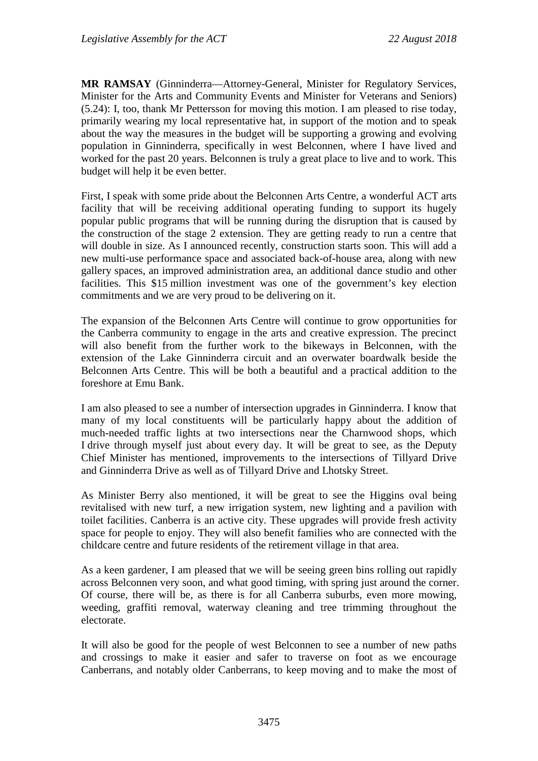**MR RAMSAY** (Ginninderra—Attorney-General, Minister for Regulatory Services, Minister for the Arts and Community Events and Minister for Veterans and Seniors) (5.24): I, too, thank Mr Pettersson for moving this motion. I am pleased to rise today, primarily wearing my local representative hat, in support of the motion and to speak about the way the measures in the budget will be supporting a growing and evolving population in Ginninderra, specifically in west Belconnen, where I have lived and worked for the past 20 years. Belconnen is truly a great place to live and to work. This budget will help it be even better.

First, I speak with some pride about the Belconnen Arts Centre, a wonderful ACT arts facility that will be receiving additional operating funding to support its hugely popular public programs that will be running during the disruption that is caused by the construction of the stage 2 extension. They are getting ready to run a centre that will double in size. As I announced recently, construction starts soon. This will add a new multi-use performance space and associated back-of-house area, along with new gallery spaces, an improved administration area, an additional dance studio and other facilities. This \$15 million investment was one of the government's key election commitments and we are very proud to be delivering on it.

The expansion of the Belconnen Arts Centre will continue to grow opportunities for the Canberra community to engage in the arts and creative expression. The precinct will also benefit from the further work to the bikeways in Belconnen, with the extension of the Lake Ginninderra circuit and an overwater boardwalk beside the Belconnen Arts Centre. This will be both a beautiful and a practical addition to the foreshore at Emu Bank.

I am also pleased to see a number of intersection upgrades in Ginninderra. I know that many of my local constituents will be particularly happy about the addition of much-needed traffic lights at two intersections near the Charnwood shops, which I drive through myself just about every day. It will be great to see, as the Deputy Chief Minister has mentioned, improvements to the intersections of Tillyard Drive and Ginninderra Drive as well as of Tillyard Drive and Lhotsky Street.

As Minister Berry also mentioned, it will be great to see the Higgins oval being revitalised with new turf, a new irrigation system, new lighting and a pavilion with toilet facilities. Canberra is an active city. These upgrades will provide fresh activity space for people to enjoy. They will also benefit families who are connected with the childcare centre and future residents of the retirement village in that area.

As a keen gardener, I am pleased that we will be seeing green bins rolling out rapidly across Belconnen very soon, and what good timing, with spring just around the corner. Of course, there will be, as there is for all Canberra suburbs, even more mowing, weeding, graffiti removal, waterway cleaning and tree trimming throughout the electorate.

It will also be good for the people of west Belconnen to see a number of new paths and crossings to make it easier and safer to traverse on foot as we encourage Canberrans, and notably older Canberrans, to keep moving and to make the most of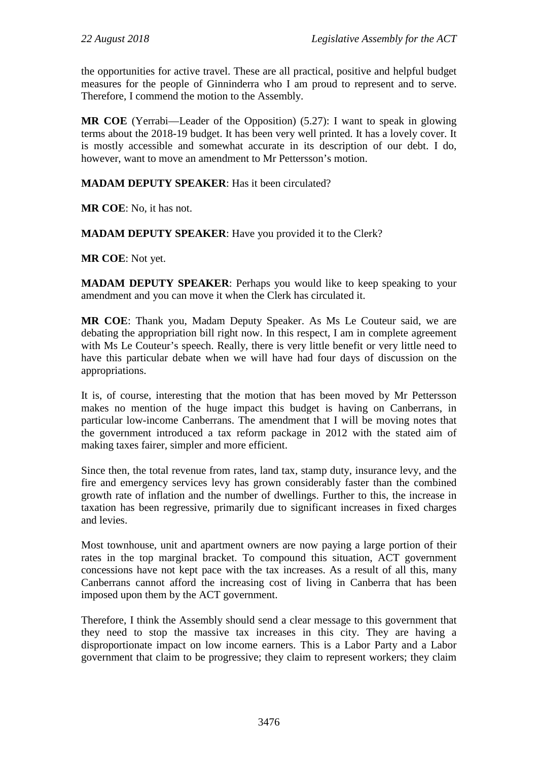the opportunities for active travel. These are all practical, positive and helpful budget measures for the people of Ginninderra who I am proud to represent and to serve. Therefore, I commend the motion to the Assembly.

**MR COE** (Yerrabi—Leader of the Opposition) (5.27): I want to speak in glowing terms about the 2018-19 budget. It has been very well printed. It has a lovely cover. It is mostly accessible and somewhat accurate in its description of our debt. I do, however, want to move an amendment to Mr Pettersson's motion.

## **MADAM DEPUTY SPEAKER**: Has it been circulated?

**MR COE**: No, it has not.

**MADAM DEPUTY SPEAKER**: Have you provided it to the Clerk?

**MR COE**: Not yet.

**MADAM DEPUTY SPEAKER:** Perhaps you would like to keep speaking to your amendment and you can move it when the Clerk has circulated it.

**MR COE**: Thank you, Madam Deputy Speaker. As Ms Le Couteur said, we are debating the appropriation bill right now. In this respect, I am in complete agreement with Ms Le Couteur's speech. Really, there is very little benefit or very little need to have this particular debate when we will have had four days of discussion on the appropriations.

It is, of course, interesting that the motion that has been moved by Mr Pettersson makes no mention of the huge impact this budget is having on Canberrans, in particular low-income Canberrans. The amendment that I will be moving notes that the government introduced a tax reform package in 2012 with the stated aim of making taxes fairer, simpler and more efficient.

Since then, the total revenue from rates, land tax, stamp duty, insurance levy, and the fire and emergency services levy has grown considerably faster than the combined growth rate of inflation and the number of dwellings. Further to this, the increase in taxation has been regressive, primarily due to significant increases in fixed charges and levies.

Most townhouse, unit and apartment owners are now paying a large portion of their rates in the top marginal bracket. To compound this situation, ACT government concessions have not kept pace with the tax increases. As a result of all this, many Canberrans cannot afford the increasing cost of living in Canberra that has been imposed upon them by the ACT government.

Therefore, I think the Assembly should send a clear message to this government that they need to stop the massive tax increases in this city. They are having a disproportionate impact on low income earners. This is a Labor Party and a Labor government that claim to be progressive; they claim to represent workers; they claim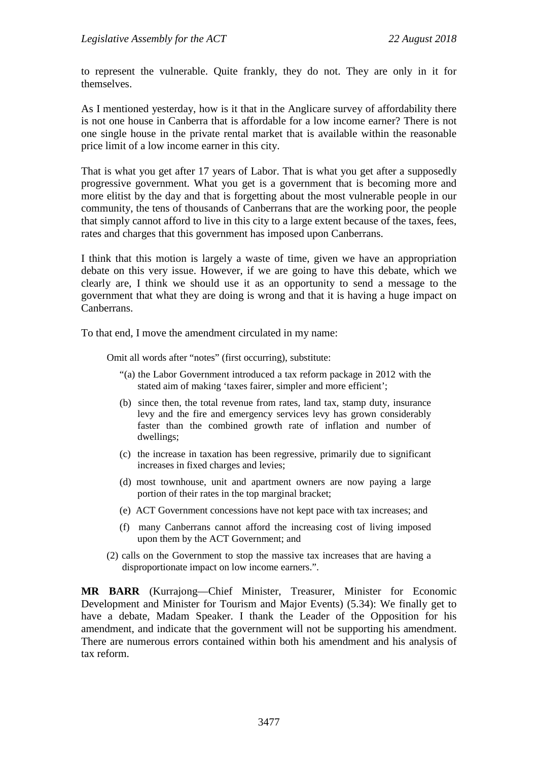to represent the vulnerable. Quite frankly, they do not. They are only in it for themselves.

As I mentioned yesterday, how is it that in the Anglicare survey of affordability there is not one house in Canberra that is affordable for a low income earner? There is not one single house in the private rental market that is available within the reasonable price limit of a low income earner in this city.

That is what you get after 17 years of Labor. That is what you get after a supposedly progressive government. What you get is a government that is becoming more and more elitist by the day and that is forgetting about the most vulnerable people in our community, the tens of thousands of Canberrans that are the working poor, the people that simply cannot afford to live in this city to a large extent because of the taxes, fees, rates and charges that this government has imposed upon Canberrans.

I think that this motion is largely a waste of time, given we have an appropriation debate on this very issue. However, if we are going to have this debate, which we clearly are, I think we should use it as an opportunity to send a message to the government that what they are doing is wrong and that it is having a huge impact on Canberrans.

To that end, I move the amendment circulated in my name:

Omit all words after "notes" (first occurring), substitute:

- "(a) the Labor Government introduced a tax reform package in 2012 with the stated aim of making 'taxes fairer, simpler and more efficient';
- (b) since then, the total revenue from rates, land tax, stamp duty, insurance levy and the fire and emergency services levy has grown considerably faster than the combined growth rate of inflation and number of dwellings;
- (c) the increase in taxation has been regressive, primarily due to significant increases in fixed charges and levies;
- (d) most townhouse, unit and apartment owners are now paying a large portion of their rates in the top marginal bracket;
- (e) ACT Government concessions have not kept pace with tax increases; and
- (f) many Canberrans cannot afford the increasing cost of living imposed upon them by the ACT Government; and
- (2) calls on the Government to stop the massive tax increases that are having a disproportionate impact on low income earners.".

**MR BARR** (Kurrajong—Chief Minister, Treasurer, Minister for Economic Development and Minister for Tourism and Major Events) (5.34): We finally get to have a debate, Madam Speaker. I thank the Leader of the Opposition for his amendment, and indicate that the government will not be supporting his amendment. There are numerous errors contained within both his amendment and his analysis of tax reform.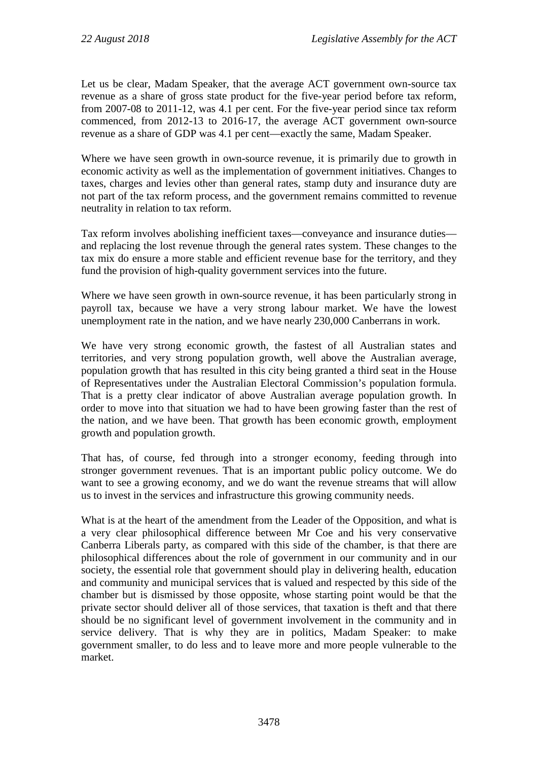Let us be clear, Madam Speaker, that the average ACT government own-source tax revenue as a share of gross state product for the five-year period before tax reform, from 2007-08 to 2011-12, was 4.1 per cent. For the five-year period since tax reform commenced, from 2012-13 to 2016-17, the average ACT government own-source revenue as a share of GDP was 4.1 per cent—exactly the same, Madam Speaker.

Where we have seen growth in own-source revenue, it is primarily due to growth in economic activity as well as the implementation of government initiatives. Changes to taxes, charges and levies other than general rates, stamp duty and insurance duty are not part of the tax reform process, and the government remains committed to revenue neutrality in relation to tax reform.

Tax reform involves abolishing inefficient taxes—conveyance and insurance duties and replacing the lost revenue through the general rates system. These changes to the tax mix do ensure a more stable and efficient revenue base for the territory, and they fund the provision of high-quality government services into the future.

Where we have seen growth in own-source revenue, it has been particularly strong in payroll tax, because we have a very strong labour market. We have the lowest unemployment rate in the nation, and we have nearly 230,000 Canberrans in work.

We have very strong economic growth, the fastest of all Australian states and territories, and very strong population growth, well above the Australian average, population growth that has resulted in this city being granted a third seat in the House of Representatives under the Australian Electoral Commission's population formula. That is a pretty clear indicator of above Australian average population growth. In order to move into that situation we had to have been growing faster than the rest of the nation, and we have been. That growth has been economic growth, employment growth and population growth.

That has, of course, fed through into a stronger economy, feeding through into stronger government revenues. That is an important public policy outcome. We do want to see a growing economy, and we do want the revenue streams that will allow us to invest in the services and infrastructure this growing community needs.

What is at the heart of the amendment from the Leader of the Opposition, and what is a very clear philosophical difference between Mr Coe and his very conservative Canberra Liberals party, as compared with this side of the chamber, is that there are philosophical differences about the role of government in our community and in our society, the essential role that government should play in delivering health, education and community and municipal services that is valued and respected by this side of the chamber but is dismissed by those opposite, whose starting point would be that the private sector should deliver all of those services, that taxation is theft and that there should be no significant level of government involvement in the community and in service delivery. That is why they are in politics, Madam Speaker: to make government smaller, to do less and to leave more and more people vulnerable to the market.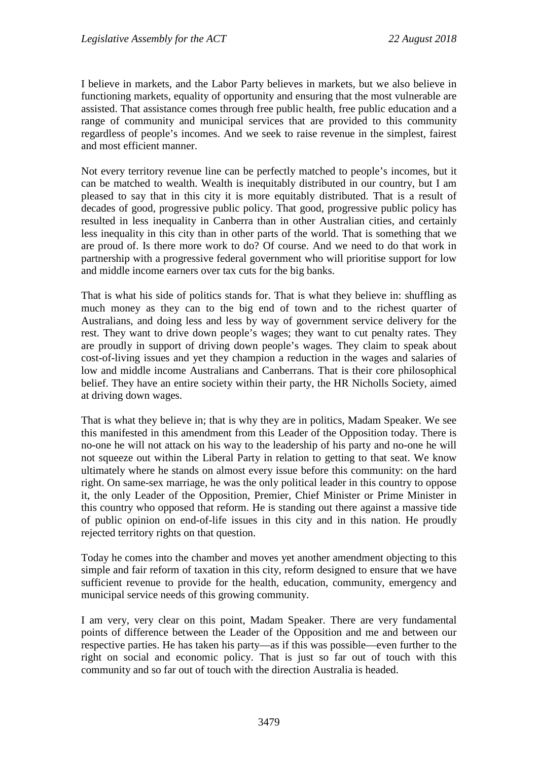I believe in markets, and the Labor Party believes in markets, but we also believe in functioning markets, equality of opportunity and ensuring that the most vulnerable are assisted. That assistance comes through free public health, free public education and a range of community and municipal services that are provided to this community regardless of people's incomes. And we seek to raise revenue in the simplest, fairest and most efficient manner.

Not every territory revenue line can be perfectly matched to people's incomes, but it can be matched to wealth. Wealth is inequitably distributed in our country, but I am pleased to say that in this city it is more equitably distributed. That is a result of decades of good, progressive public policy. That good, progressive public policy has resulted in less inequality in Canberra than in other Australian cities, and certainly less inequality in this city than in other parts of the world. That is something that we are proud of. Is there more work to do? Of course. And we need to do that work in partnership with a progressive federal government who will prioritise support for low and middle income earners over tax cuts for the big banks.

That is what his side of politics stands for. That is what they believe in: shuffling as much money as they can to the big end of town and to the richest quarter of Australians, and doing less and less by way of government service delivery for the rest. They want to drive down people's wages; they want to cut penalty rates. They are proudly in support of driving down people's wages. They claim to speak about cost-of-living issues and yet they champion a reduction in the wages and salaries of low and middle income Australians and Canberrans. That is their core philosophical belief. They have an entire society within their party, the HR Nicholls Society, aimed at driving down wages.

That is what they believe in; that is why they are in politics, Madam Speaker. We see this manifested in this amendment from this Leader of the Opposition today. There is no-one he will not attack on his way to the leadership of his party and no-one he will not squeeze out within the Liberal Party in relation to getting to that seat. We know ultimately where he stands on almost every issue before this community: on the hard right. On same-sex marriage, he was the only political leader in this country to oppose it, the only Leader of the Opposition, Premier, Chief Minister or Prime Minister in this country who opposed that reform. He is standing out there against a massive tide of public opinion on end-of-life issues in this city and in this nation. He proudly rejected territory rights on that question.

Today he comes into the chamber and moves yet another amendment objecting to this simple and fair reform of taxation in this city, reform designed to ensure that we have sufficient revenue to provide for the health, education, community, emergency and municipal service needs of this growing community.

I am very, very clear on this point, Madam Speaker. There are very fundamental points of difference between the Leader of the Opposition and me and between our respective parties. He has taken his party—as if this was possible—even further to the right on social and economic policy. That is just so far out of touch with this community and so far out of touch with the direction Australia is headed.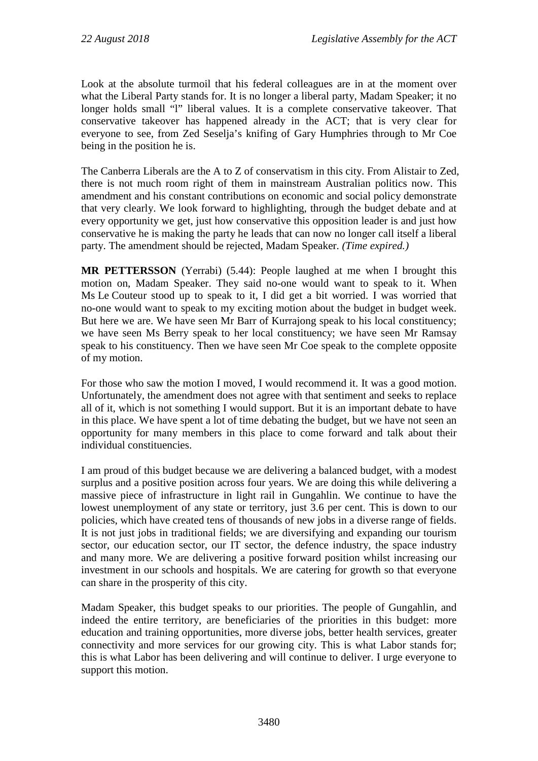Look at the absolute turmoil that his federal colleagues are in at the moment over what the Liberal Party stands for. It is no longer a liberal party, Madam Speaker; it no longer holds small "l" liberal values. It is a complete conservative takeover. That conservative takeover has happened already in the ACT; that is very clear for everyone to see, from Zed Seselja's knifing of Gary Humphries through to Mr Coe being in the position he is.

The Canberra Liberals are the A to Z of conservatism in this city. From Alistair to Zed, there is not much room right of them in mainstream Australian politics now. This amendment and his constant contributions on economic and social policy demonstrate that very clearly. We look forward to highlighting, through the budget debate and at every opportunity we get, just how conservative this opposition leader is and just how conservative he is making the party he leads that can now no longer call itself a liberal party. The amendment should be rejected, Madam Speaker. *(Time expired.)*

**MR PETTERSSON** (Yerrabi) (5.44): People laughed at me when I brought this motion on, Madam Speaker. They said no-one would want to speak to it. When Ms Le Couteur stood up to speak to it, I did get a bit worried. I was worried that no-one would want to speak to my exciting motion about the budget in budget week. But here we are. We have seen Mr Barr of Kurrajong speak to his local constituency; we have seen Ms Berry speak to her local constituency; we have seen Mr Ramsay speak to his constituency. Then we have seen Mr Coe speak to the complete opposite of my motion.

For those who saw the motion I moved, I would recommend it. It was a good motion. Unfortunately, the amendment does not agree with that sentiment and seeks to replace all of it, which is not something I would support. But it is an important debate to have in this place. We have spent a lot of time debating the budget, but we have not seen an opportunity for many members in this place to come forward and talk about their individual constituencies.

I am proud of this budget because we are delivering a balanced budget, with a modest surplus and a positive position across four years. We are doing this while delivering a massive piece of infrastructure in light rail in Gungahlin. We continue to have the lowest unemployment of any state or territory, just 3.6 per cent. This is down to our policies, which have created tens of thousands of new jobs in a diverse range of fields. It is not just jobs in traditional fields; we are diversifying and expanding our tourism sector, our education sector, our IT sector, the defence industry, the space industry and many more. We are delivering a positive forward position whilst increasing our investment in our schools and hospitals. We are catering for growth so that everyone can share in the prosperity of this city.

Madam Speaker, this budget speaks to our priorities. The people of Gungahlin, and indeed the entire territory, are beneficiaries of the priorities in this budget: more education and training opportunities, more diverse jobs, better health services, greater connectivity and more services for our growing city. This is what Labor stands for; this is what Labor has been delivering and will continue to deliver. I urge everyone to support this motion.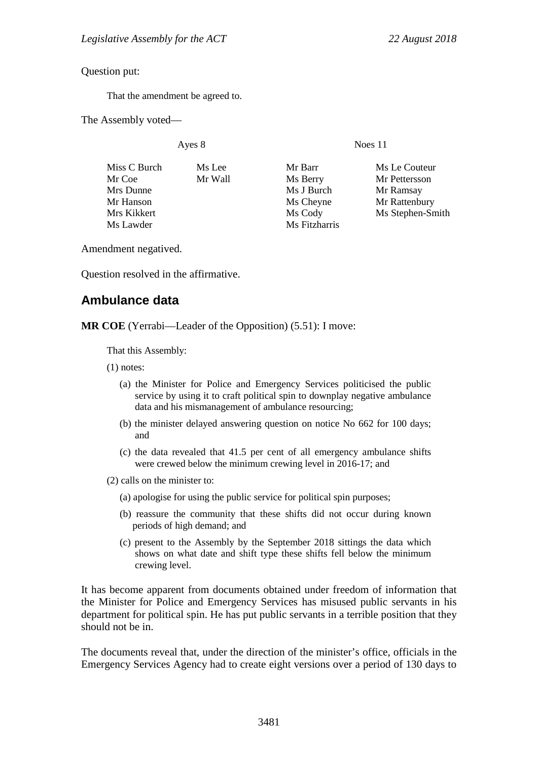Question put:

That the amendment be agreed to.

The Assembly voted—

Ayes 8 Noes 11

| Miss C Burch | Ms Lee  | Mr Barr       | Ms Le Couteur    |
|--------------|---------|---------------|------------------|
| Mr Coe       | Mr Wall | Ms Berry      | Mr Pettersson    |
| Mrs Dunne    |         | Ms J Burch    | Mr Ramsay        |
| Mr Hanson    |         | Ms Cheyne     | Mr Rattenbury    |
| Mrs Kikkert  |         | Ms Cody       | Ms Stephen-Smith |
| Ms Lawder    |         | Ms Fitzharris |                  |
|              |         |               |                  |

Amendment negatived.

Question resolved in the affirmative.

# **Ambulance data**

**MR COE** (Yerrabi—Leader of the Opposition) (5.51): I move:

That this Assembly:

(1) notes:

- (a) the Minister for Police and Emergency Services politicised the public service by using it to craft political spin to downplay negative ambulance data and his mismanagement of ambulance resourcing;
- (b) the minister delayed answering question on notice No 662 for 100 days; and
- (c) the data revealed that 41.5 per cent of all emergency ambulance shifts were crewed below the minimum crewing level in 2016-17; and
- (2) calls on the minister to:
	- (a) apologise for using the public service for political spin purposes;
	- (b) reassure the community that these shifts did not occur during known periods of high demand; and
	- (c) present to the Assembly by the September 2018 sittings the data which shows on what date and shift type these shifts fell below the minimum crewing level.

It has become apparent from documents obtained under freedom of information that the Minister for Police and Emergency Services has misused public servants in his department for political spin. He has put public servants in a terrible position that they should not be in.

The documents reveal that, under the direction of the minister's office, officials in the Emergency Services Agency had to create eight versions over a period of 130 days to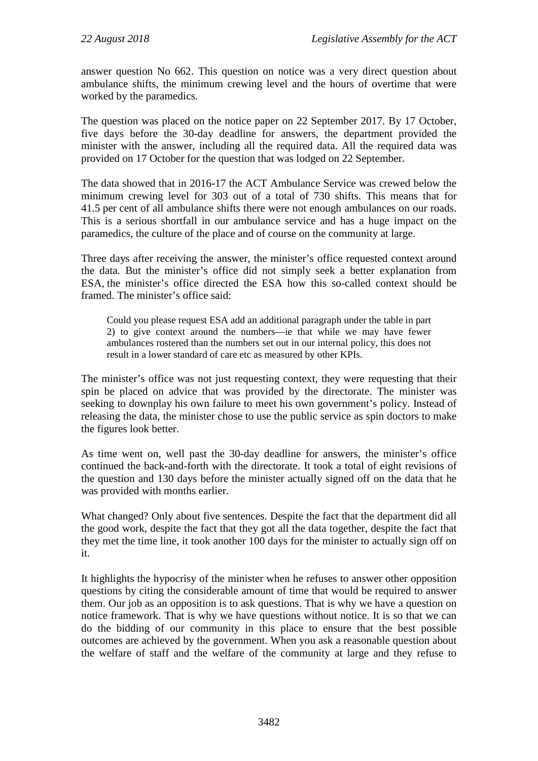answer question No 662. This question on notice was a very direct question about ambulance shifts, the minimum crewing level and the hours of overtime that were worked by the paramedics.

The question was placed on the notice paper on 22 September 2017. By 17 October, five days before the 30-day deadline for answers, the department provided the minister with the answer, including all the required data. All the required data was provided on 17 October for the question that was lodged on 22 September.

The data showed that in 2016-17 the ACT Ambulance Service was crewed below the minimum crewing level for 303 out of a total of 730 shifts. This means that for 41.5 per cent of all ambulance shifts there were not enough ambulances on our roads. This is a serious shortfall in our ambulance service and has a huge impact on the paramedics, the culture of the place and of course on the community at large.

Three days after receiving the answer, the minister's office requested context around the data. But the minister's office did not simply seek a better explanation from ESA, the minister's office directed the ESA how this so-called context should be framed. The minister's office said:

Could you please request ESA add an additional paragraph under the table in part 2) to give context around the numbers—ie that while we may have fewer ambulances rostered than the numbers set out in our internal policy, this does not result in a lower standard of care etc as measured by other KPIs.

The minister's office was not just requesting context, they were requesting that their spin be placed on advice that was provided by the directorate. The minister was seeking to downplay his own failure to meet his own government's policy. Instead of releasing the data, the minister chose to use the public service as spin doctors to make the figures look better.

As time went on, well past the 30-day deadline for answers, the minister's office continued the back-and-forth with the directorate. It took a total of eight revisions of the question and 130 days before the minister actually signed off on the data that he was provided with months earlier.

What changed? Only about five sentences. Despite the fact that the department did all the good work, despite the fact that they got all the data together, despite the fact that they met the time line, it took another 100 days for the minister to actually sign off on it.

It highlights the hypocrisy of the minister when he refuses to answer other opposition questions by citing the considerable amount of time that would be required to answer them. Our job as an opposition is to ask questions. That is why we have a question on notice framework. That is why we have questions without notice. It is so that we can do the bidding of our community in this place to ensure that the best possible outcomes are achieved by the government. When you ask a reasonable question about the welfare of staff and the welfare of the community at large and they refuse to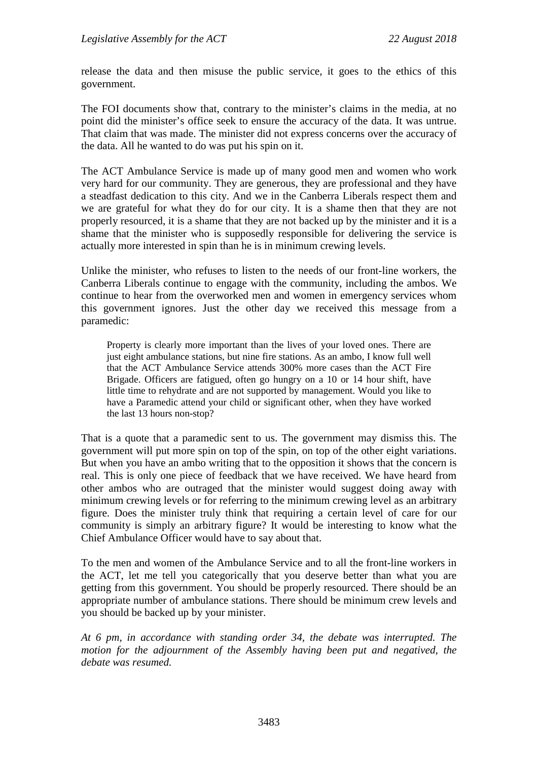release the data and then misuse the public service, it goes to the ethics of this government.

The FOI documents show that, contrary to the minister's claims in the media, at no point did the minister's office seek to ensure the accuracy of the data. It was untrue. That claim that was made. The minister did not express concerns over the accuracy of the data. All he wanted to do was put his spin on it.

The ACT Ambulance Service is made up of many good men and women who work very hard for our community. They are generous, they are professional and they have a steadfast dedication to this city. And we in the Canberra Liberals respect them and we are grateful for what they do for our city. It is a shame then that they are not properly resourced, it is a shame that they are not backed up by the minister and it is a shame that the minister who is supposedly responsible for delivering the service is actually more interested in spin than he is in minimum crewing levels.

Unlike the minister, who refuses to listen to the needs of our front-line workers, the Canberra Liberals continue to engage with the community, including the ambos. We continue to hear from the overworked men and women in emergency services whom this government ignores. Just the other day we received this message from a paramedic:

Property is clearly more important than the lives of your loved ones. There are just eight ambulance stations, but nine fire stations. As an ambo, I know full well that the ACT Ambulance Service attends 300% more cases than the ACT Fire Brigade. Officers are fatigued, often go hungry on a 10 or 14 hour shift, have little time to rehydrate and are not supported by management. Would you like to have a Paramedic attend your child or significant other, when they have worked the last 13 hours non-stop?

That is a quote that a paramedic sent to us. The government may dismiss this. The government will put more spin on top of the spin, on top of the other eight variations. But when you have an ambo writing that to the opposition it shows that the concern is real. This is only one piece of feedback that we have received. We have heard from other ambos who are outraged that the minister would suggest doing away with minimum crewing levels or for referring to the minimum crewing level as an arbitrary figure. Does the minister truly think that requiring a certain level of care for our community is simply an arbitrary figure? It would be interesting to know what the Chief Ambulance Officer would have to say about that.

To the men and women of the Ambulance Service and to all the front-line workers in the ACT, let me tell you categorically that you deserve better than what you are getting from this government. You should be properly resourced. There should be an appropriate number of ambulance stations. There should be minimum crew levels and you should be backed up by your minister.

*At 6 pm, in accordance with standing order 34, the debate was interrupted. The motion for the adjournment of the Assembly having been put and negatived, the debate was resumed.*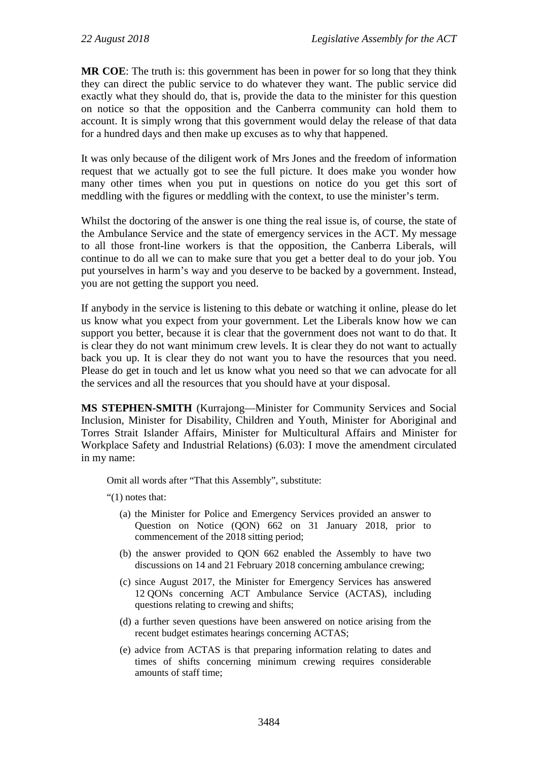**MR COE**: The truth is: this government has been in power for so long that they think they can direct the public service to do whatever they want. The public service did exactly what they should do, that is, provide the data to the minister for this question on notice so that the opposition and the Canberra community can hold them to account. It is simply wrong that this government would delay the release of that data for a hundred days and then make up excuses as to why that happened.

It was only because of the diligent work of Mrs Jones and the freedom of information request that we actually got to see the full picture. It does make you wonder how many other times when you put in questions on notice do you get this sort of meddling with the figures or meddling with the context, to use the minister's term.

Whilst the doctoring of the answer is one thing the real issue is, of course, the state of the Ambulance Service and the state of emergency services in the ACT. My message to all those front-line workers is that the opposition, the Canberra Liberals, will continue to do all we can to make sure that you get a better deal to do your job. You put yourselves in harm's way and you deserve to be backed by a government. Instead, you are not getting the support you need.

If anybody in the service is listening to this debate or watching it online, please do let us know what you expect from your government. Let the Liberals know how we can support you better, because it is clear that the government does not want to do that. It is clear they do not want minimum crew levels. It is clear they do not want to actually back you up. It is clear they do not want you to have the resources that you need. Please do get in touch and let us know what you need so that we can advocate for all the services and all the resources that you should have at your disposal.

**MS STEPHEN-SMITH** (Kurrajong—Minister for Community Services and Social Inclusion, Minister for Disability, Children and Youth, Minister for Aboriginal and Torres Strait Islander Affairs, Minister for Multicultural Affairs and Minister for Workplace Safety and Industrial Relations) (6.03): I move the amendment circulated in my name:

Omit all words after "That this Assembly", substitute:

"(1) notes that:

- (a) the Minister for Police and Emergency Services provided an answer to Question on Notice (QON) 662 on 31 January 2018, prior to commencement of the 2018 sitting period;
- (b) the answer provided to QON 662 enabled the Assembly to have two discussions on 14 and 21 February 2018 concerning ambulance crewing;
- (c) since August 2017, the Minister for Emergency Services has answered 12 QONs concerning ACT Ambulance Service (ACTAS), including questions relating to crewing and shifts;
- (d) a further seven questions have been answered on notice arising from the recent budget estimates hearings concerning ACTAS;
- (e) advice from ACTAS is that preparing information relating to dates and times of shifts concerning minimum crewing requires considerable amounts of staff time;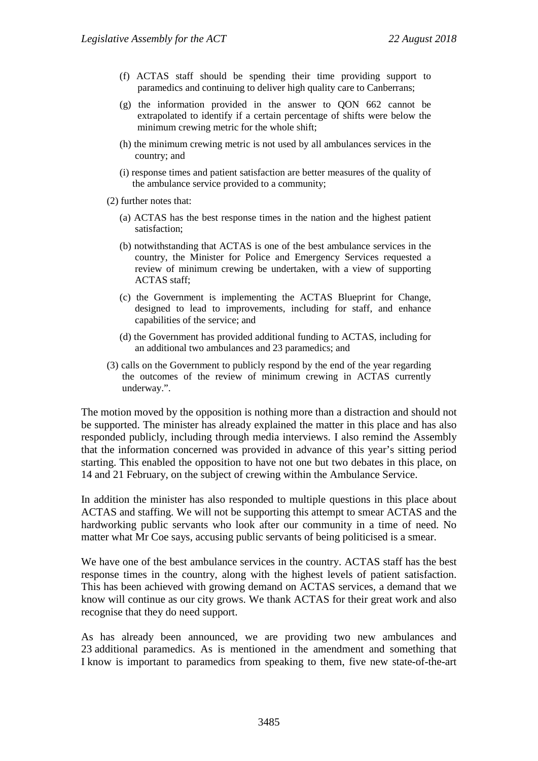- (f) ACTAS staff should be spending their time providing support to paramedics and continuing to deliver high quality care to Canberrans;
- (g) the information provided in the answer to QON 662 cannot be extrapolated to identify if a certain percentage of shifts were below the minimum crewing metric for the whole shift;
- (h) the minimum crewing metric is not used by all ambulances services in the country; and
- (i) response times and patient satisfaction are better measures of the quality of the ambulance service provided to a community;
- (2) further notes that:
	- (a) ACTAS has the best response times in the nation and the highest patient satisfaction;
	- (b) notwithstanding that ACTAS is one of the best ambulance services in the country, the Minister for Police and Emergency Services requested a review of minimum crewing be undertaken, with a view of supporting ACTAS staff;
	- (c) the Government is implementing the ACTAS Blueprint for Change, designed to lead to improvements, including for staff, and enhance capabilities of the service; and
	- (d) the Government has provided additional funding to ACTAS, including for an additional two ambulances and 23 paramedics; and
- (3) calls on the Government to publicly respond by the end of the year regarding the outcomes of the review of minimum crewing in ACTAS currently underway.".

The motion moved by the opposition is nothing more than a distraction and should not be supported. The minister has already explained the matter in this place and has also responded publicly, including through media interviews. I also remind the Assembly that the information concerned was provided in advance of this year's sitting period starting. This enabled the opposition to have not one but two debates in this place, on 14 and 21 February, on the subject of crewing within the Ambulance Service.

In addition the minister has also responded to multiple questions in this place about ACTAS and staffing. We will not be supporting this attempt to smear ACTAS and the hardworking public servants who look after our community in a time of need. No matter what Mr Coe says, accusing public servants of being politicised is a smear.

We have one of the best ambulance services in the country. ACTAS staff has the best response times in the country, along with the highest levels of patient satisfaction. This has been achieved with growing demand on ACTAS services, a demand that we know will continue as our city grows. We thank ACTAS for their great work and also recognise that they do need support.

As has already been announced, we are providing two new ambulances and 23 additional paramedics. As is mentioned in the amendment and something that I know is important to paramedics from speaking to them, five new state-of-the-art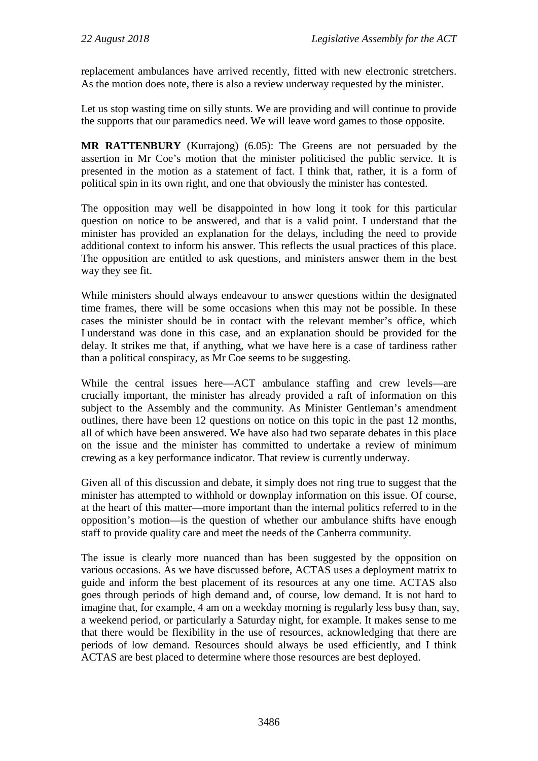replacement ambulances have arrived recently, fitted with new electronic stretchers. As the motion does note, there is also a review underway requested by the minister.

Let us stop wasting time on silly stunts. We are providing and will continue to provide the supports that our paramedics need. We will leave word games to those opposite.

**MR RATTENBURY** (Kurrajong) (6.05): The Greens are not persuaded by the assertion in Mr Coe's motion that the minister politicised the public service. It is presented in the motion as a statement of fact. I think that, rather, it is a form of political spin in its own right, and one that obviously the minister has contested.

The opposition may well be disappointed in how long it took for this particular question on notice to be answered, and that is a valid point. I understand that the minister has provided an explanation for the delays, including the need to provide additional context to inform his answer. This reflects the usual practices of this place. The opposition are entitled to ask questions, and ministers answer them in the best way they see fit.

While ministers should always endeavour to answer questions within the designated time frames, there will be some occasions when this may not be possible. In these cases the minister should be in contact with the relevant member's office, which I understand was done in this case, and an explanation should be provided for the delay. It strikes me that, if anything, what we have here is a case of tardiness rather than a political conspiracy, as Mr Coe seems to be suggesting.

While the central issues here—ACT ambulance staffing and crew levels—are crucially important, the minister has already provided a raft of information on this subject to the Assembly and the community. As Minister Gentleman's amendment outlines, there have been 12 questions on notice on this topic in the past 12 months, all of which have been answered. We have also had two separate debates in this place on the issue and the minister has committed to undertake a review of minimum crewing as a key performance indicator. That review is currently underway.

Given all of this discussion and debate, it simply does not ring true to suggest that the minister has attempted to withhold or downplay information on this issue. Of course, at the heart of this matter—more important than the internal politics referred to in the opposition's motion—is the question of whether our ambulance shifts have enough staff to provide quality care and meet the needs of the Canberra community.

The issue is clearly more nuanced than has been suggested by the opposition on various occasions. As we have discussed before, ACTAS uses a deployment matrix to guide and inform the best placement of its resources at any one time. ACTAS also goes through periods of high demand and, of course, low demand. It is not hard to imagine that, for example, 4 am on a weekday morning is regularly less busy than, say, a weekend period, or particularly a Saturday night, for example. It makes sense to me that there would be flexibility in the use of resources, acknowledging that there are periods of low demand. Resources should always be used efficiently, and I think ACTAS are best placed to determine where those resources are best deployed.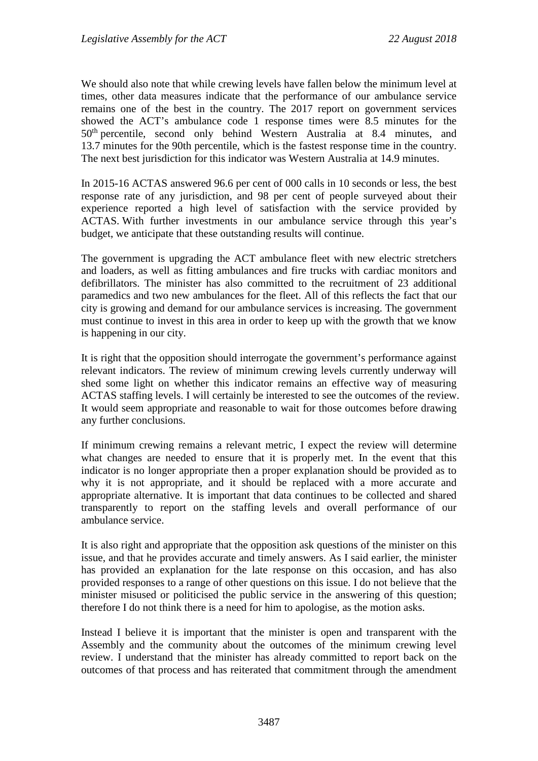We should also note that while crewing levels have fallen below the minimum level at times, other data measures indicate that the performance of our ambulance service remains one of the best in the country. The 2017 report on government services showed the ACT's ambulance code 1 response times were 8.5 minutes for the 50th percentile, second only behind Western Australia at 8.4 minutes, and 13.7 minutes for the 90th percentile, which is the fastest response time in the country. The next best jurisdiction for this indicator was Western Australia at 14.9 minutes.

In 2015-16 ACTAS answered 96.6 per cent of 000 calls in 10 seconds or less, the best response rate of any jurisdiction, and 98 per cent of people surveyed about their experience reported a high level of satisfaction with the service provided by ACTAS. With further investments in our ambulance service through this year's budget, we anticipate that these outstanding results will continue.

The government is upgrading the ACT ambulance fleet with new electric stretchers and loaders, as well as fitting ambulances and fire trucks with cardiac monitors and defibrillators. The minister has also committed to the recruitment of 23 additional paramedics and two new ambulances for the fleet. All of this reflects the fact that our city is growing and demand for our ambulance services is increasing. The government must continue to invest in this area in order to keep up with the growth that we know is happening in our city.

It is right that the opposition should interrogate the government's performance against relevant indicators. The review of minimum crewing levels currently underway will shed some light on whether this indicator remains an effective way of measuring ACTAS staffing levels. I will certainly be interested to see the outcomes of the review. It would seem appropriate and reasonable to wait for those outcomes before drawing any further conclusions.

If minimum crewing remains a relevant metric, I expect the review will determine what changes are needed to ensure that it is properly met. In the event that this indicator is no longer appropriate then a proper explanation should be provided as to why it is not appropriate, and it should be replaced with a more accurate and appropriate alternative. It is important that data continues to be collected and shared transparently to report on the staffing levels and overall performance of our ambulance service.

It is also right and appropriate that the opposition ask questions of the minister on this issue, and that he provides accurate and timely answers. As I said earlier, the minister has provided an explanation for the late response on this occasion, and has also provided responses to a range of other questions on this issue. I do not believe that the minister misused or politicised the public service in the answering of this question; therefore I do not think there is a need for him to apologise, as the motion asks.

Instead I believe it is important that the minister is open and transparent with the Assembly and the community about the outcomes of the minimum crewing level review. I understand that the minister has already committed to report back on the outcomes of that process and has reiterated that commitment through the amendment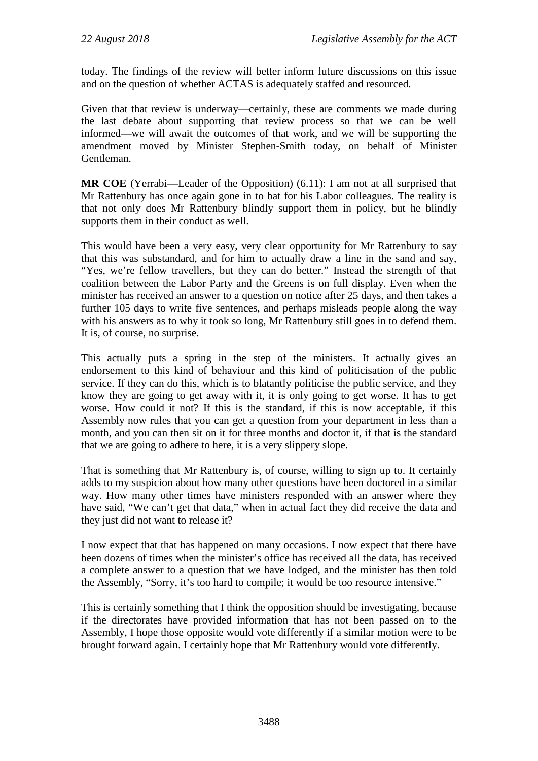today. The findings of the review will better inform future discussions on this issue and on the question of whether ACTAS is adequately staffed and resourced.

Given that that review is underway—certainly, these are comments we made during the last debate about supporting that review process so that we can be well informed—we will await the outcomes of that work, and we will be supporting the amendment moved by Minister Stephen-Smith today, on behalf of Minister Gentleman.

**MR COE** (Yerrabi—Leader of the Opposition) (6.11): I am not at all surprised that Mr Rattenbury has once again gone in to bat for his Labor colleagues. The reality is that not only does Mr Rattenbury blindly support them in policy, but he blindly supports them in their conduct as well.

This would have been a very easy, very clear opportunity for Mr Rattenbury to say that this was substandard, and for him to actually draw a line in the sand and say, "Yes, we're fellow travellers, but they can do better." Instead the strength of that coalition between the Labor Party and the Greens is on full display. Even when the minister has received an answer to a question on notice after 25 days, and then takes a further 105 days to write five sentences, and perhaps misleads people along the way with his answers as to why it took so long, Mr Rattenbury still goes in to defend them. It is, of course, no surprise.

This actually puts a spring in the step of the ministers. It actually gives an endorsement to this kind of behaviour and this kind of politicisation of the public service. If they can do this, which is to blatantly politicise the public service, and they know they are going to get away with it, it is only going to get worse. It has to get worse. How could it not? If this is the standard, if this is now acceptable, if this Assembly now rules that you can get a question from your department in less than a month, and you can then sit on it for three months and doctor it, if that is the standard that we are going to adhere to here, it is a very slippery slope.

That is something that Mr Rattenbury is, of course, willing to sign up to. It certainly adds to my suspicion about how many other questions have been doctored in a similar way. How many other times have ministers responded with an answer where they have said, "We can't get that data," when in actual fact they did receive the data and they just did not want to release it?

I now expect that that has happened on many occasions. I now expect that there have been dozens of times when the minister's office has received all the data, has received a complete answer to a question that we have lodged, and the minister has then told the Assembly, "Sorry, it's too hard to compile; it would be too resource intensive."

This is certainly something that I think the opposition should be investigating, because if the directorates have provided information that has not been passed on to the Assembly, I hope those opposite would vote differently if a similar motion were to be brought forward again. I certainly hope that Mr Rattenbury would vote differently.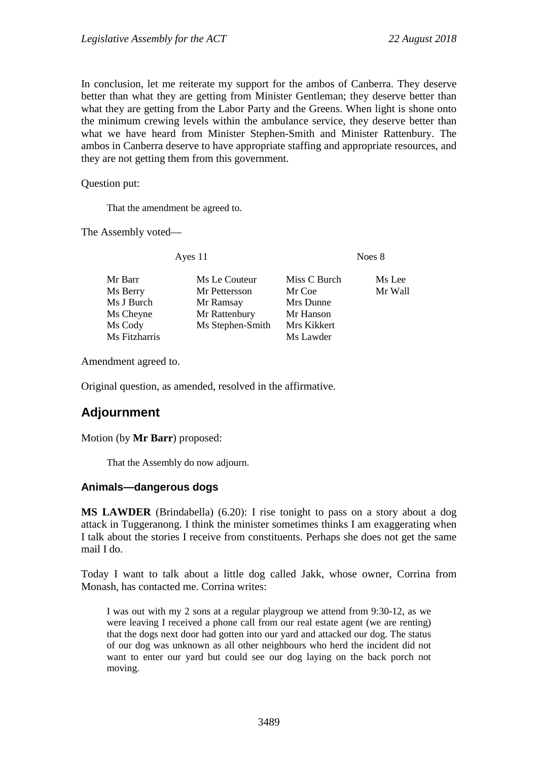In conclusion, let me reiterate my support for the ambos of Canberra. They deserve better than what they are getting from Minister Gentleman; they deserve better than what they are getting from the Labor Party and the Greens. When light is shone onto the minimum crewing levels within the ambulance service, they deserve better than what we have heard from Minister Stephen-Smith and Minister Rattenbury. The ambos in Canberra deserve to have appropriate staffing and appropriate resources, and they are not getting them from this government.

Question put:

That the amendment be agreed to.

The Assembly voted—

| Ayes 11       |                  | Noes 8       |         |
|---------------|------------------|--------------|---------|
| Mr Barr       | Ms Le Couteur    | Miss C Burch | Ms Lee  |
| Ms Berry      | Mr Pettersson    | Mr Coe       | Mr Wall |
| Ms J Burch    | Mr Ramsay        | Mrs Dunne    |         |
| Ms Cheyne     | Mr Rattenbury    | Mr Hanson    |         |
| Ms Cody       | Ms Stephen-Smith | Mrs Kikkert  |         |
| Ms Fitzharris |                  | Ms Lawder    |         |
|               |                  |              |         |

Amendment agreed to.

Original question, as amended, resolved in the affirmative.

# **Adjournment**

Motion (by **Mr Barr**) proposed:

That the Assembly do now adjourn.

### **Animals—dangerous dogs**

**MS LAWDER** (Brindabella) (6.20): I rise tonight to pass on a story about a dog attack in Tuggeranong. I think the minister sometimes thinks I am exaggerating when I talk about the stories I receive from constituents. Perhaps she does not get the same mail I do.

Today I want to talk about a little dog called Jakk, whose owner, Corrina from Monash, has contacted me. Corrina writes:

I was out with my 2 sons at a regular playgroup we attend from 9:30-12, as we were leaving I received a phone call from our real estate agent (we are renting) that the dogs next door had gotten into our yard and attacked our dog. The status of our dog was unknown as all other neighbours who herd the incident did not want to enter our yard but could see our dog laying on the back porch not moving.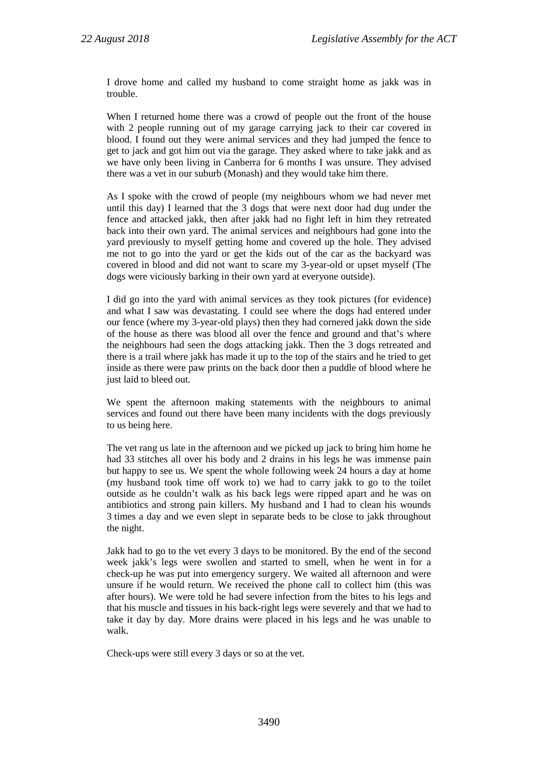I drove home and called my husband to come straight home as jakk was in trouble.

When I returned home there was a crowd of people out the front of the house with 2 people running out of my garage carrying jack to their car covered in blood. I found out they were animal services and they had jumped the fence to get to jack and got him out via the garage. They asked where to take jakk and as we have only been living in Canberra for 6 months I was unsure. They advised there was a vet in our suburb (Monash) and they would take him there.

As I spoke with the crowd of people (my neighbours whom we had never met until this day) I learned that the 3 dogs that were next door had dug under the fence and attacked jakk, then after jakk had no fight left in him they retreated back into their own yard. The animal services and neighbours had gone into the yard previously to myself getting home and covered up the hole. They advised me not to go into the yard or get the kids out of the car as the backyard was covered in blood and did not want to scare my 3-year-old or upset myself (The dogs were viciously barking in their own yard at everyone outside).

I did go into the yard with animal services as they took pictures (for evidence) and what I saw was devastating. I could see where the dogs had entered under our fence (where my 3-year-old plays) then they had cornered jakk down the side of the house as there was blood all over the fence and ground and that's where the neighbours had seen the dogs attacking jakk. Then the 3 dogs retreated and there is a trail where jakk has made it up to the top of the stairs and he tried to get inside as there were paw prints on the back door then a puddle of blood where he just laid to bleed out.

We spent the afternoon making statements with the neighbours to animal services and found out there have been many incidents with the dogs previously to us being here.

The vet rang us late in the afternoon and we picked up jack to bring him home he had 33 stitches all over his body and 2 drains in his legs he was immense pain but happy to see us. We spent the whole following week 24 hours a day at home (my husband took time off work to) we had to carry jakk to go to the toilet outside as he couldn't walk as his back legs were ripped apart and he was on antibiotics and strong pain killers. My husband and I had to clean his wounds 3 times a day and we even slept in separate beds to be close to jakk throughout the night.

Jakk had to go to the vet every 3 days to be monitored. By the end of the second week jakk's legs were swollen and started to smell, when he went in for a check-up he was put into emergency surgery. We waited all afternoon and were unsure if he would return. We received the phone call to collect him (this was after hours). We were told he had severe infection from the bites to his legs and that his muscle and tissues in his back-right legs were severely and that we had to take it day by day. More drains were placed in his legs and he was unable to walk.

Check-ups were still every 3 days or so at the vet.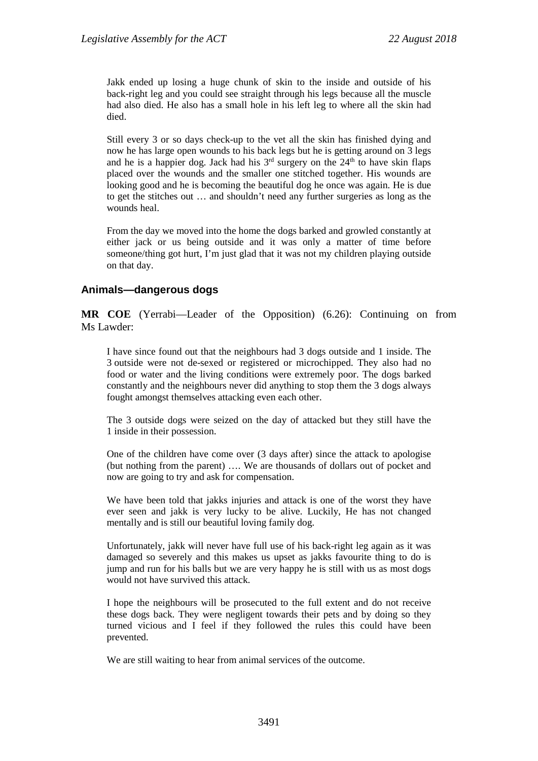Jakk ended up losing a huge chunk of skin to the inside and outside of his back-right leg and you could see straight through his legs because all the muscle had also died. He also has a small hole in his left leg to where all the skin had died.

Still every 3 or so days check-up to the vet all the skin has finished dying and now he has large open wounds to his back legs but he is getting around on 3 legs and he is a happier dog. Jack had his  $3<sup>rd</sup>$  surgery on the  $24<sup>th</sup>$  to have skin flaps placed over the wounds and the smaller one stitched together. His wounds are looking good and he is becoming the beautiful dog he once was again. He is due to get the stitches out … and shouldn't need any further surgeries as long as the wounds heal.

From the day we moved into the home the dogs barked and growled constantly at either jack or us being outside and it was only a matter of time before someone/thing got hurt, I'm just glad that it was not my children playing outside on that day.

## **Animals—dangerous dogs**

**MR COE** (Yerrabi—Leader of the Opposition) (6.26): Continuing on from Ms Lawder:

I have since found out that the neighbours had 3 dogs outside and 1 inside. The 3 outside were not de-sexed or registered or microchipped. They also had no food or water and the living conditions were extremely poor. The dogs barked constantly and the neighbours never did anything to stop them the 3 dogs always fought amongst themselves attacking even each other.

The 3 outside dogs were seized on the day of attacked but they still have the 1 inside in their possession.

One of the children have come over (3 days after) since the attack to apologise (but nothing from the parent) …. We are thousands of dollars out of pocket and now are going to try and ask for compensation.

We have been told that jakks injuries and attack is one of the worst they have ever seen and jakk is very lucky to be alive. Luckily, He has not changed mentally and is still our beautiful loving family dog.

Unfortunately, jakk will never have full use of his back-right leg again as it was damaged so severely and this makes us upset as jakks favourite thing to do is jump and run for his balls but we are very happy he is still with us as most dogs would not have survived this attack.

I hope the neighbours will be prosecuted to the full extent and do not receive these dogs back. They were negligent towards their pets and by doing so they turned vicious and I feel if they followed the rules this could have been prevented.

We are still waiting to hear from animal services of the outcome.